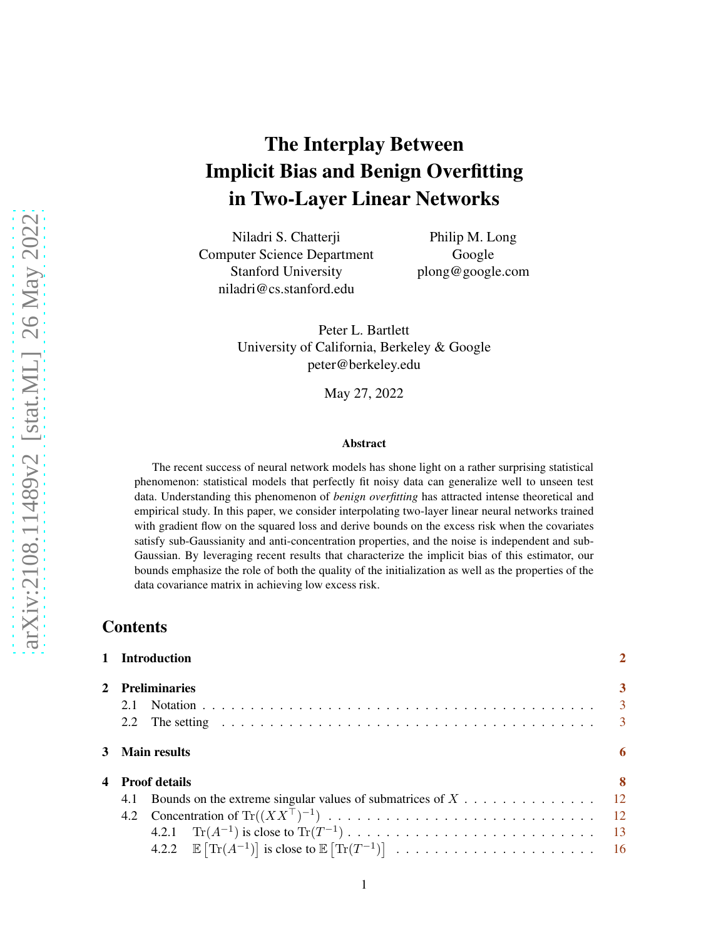# The Interplay Between Implicit Bias and Benign Overfitting in Two-Layer Linear Networks

Niladri S. Chatterji Computer Science Department Stanford University niladri@cs.stanford.edu

Philip M. Long Google plong@google.com

Peter L. Bartlett University of California, Berkeley & Google peter@berkeley.edu

May 27, 2022

#### Abstract

The recent success of neural network models has shone light on a rather surprising statistical phenomenon: statistical models that perfectly fit noisy data can generalize well to unseen test data. Understanding this phenomenon of *benign overfitting* has attracted intense theoretical and empirical study. In this paper, we consider interpolating two-layer linear neural networks trained with gradient flow on the squared loss and derive bounds on the excess risk when the covariates satisfy sub-Gaussianity and anti-concentration properties, and the noise is independent and sub-Gaussian. By leveraging recent results that characterize the implicit bias of this estimator, our bounds emphasize the role of both the quality of the initialization as well as the properties of the data covariance matrix in achieving low excess risk.

### Contents

|   | 1 Introduction       |                |  |  |
|---|----------------------|----------------|--|--|
| 2 | <b>Preliminaries</b> |                |  |  |
|   | 2.1                  | $\overline{3}$ |  |  |
|   |                      | $\overline{3}$ |  |  |
|   | 3 Main results       |                |  |  |
| 4 | <b>Proof details</b> | 8              |  |  |
|   | 4.1                  |                |  |  |
|   |                      |                |  |  |
|   |                      |                |  |  |
|   |                      |                |  |  |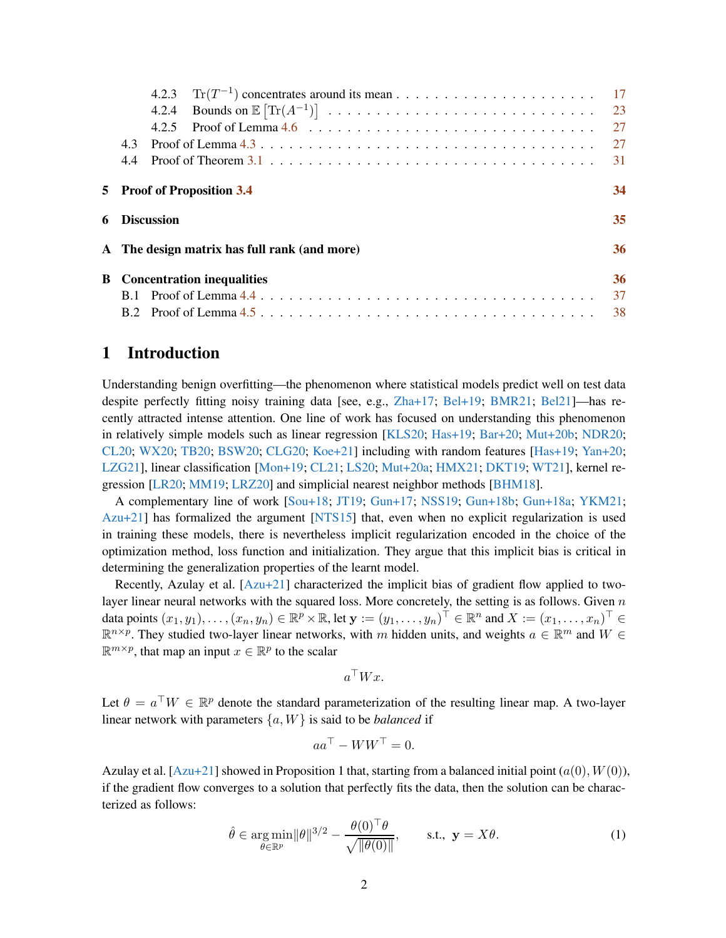<span id="page-1-2"></span>

|                                        |                                              |  | 23 |  |
|----------------------------------------|----------------------------------------------|--|----|--|
|                                        |                                              |  | 27 |  |
|                                        | 4.3                                          |  | 27 |  |
|                                        | 44                                           |  | 31 |  |
| 5                                      | <b>Proof of Proposition 3.4</b>              |  |    |  |
| 6                                      | <b>Discussion</b>                            |  |    |  |
|                                        | A The design matrix has full rank (and more) |  |    |  |
| <b>Concentration inequalities</b><br>B |                                              |  | 36 |  |
|                                        |                                              |  | 37 |  |
|                                        |                                              |  | 38 |  |

# <span id="page-1-0"></span>1 Introduction

Understanding benign overfitting—the phenomenon where statistical models predict well on test data despite perfectly fitting noisy training data [see, e.g., [Zha+17](#page-44-0); [Bel+19](#page-41-0); [BMR21;](#page-41-1) [Bel21](#page-41-2)]—has recently attracted intense attention. One line of work has focused on understanding this phenomenon in relatively simple models such as linear regression [\[KLS20;](#page-42-0) [Has+19](#page-41-3); [Bar+20](#page-40-0); [Mut+20b](#page-42-1); [NDR20](#page-43-0); [CL20](#page-41-4); [WX20](#page-43-1); [TB20](#page-43-2); [BSW20](#page-41-5); [CLG20](#page-41-6); [Koe+21](#page-42-2)] including with random features [\[Has+19](#page-41-3); Yan+20; [LZG21](#page-42-3)], linear classification [\[Mon+19](#page-42-4); [CL21;](#page-41-7) [LS20](#page-42-5); [Mut+20a](#page-42-6); [HMX21](#page-42-7); [DKT19](#page-41-8); [WT21](#page-43-3)], kernel regression [\[LR20;](#page-42-8) [MM19;](#page-42-9) [LRZ20](#page-42-10)] and simplicial nearest neighbor methods [\[BHM18\]](#page-41-9).

A complementary line of work [\[Sou+18](#page-43-4); [JT19;](#page-42-11) [Gun+17](#page-41-10); [NSS19](#page-43-5); [Gun+18b](#page-41-11); [Gun+18a;](#page-41-12) YKM21; [Azu+21](#page-40-1)] has formalized the argument [\[NTS15](#page-43-6)] that, even when no explicit regularization is used in training these models, there is nevertheless implicit regularization encoded in the choice of the optimization method, loss function and initialization. They argue that this implicit bias is critical in determining the generalization properties of the learnt model.

Recently, Azulay et al. [\[Azu+21](#page-40-1)] characterized the implicit bias of gradient flow applied to twolayer linear neural networks with the squared loss. More concretely, the setting is as follows. Given  $n$ data points  $(x_1, y_1), \ldots, (x_n, y_n) \in \mathbb{R}^p \times \mathbb{R}$ , let  $\mathbf{y} := (y_1, \ldots, y_n)^\top \in \mathbb{R}^n$  and  $X := (x_1, \ldots, x_n)^\top \in$  $\mathbb{R}^{n \times p}$ . They studied two-layer linear networks, with m hidden units, and weights  $a \in \mathbb{R}^m$  and  $W \in$  $\mathbb{R}^{m \times p}$ , that map an input  $x \in \mathbb{R}^p$  to the scalar

<span id="page-1-1"></span> $a^{\dagger}Wx$ .

Let  $\theta = a^{\top}W \in \mathbb{R}^p$  denote the standard parameterization of the resulting linear map. A two-layer linear network with parameters {a, W} is said to be *balanced* if

$$
aa^{\top} - WW^{\top} = 0.
$$

Azulay et al.  $[Azu+21]$  showed in Proposition 1 that, starting from a balanced initial point  $(a(0), W(0))$ , if the gradient flow converges to a solution that perfectly fits the data, then the solution can be characterized as follows:

$$
\hat{\theta} \in \underset{\theta \in \mathbb{R}^p}{\arg \min} ||\theta||^{3/2} - \frac{\theta(0)^\top \theta}{\sqrt{||\theta(0)||}}, \quad \text{s.t., } \mathbf{y} = X\theta.
$$
\n(1)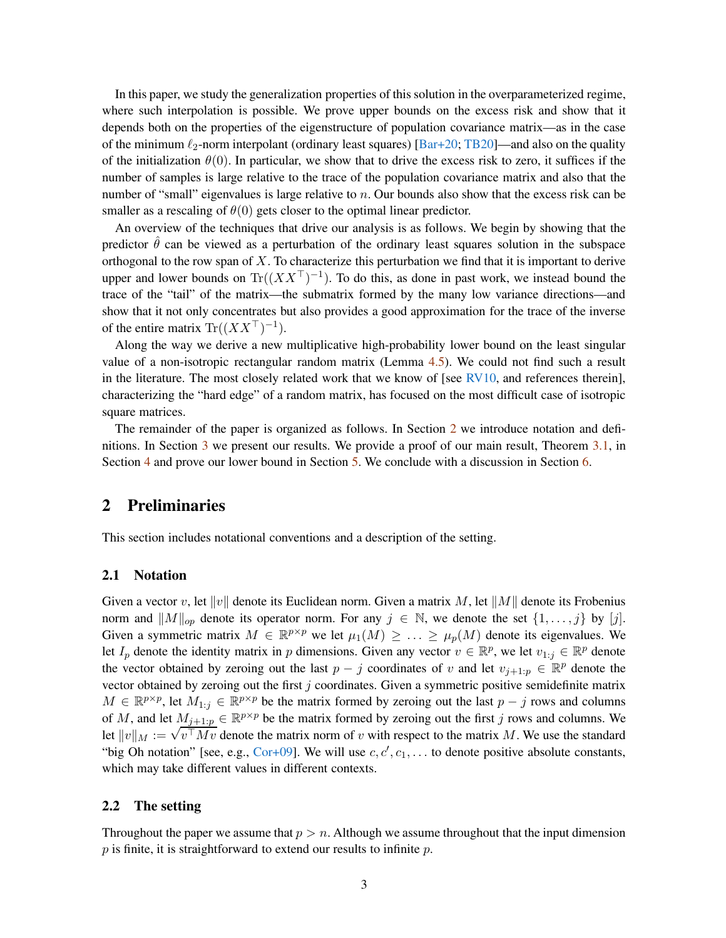<span id="page-2-3"></span>In this paper, we study the generalization properties of this solution in the overparameterized regime, where such interpolation is possible. We prove upper bounds on the excess risk and show that it depends both on the properties of the eigenstructure of population covariance matrix—as in the case of the minimum  $\ell_2$ -norm interpolant (ordinary least squares) [\[Bar+20](#page-40-0); [TB20](#page-43-2)]—and also on the quality of the initialization  $\theta(0)$ . In particular, we show that to drive the excess risk to zero, it suffices if the number of samples is large relative to the trace of the population covariance matrix and also that the number of "small" eigenvalues is large relative to  $n$ . Our bounds also show that the excess risk can be smaller as a rescaling of  $\theta(0)$  gets closer to the optimal linear predictor.

An overview of the techniques that drive our analysis is as follows. We begin by showing that the predictor  $\hat{\theta}$  can be viewed as a perturbation of the ordinary least squares solution in the subspace orthogonal to the row span of  $X$ . To characterize this perturbation we find that it is important to derive upper and lower bounds on  $\text{Tr}((XX^{\top})^{-1})$ . To do this, as done in past work, we instead bound the trace of the "tail" of the matrix—the submatrix formed by the many low variance directions—and show that it not only concentrates but also provides a good approximation for the trace of the inverse of the entire matrix  $\text{Tr}((XX^{\top})^{-1})$ .

Along the way we derive a new multiplicative high-probability lower bound on the least singular value of a non-isotropic rectangular random matrix (Lemma [4.5\)](#page-11-5). We could not find such a result in the literature. The most closely related work that we know of [see [RV10](#page-43-7), and references therein], characterizing the "hard edge" of a random matrix, has focused on the most difficult case of isotropic square matrices.

The remainder of the paper is organized as follows. In Section [2](#page-2-0) we introduce notation and definitions. In Section [3](#page-5-0) we present our results. We provide a proof of our main result, Theorem [3.1,](#page-5-1) in Section [4](#page-7-0) and prove our lower bound in Section [5.](#page-33-0) We conclude with a discussion in Section [6.](#page-34-0)

### <span id="page-2-0"></span>2 Preliminaries

This section includes notational conventions and a description of the setting.

#### <span id="page-2-1"></span>2.1 Notation

Given a vector v, let  $||v||$  denote its Euclidean norm. Given a matrix M, let  $||M||$  denote its Frobenius norm and  $||M||_{op}$  denote its operator norm. For any  $j \in \mathbb{N}$ , we denote the set  $\{1, \ldots, j\}$  by  $[j]$ . Given a symmetric matrix  $M \in \mathbb{R}^{p \times p}$  we let  $\mu_1(M) \geq \ldots \geq \mu_p(M)$  denote its eigenvalues. We let  $I_p$  denote the identity matrix in p dimensions. Given any vector  $v \in \mathbb{R}^p$ , we let  $v_{1:j} \in \mathbb{R}^p$  denote the vector obtained by zeroing out the last  $p - j$  coordinates of v and let  $v_{j+1:p} \in \mathbb{R}^p$  denote the vector obtained by zeroing out the first  $j$  coordinates. Given a symmetric positive semidefinite matrix  $M \in \mathbb{R}^{p \times p}$ , let  $M_{1:j} \in \mathbb{R}^{p \times p}$  be the matrix formed by zeroing out the last  $p - j$  rows and columns of M, and let  $M_{j+1:p} \in \mathbb{R}^{p \times p}$  be the matrix formed by zeroing out the first j rows and columns. We Let  $||v||_M := \sqrt{v^{\top}Mv}$  denote the matrix norm of v with respect to the matrix M. We use the standard "big Oh notation" [see, e.g., [Cor+09\]](#page-41-13). We will use  $c, c', c_1, \ldots$  to denote positive absolute constants, which may take different values in different contexts.

#### <span id="page-2-2"></span>2.2 The setting

Throughout the paper we assume that  $p > n$ . Although we assume throughout that the input dimension  $p$  is finite, it is straightforward to extend our results to infinite  $p$ .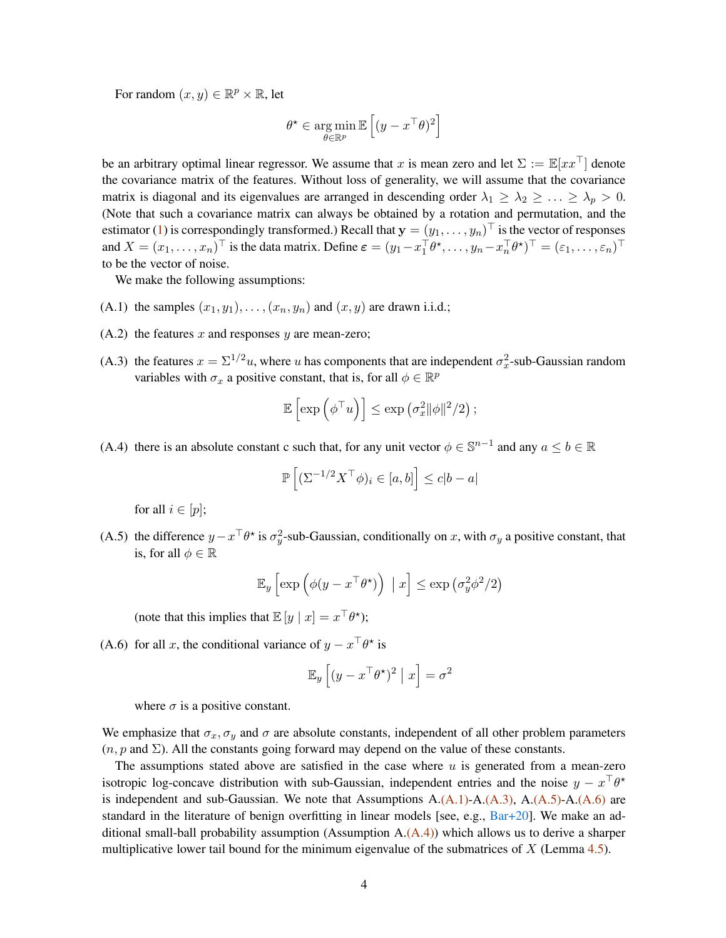For random  $(x, y) \in \mathbb{R}^p \times \mathbb{R}$ , let

$$
\theta^\star \in \operatornamewithlimits{arg\,min}_{\theta \in \mathbb{R}^p} \mathbb{E}\left[(y - x^\top \theta)^2\right]
$$

be an arbitrary optimal linear regressor. We assume that x is mean zero and let  $\Sigma := \mathbb{E}[xx^\top]$  denote the covariance matrix of the features. Without loss of generality, we will assume that the covariance matrix is diagonal and its eigenvalues are arranged in descending order  $\lambda_1 \geq \lambda_2 \geq \ldots \geq \lambda_p > 0$ . (Note that such a covariance matrix can always be obtained by a rotation and permutation, and the estimator [\(1\)](#page-1-1) is correspondingly transformed.) Recall that  $y = (y_1, \dots, y_n)^\top$  is the vector of responses and  $X = (x_1, \dots, x_n)^\top$  is the data matrix. Define  $\varepsilon = (y_1 - x_1^\top \theta^*, \dots, y_n - x_n^\top \theta^*)^\top = (\varepsilon_1, \dots, \varepsilon_n)^\top$ to be the vector of noise.

<span id="page-3-0"></span>We make the following assumptions:

- (A.1) the samples  $(x_1, y_1), \ldots, (x_n, y_n)$  and  $(x, y)$  are drawn i.i.d.;
- <span id="page-3-1"></span> $(A.2)$  the features x and responses y are mean-zero;
- (A.3) the features  $x = \sum^{1/2} u$ , where u has components that are independent  $\sigma_x^2$ -sub-Gaussian random variables with  $\sigma_x$  a positive constant, that is, for all  $\phi \in \mathbb{R}^p$

$$
\mathbb{E}\left[\exp\left(\phi^\top u\right)\right] \leq \exp\left(\sigma_x^2 \|\phi\|^2/2\right);
$$

<span id="page-3-4"></span>(A.4) there is an absolute constant c such that, for any unit vector  $\phi \in \mathbb{S}^{n-1}$  and any  $a \le b \in \mathbb{R}$ 

$$
\mathbb{P}\left[(\Sigma^{-1/2}X^\top \phi)_i \in [a,b]\right] \leq c|b-a|
$$

for all  $i \in [p]$ ;

<span id="page-3-2"></span>(A.5) the difference  $y - x^{\top} \theta^*$  is  $\sigma_y^2$ -sub-Gaussian, conditionally on x, with  $\sigma_y$  a positive constant, that is, for all  $\phi \in \mathbb{R}$ 

$$
\mathbb{E}_y\left[\exp\left(\phi(y - x^\top \theta^\star)\right) \mid x\right] \le \exp\left(\sigma_y^2 \phi^2/2\right)
$$

(note that this implies that  $\mathbb{E}[y | x] = x^{\top} \theta^*$ );

<span id="page-3-3"></span>(A.6) for all x, the conditional variance of  $y - x^{\top} \theta^*$  is

$$
\mathbb{E}_y\left[ (y - x^\top \theta^\star)^2 \mid x \right] = \sigma^2
$$

where  $\sigma$  is a positive constant.

We emphasize that  $\sigma_x$ ,  $\sigma_y$  and  $\sigma$  are absolute constants, independent of all other problem parameters  $(n, p \text{ and } \Sigma)$ . All the constants going forward may depend on the value of these constants.

The assumptions stated above are satisfied in the case where  $u$  is generated from a mean-zero isotropic log-concave distribution with sub-Gaussian, independent entries and the noise  $y - x^{\top}\theta^*$ is independent and sub-Gaussian. We note that Assumptions  $A.(A.1)$ - $A.(A.3)$ ,  $A.(A.5)$ - $A.(A.6)$  $A.(A.6)$  are standard in the literature of benign overfitting in linear models [see, e.g., [Bar+20\]](#page-40-0). We make an additional small-ball probability assumption (Assumption  $A(A,4)$ ) which allows us to derive a sharper multiplicative lower tail bound for the minimum eigenvalue of the submatrices of  $X$  (Lemma [4.5\)](#page-11-5).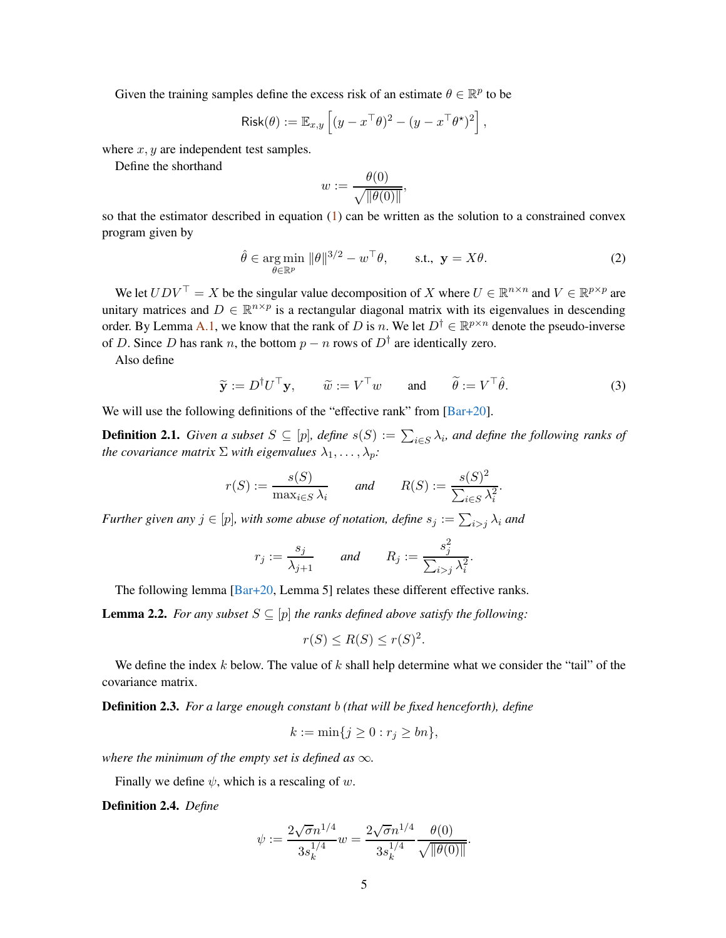Given the training samples define the excess risk of an estimate  $\theta \in \mathbb{R}^p$  to be

$$
\text{Risk}(\theta) := \mathbb{E}_{x,y} \left[ (y - x^\top \theta)^2 - (y - x^\top \theta^\star)^2 \right],
$$

where  $x, y$  are independent test samples.

Define the shorthand

<span id="page-4-1"></span>
$$
w := \frac{\theta(0)}{\sqrt{\|\theta(0)\|}},
$$

so that the estimator described in equation  $(1)$  can be written as the solution to a constrained convex program given by

$$
\hat{\theta} \in \underset{\theta \in \mathbb{R}^p}{\arg \min} \|\theta\|^{3/2} - w^\top \theta, \qquad \text{s.t., } \mathbf{y} = X\theta.
$$
 (2)

We let  $UDV^{\top} = X$  be the singular value decomposition of X where  $U \in \mathbb{R}^{n \times n}$  and  $V \in \mathbb{R}^{p \times p}$  are unitary matrices and  $D \in \mathbb{R}^{n \times p}$  is a rectangular diagonal matrix with its eigenvalues in descending order. By Lemma [A.1,](#page-35-2) we know that the rank of D is n. We let  $D^{\dagger} \in \mathbb{R}^{p \times n}$  denote the pseudo-inverse of D. Since D has rank n, the bottom  $p - n$  rows of  $D^{\dagger}$  are identically zero.

Also define

$$
\widetilde{\mathbf{y}} := D^{\dagger} U^{\top} \mathbf{y}, \qquad \widetilde{w} := V^{\top} w \qquad \text{and} \qquad \widetilde{\theta} := V^{\top} \widehat{\theta}.
$$
\n(3)

We will use the following definitions of the "effective rank" from [\[Bar+20](#page-40-0)].

**Definition 2.1.** *Given a subset*  $S \subseteq [p]$ *, define*  $s(S) := \sum_{i \in S} \lambda_i$ *, and define the following ranks of the covariance matrix*  $\Sigma$  *with eigenvalues*  $\lambda_1, \ldots, \lambda_p$ *:* 

$$
r(S) := \frac{s(S)}{\max_{i \in S} \lambda_i}
$$
 and  $R(S) := \frac{s(S)^2}{\sum_{i \in S} \lambda_i^2}$ .

*Further given any*  $j \in [p]$ , with some abuse of notation, define  $s_j := \sum_{i > j} \lambda_i$  and

$$
r_j := \frac{s_j}{\lambda_{j+1}} \qquad \text{and} \qquad R_j := \frac{s_j^2}{\sum_{i>j} \lambda_i^2}.
$$

The following lemma  $\overline{Bar+20}$ , Lemma 5] relates these different effective ranks.

<span id="page-4-0"></span>**Lemma 2.2.** *For any subset*  $S \subseteq [p]$  *the ranks defined above satisfy the following:* 

$$
r(S) \le R(S) \le r(S)^2.
$$

We define the index k below. The value of k shall help determine what we consider the "tail" of the covariance matrix.

<span id="page-4-2"></span>Definition 2.3. *For a large enough constant* b *(that will be fixed henceforth), define*

$$
k := \min\{j \ge 0 : r_j \ge bn\},\
$$

*where the minimum of the empty set is defined as*  $\infty$ *.* 

Finally we define  $\psi$ , which is a rescaling of w.

Definition 2.4. *Define*

$$
\psi := \frac{2\sqrt{\sigma}n^{1/4}}{3s_k^{1/4}}w = \frac{2\sqrt{\sigma}n^{1/4}}{3s_k^{1/4}} \frac{\theta(0)}{\sqrt{\|\theta(0)\|}}.
$$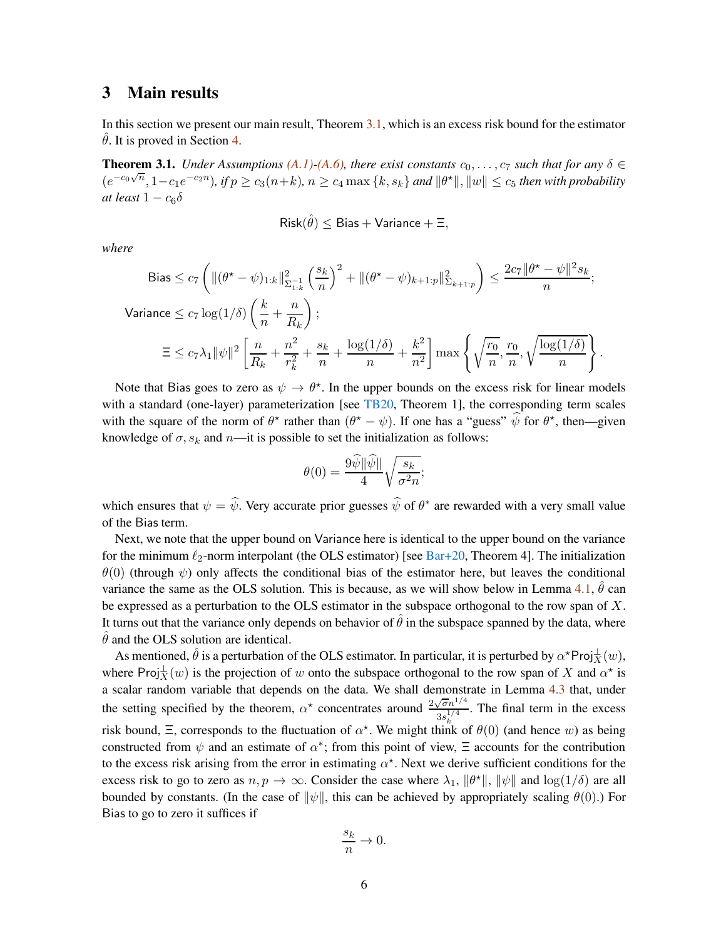### <span id="page-5-2"></span><span id="page-5-0"></span>3 Main results

In this section we present our main result, Theorem [3.1,](#page-5-1) which is an excess risk bound for the estimator  $\hat{\theta}$ . It is proved in Section [4.](#page-7-0)

<span id="page-5-1"></span>**Theorem 3.1.** *Under Assumptions*  $(A.1)$ *-* $(A.6)$ *,* there exist constants  $c_0, \ldots, c_7$  such that for any  $\delta \in$  $(e^{-c_0\sqrt{n}}, 1-c_1e^{-c_2n}),$  if  $p \ge c_3(n+k)$ ,  $n \ge c_4 \max\{k, s_k\}$  and  $\|\theta^*\|$ ,  $\|w\| \le c_5$  then with probability *at least*  $1 - c_6\delta$ 

$$
\mathsf{Risk}(\hat{\theta}) \leq \mathsf{Bias} + \mathsf{Variance} + \Xi,
$$

*where*

$$
\begin{split} \text{Bias} &\leq c_7 \left( \| (\theta^\star - \psi)_{1:k} \|_{\Sigma_{1:k}^{-1}}^2 \left( \frac{s_k}{n} \right)^2 + \| (\theta^\star - \psi)_{k+1:p} \|_{\Sigma_{k+1:p}}^2 \right) \leq \frac{2c_7 \| \theta^\star - \psi \|^2 s_k}{n}; \\ \text{Variance} &\leq c_7 \log(1/\delta) \left( \frac{k}{n} + \frac{n}{R_k} \right); \\ &\equiv \leq c_7 \lambda_1 \| \psi \|^2 \left[ \frac{n}{R_k} + \frac{n^2}{r_k^2} + \frac{s_k}{n} + \frac{\log(1/\delta)}{n} + \frac{k^2}{n^2} \right] \max \left\{ \sqrt{\frac{r_0}{n}}, \frac{r_0}{n}, \sqrt{\frac{\log(1/\delta)}{n}} \right\}. \end{split}
$$

Note that Bias goes to zero as  $\psi \to \theta^*$ . In the upper bounds on the excess risk for linear models with a standard (one-layer) parameterization [see [TB20,](#page-43-2) Theorem 1], the corresponding term scales with the square of the norm of  $\theta^*$  rather than  $(\theta^* - \psi)$ . If one has a "guess"  $\hat{\psi}$  for  $\theta^*$ , then—given knowledge of  $\sigma$ ,  $s_k$  and  $n$ —it is possible to set the initialization as follows:

$$
\theta(0) = \frac{9\widehat{\psi}\|\widehat{\psi}\|}{4}\sqrt{\frac{s_k}{\sigma^2 n}};
$$

which ensures that  $\psi = \psi$ . Very accurate prior guesses  $\psi$  of  $\theta^*$  are rewarded with a very small value of the Bias term.

Next, we note that the upper bound on Variance here is identical to the upper bound on the variance for the minimum  $\ell_2$ -norm interpolant (the OLS estimator) [see [Bar+20](#page-40-0), Theorem 4]. The initialization  $\theta(0)$  (through  $\psi$ ) only affects the conditional bias of the estimator here, but leaves the conditional variance the same as the OLS solution. This is because, as we will show below in Lemma [4.1,](#page-7-1)  $\hat{\theta}$  can be expressed as a perturbation to the OLS estimator in the subspace orthogonal to the row span of  $X$ . It turns out that the variance only depends on behavior of  $\hat{\theta}$  in the subspace spanned by the data, where  $\ddot{\theta}$  and the OLS solution are identical.

As mentioned,  $\hat{\theta}$  is a perturbation of the OLS estimator. In particular, it is perturbed by  $\alpha^*$ Proj $\frac{1}{X}(w)$ , where Proj $\frac{1}{X}(w)$  is the projection of w onto the subspace orthogonal to the row span of X and  $\alpha^*$  is a scalar random variable that depends on the data. We shall demonstrate in Lemma [4.3](#page-11-3) that, under the setting specified by the theorem,  $\alpha^*$  concentrates around  $\frac{2\sqrt{\sigma}n^{1/4}}{n^{1/4}}$  $3s_k^{1/4}$ . The final term in the excess risk bound,  $\Xi$ , corresponds to the fluctuation of  $\alpha^*$ . We might think of  $\theta(0)$  (and hence w) as being constructed from  $\psi$  and an estimate of  $\alpha^*$ ; from this point of view,  $\Xi$  accounts for the contribution to the excess risk arising from the error in estimating  $\alpha^*$ . Next we derive sufficient conditions for the excess risk to go to zero as  $n, p \to \infty$ . Consider the case where  $\lambda_1$ ,  $\|\theta^*\|$ ,  $\|\psi\|$  and  $\log(1/\delta)$  are all bounded by constants. (In the case of  $\|\psi\|$ , this can be achieved by appropriately scaling  $\theta(0)$ .) For Bias to go to zero it suffices if

$$
\frac{s_k}{n}\to 0.
$$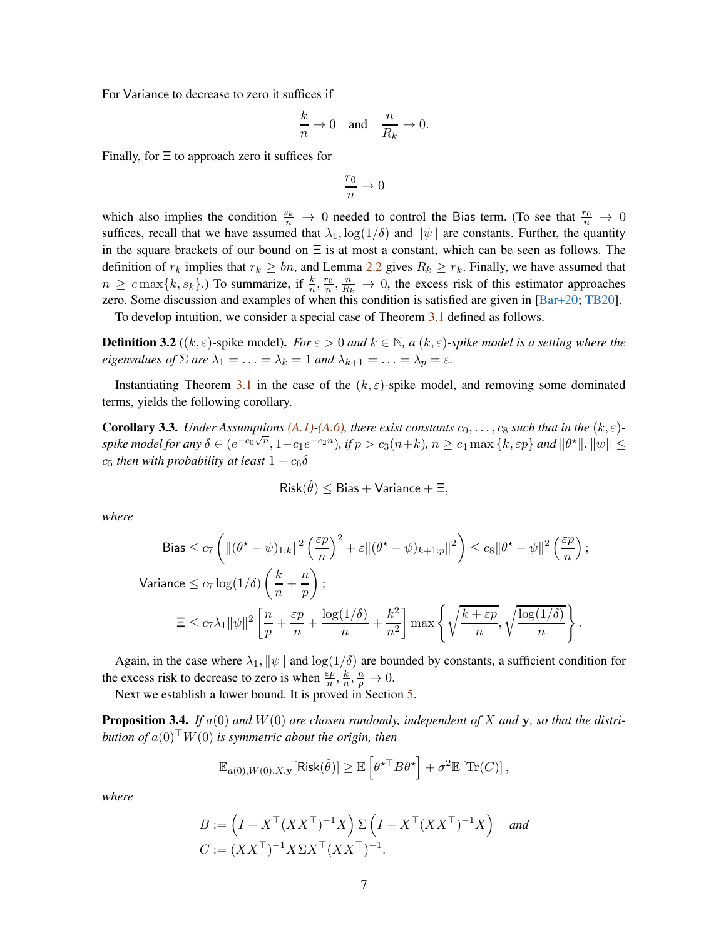For Variance to decrease to zero it suffices if

$$
\frac{k}{n} \to 0 \quad \text{and} \quad \frac{n}{R_k} \to 0.
$$

Finally, for  $\Xi$  to approach zero it suffices for

$$
\frac{r_0}{n}\to 0
$$

which also implies the condition  $\frac{s_k}{n} \to 0$  needed to control the Bias term. (To see that  $\frac{r_0}{n} \to 0$ suffices, recall that we have assumed that  $\lambda_1$ ,  $\log(1/\delta)$  and  $\|\psi\|$  are constants. Further, the quantity in the square brackets of our bound on  $\Xi$  is at most a constant, which can be seen as follows. The definition of  $r_k$  implies that  $r_k \geq bn$ , and Lemma [2.2](#page-4-0) gives  $R_k \geq r_k$ . Finally, we have assumed that  $n \geq c \max\{k, s_k\}$ .) To summarize, if  $\frac{k}{n}, \frac{r_0}{n}, \frac{n}{R_k} \to 0$ , the excess risk of this estimator approaches zero. Some discussion and examples of when this condition is satisfied are given in [\[Bar+20;](#page-40-0) [TB20](#page-43-2)].

To develop intuition, we consider a special case of Theorem [3.1](#page-5-1) defined as follows.

**Definition 3.2** ((k,  $\varepsilon$ )-spike model). *For*  $\varepsilon > 0$  *and*  $k \in \mathbb{N}$ , a (k,  $\varepsilon$ )-spike model is a setting where the *eigenvalues of*  $\Sigma$  *are*  $\lambda_1 = \ldots = \lambda_k = 1$  *and*  $\lambda_{k+1} = \ldots = \lambda_p = \varepsilon$ *.* 

Instantiating Theorem [3.1](#page-5-1) in the case of the  $(k, \varepsilon)$ -spike model, and removing some dominated terms, yields the following corollary.

**Corollary 3.3.** *Under Assumptions*  $(A.1)$ *-* $(A.6)$ *,* there exist constants  $c_0, \ldots, c_8$  such that in the  $(k, \varepsilon)$  $s$ *pike model for any*  $\delta \in (e^{-c_0\sqrt{n}}, 1-c_1e^{-c_2n})$ , if  $p > c_3(n+k)$ ,  $n \ge c_4 \max\{k, \varepsilon p\}$  and  $\|\theta^{\star}\|$ ,  $\|w\| \le c_5$  $c_5$  *then with probability at least*  $1 - c_6 \delta$ 

$$
\mathsf{Risk}(\hat{\theta}) \leq \mathsf{Bias} + \mathsf{Variance} + \Xi,
$$

*where*

$$
\begin{split} \text{Bias} &\leq c_7 \left( \| (\theta^\star - \psi)_{1:k} \|^2 \left( \frac{\varepsilon p}{n} \right)^2 + \varepsilon \| (\theta^\star - \psi)_{k+1:p} \|^2 \right) \leq c_8 \| \theta^\star - \psi \|^2 \left( \frac{\varepsilon p}{n} \right); \\ \text{Variance} &\leq c_7 \log(1/\delta) \left( \frac{k}{n} + \frac{n}{p} \right); \\ &\equiv \leq c_7 \lambda_1 \| \psi \|^2 \left[ \frac{n}{p} + \frac{\varepsilon p}{n} + \frac{\log(1/\delta)}{n} + \frac{k^2}{n^2} \right] \max \left\{ \sqrt{\frac{k + \varepsilon p}{n}}, \sqrt{\frac{\log(1/\delta)}{n}} \right\}. \end{split}
$$

Again, in the case where  $\lambda_1$ ,  $\|\psi\|$  and  $\log(1/\delta)$  are bounded by constants, a sufficient condition for the excess risk to decrease to zero is when  $\frac{\varepsilon p}{n}$ ,  $\frac{k}{n}$  $\frac{k}{n}, \frac{n}{p}$  $\frac{n}{p} \to 0.$ 

Next we establish a lower bound. It is proved in Section [5.](#page-33-0)

<span id="page-6-0"></span>Proposition 3.4. *If* a(0) *and* W(0) *are chosen randomly, independent of* X *and* y*, so that the distribution of*  $a(0)^\top W(0)$  *is symmetric about the origin, then* 

$$
\mathbb{E}_{a(0),W(0),X,\mathbf{y}}[\operatorname{Risk}(\hat{\theta})] \geq \mathbb{E}\left[\theta^{\star \top} B \theta^{\star}\right] + \sigma^2 \mathbb{E}\left[\operatorname{Tr}(C)\right],
$$

*where*

$$
B := \left(I - X^\top (XX^\top)^{-1} X\right) \Sigma \left(I - X^\top (XX^\top)^{-1} X\right) \quad \text{and}
$$
  

$$
C := (XX^\top)^{-1} X \Sigma X^\top (XX^\top)^{-1}.
$$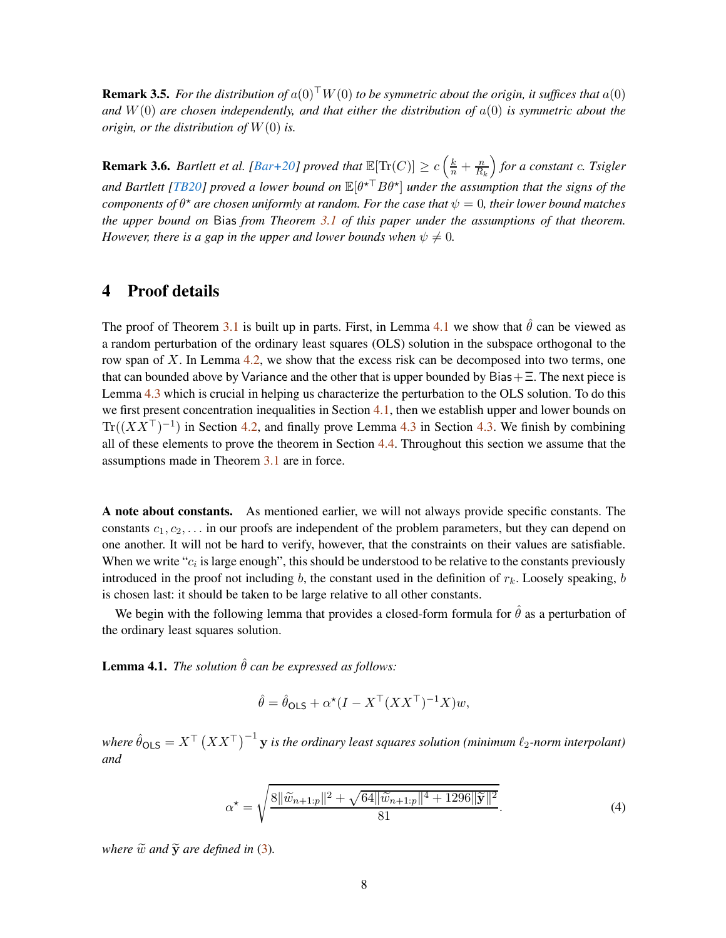<span id="page-7-2"></span>**Remark 3.5.** *For the distribution of*  $a(0)^\top W(0)$  *to be symmetric about the origin, it suffices that*  $a(0)$ and  $W(0)$  are chosen independently, and that either the distribution of  $a(0)$  is symmetric about the *origin, or the distribution of* W(0) *is.*

**Remark 3.6.** *Bartlett et al. [\[Bar+20](#page-40-0)] proved that*  $\mathbb{E}[\text{Tr}(C)] \geq c \left(\frac{k}{n} + \frac{n}{R_i}\right)$  $R_k$  *for a constant* c*. Tsigler and Bartlett [\[TB20](#page-43-2)] proved a lower bound on*  $\mathbb{E}[\theta \star^\top B \theta^\star]$  *under the assumption that the signs of the components of*  $\theta^{\star}$  *are chosen uniformly at random. For the case that*  $\psi = 0$ , *their lower bound matches the upper bound on* Bias *from Theorem [3.1](#page-5-1) of this paper under the assumptions of that theorem. However, there is a gap in the upper and lower bounds when*  $\psi \neq 0$ *.* 

### <span id="page-7-0"></span>4 Proof details

The proof of Theorem [3.1](#page-5-1) is built up in parts. First, in Lemma [4.1](#page-7-1) we show that  $\hat{\theta}$  can be viewed as a random perturbation of the ordinary least squares (OLS) solution in the subspace orthogonal to the row span of  $X$ . In Lemma [4.2,](#page-10-0) we show that the excess risk can be decomposed into two terms, one that can bounded above by Variance and the other that is upper bounded by  $Bias + \Xi$ . The next piece is Lemma [4.3](#page-11-3) which is crucial in helping us characterize the perturbation to the OLS solution. To do this we first present concentration inequalities in Section [4.1,](#page-11-0) then we establish upper and lower bounds on  $Tr((XX<sup>T</sup>)<sup>-1</sup>)$  in Section [4.2,](#page-11-1) and finally prove Lemma [4.3](#page-11-3) in Section [4.3.](#page-26-1) We finish by combining all of these elements to prove the theorem in Section [4.4.](#page-30-0) Throughout this section we assume that the assumptions made in Theorem [3.1](#page-5-1) are in force.

A note about constants. As mentioned earlier, we will not always provide specific constants. The constants  $c_1, c_2, \ldots$  in our proofs are independent of the problem parameters, but they can depend on one another. It will not be hard to verify, however, that the constraints on their values are satisfiable. When we write " $c_i$  is large enough", this should be understood to be relative to the constants previously introduced in the proof not including b, the constant used in the definition of  $r_k$ . Loosely speaking, b is chosen last: it should be taken to be large relative to all other constants.

We begin with the following lemma that provides a closed-form formula for  $\hat{\theta}$  as a perturbation of the ordinary least squares solution.

<span id="page-7-1"></span>**Lemma 4.1.** *The solution*  $\hat{\theta}$  *can be expressed as follows:* 

$$
\hat{\theta} = \hat{\theta}_{\text{OLS}} + \alpha^{\star} (I - X^{\top} (XX^{\top})^{-1} X) w,
$$

where  $\hat{\theta}_{\mathsf{OLS}} = X^\top \left( XX^\top \right)^{-1} \mathbf{y}$  is the ordinary least squares solution (minimum  $\ell_2$ -norm interpolant) *and*

$$
\alpha^* = \sqrt{\frac{8\|\widetilde{w}_{n+1:p}\|^2 + \sqrt{64\|\widetilde{w}_{n+1:p}\|^4 + 1296\|\widetilde{\mathbf{y}}\|^2}}{81}}.
$$
\n(4)

*where*  $\widetilde{w}$  *and*  $\widetilde{y}$  *are defined in* [\(3\)](#page-4-1)*.*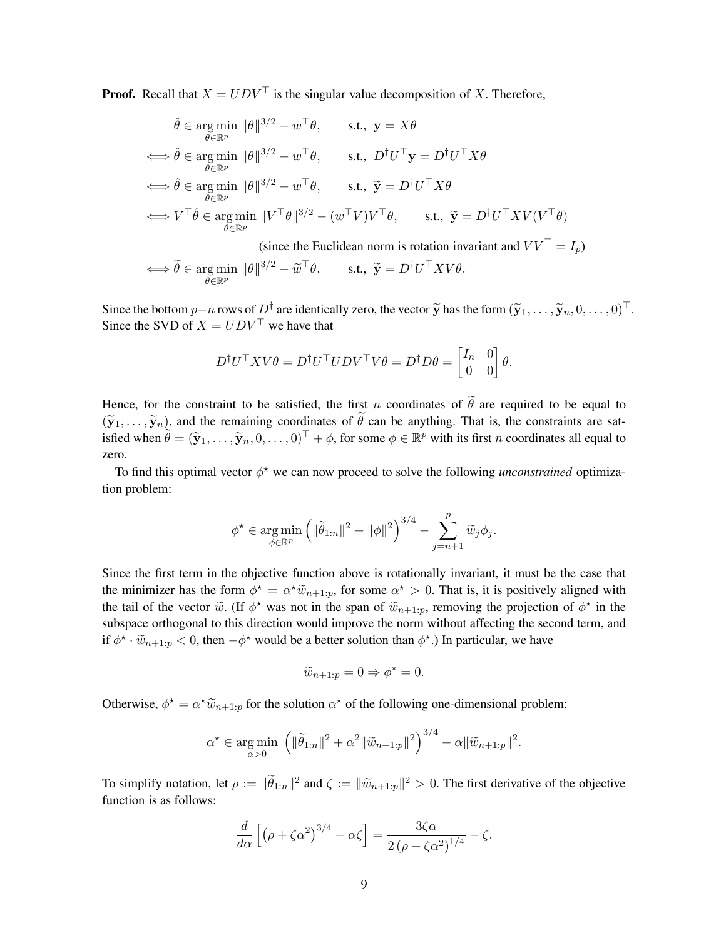**Proof.** Recall that  $X = UDV^\top$  is the singular value decomposition of X. Therefore,

$$
\hat{\theta} \in \underset{\theta \in \mathbb{R}^p}{\arg \min} \|\theta\|^{3/2} - w^{\top} \theta, \qquad \text{s.t., } \mathbf{y} = X\theta
$$
\n
$$
\iff \hat{\theta} \in \underset{\theta \in \mathbb{R}^p}{\arg \min} \|\theta\|^{3/2} - w^{\top} \theta, \qquad \text{s.t., } D^{\dagger} U^{\top} \mathbf{y} = D^{\dagger} U^{\top} X\theta
$$
\n
$$
\iff \hat{\theta} \in \underset{\theta \in \mathbb{R}^p}{\arg \min} \|\theta\|^{3/2} - w^{\top} \theta, \qquad \text{s.t., } \widetilde{\mathbf{y}} = D^{\dagger} U^{\top} X\theta
$$
\n
$$
\iff V^{\top} \hat{\theta} \in \underset{\theta \in \mathbb{R}^p}{\arg \min} \|\mathbf{V}^{\top} \theta\|^{3/2} - (w^{\top} V)V^{\top} \theta, \qquad \text{s.t., } \widetilde{\mathbf{y}} = D^{\dagger} U^{\top} X V(V^{\top} \theta)
$$

(since the Euclidean norm is rotation invariant and  $VV^\top = I_p$ )

$$
\iff \widetilde{\theta} \in \underset{\theta \in \mathbb{R}^p}{\arg \min} \ \|\theta\|^{3/2} - \widetilde{\omega}^\top \theta, \qquad \text{s.t., } \widetilde{\mathbf{y}} = D^\dagger U^\top X V \theta.
$$

Since the bottom  $p-n$  rows of  $D^{\dagger}$  are identically zero, the vector  $\tilde{\mathbf{y}}$  has the form  $(\tilde{\mathbf{y}}_1, \dots, \tilde{\mathbf{y}}_n, 0, \dots, 0)^{\top}$ . Since the SVD of  $X = UDV^\top$  we have that

$$
D^{\dagger}U^{\top}X V \theta = D^{\dagger}U^{\top}U D V^{\top} V \theta = D^{\dagger} D \theta = \begin{bmatrix} I_n & 0 \\ 0 & 0 \end{bmatrix} \theta.
$$

Hence, for the constraint to be satisfied, the first n coordinates of  $\tilde{\theta}$  are required to be equal to  $(\tilde{\mathbf{y}}_1,\ldots,\tilde{\mathbf{y}}_n)$ , and the remaining coordinates of  $\tilde{\theta}$  can be anything. That is, the constraints are satisfied when  $\widetilde{\theta} = (\widetilde{\mathbf{y}}_1, \dots, \widetilde{\mathbf{y}}_n, 0, \dots, 0)^\top + \phi$ , for some  $\phi \in \mathbb{R}^p$  with its first *n* coordinates all equal to zero.

To find this optimal vector  $\phi^*$  we can now proceed to solve the following *unconstrained* optimization problem:

$$
\phi^* \in \underset{\phi \in \mathbb{R}^p}{\arg \min} \left( \|\widetilde{\theta}_{1:n}\|^2 + \|\phi\|^2 \right)^{3/4} - \sum_{j=n+1}^p \widetilde{w}_j \phi_j.
$$

Since the first term in the objective function above is rotationally invariant, it must be the case that the minimizer has the form  $\phi^* = \alpha^* \widetilde{w}_{n+1:p}$ , for some  $\alpha^* > 0$ . That is, it is positively aligned with the tail of the vector  $\tilde{w}$ . (If  $\phi^*$  was not in the span of  $\tilde{w}_{n+1:p}$ , removing the projection of  $\phi^*$  in the subspace orthogonal to this direction would improve the norm without affecting the second term, and if  $\phi^* \cdot \tilde{w}_{n+1:p} < 0$ , then  $-\phi^*$  would be a better solution than  $\phi^*$ .) In particular, we have

$$
\widetilde{w}_{n+1:p} = 0 \Rightarrow \phi^* = 0.
$$

Otherwise,  $\phi^* = \alpha^* \widetilde{w}_{n+1:p}$  for the solution  $\alpha^*$  of the following one-dimensional problem:

$$
\alpha^* \in \underset{\alpha>0}{\text{arg min}} \left( \|\widetilde{\theta}_{1:n}\|^2 + \alpha^2 \|\widetilde{w}_{n+1:p}\|^2 \right)^{3/4} - \alpha \|\widetilde{w}_{n+1:p}\|^2.
$$

To simplify notation, let  $\rho := ||\tilde{\theta}_{1:n}||^2$  and  $\zeta := ||\tilde{w}_{n+1:p}||^2 > 0$ . The first derivative of the objective function is as follows:

$$
\frac{d}{d\alpha}\left[\left(\rho+\zeta\alpha^2\right)^{3/4}-\alpha\zeta\right]=\frac{3\zeta\alpha}{2\left(\rho+\zeta\alpha^2\right)^{1/4}}-\zeta.
$$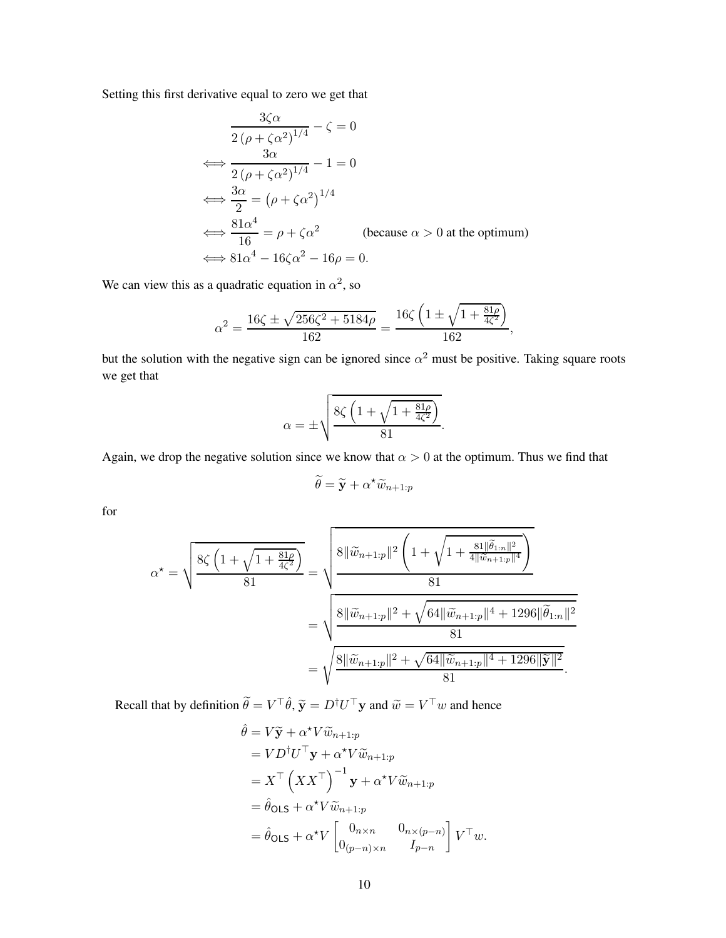Setting this first derivative equal to zero we get that

$$
\frac{3\zeta\alpha}{2(\rho + \zeta\alpha^2)^{1/4}} - \zeta = 0
$$
  
\n
$$
\iff \frac{3\alpha}{2(\rho + \zeta\alpha^2)^{1/4}} - 1 = 0
$$
  
\n
$$
\iff \frac{3\alpha}{2} = (\rho + \zeta\alpha^2)^{1/4}
$$
  
\n
$$
\iff \frac{81\alpha^4}{16} = \rho + \zeta\alpha^2 \qquad \text{(because } \alpha > 0 \text{ at the optimum)}
$$
  
\n
$$
\iff 81\alpha^4 - 16\zeta\alpha^2 - 16\rho = 0.
$$

We can view this as a quadratic equation in  $\alpha^2$ , so

$$
\alpha^2 = \frac{16\zeta \pm \sqrt{256\zeta^2 + 5184\rho}}{162} = \frac{16\zeta \left(1 \pm \sqrt{1 + \frac{81\rho}{4\zeta^2}}\right)}{162},
$$

but the solution with the negative sign can be ignored since  $\alpha^2$  must be positive. Taking square roots we get that

$$
\alpha = \pm \sqrt{\frac{8\zeta \left(1 + \sqrt{1 + \frac{81\rho}{4\zeta^2}}\right)}{81}}.
$$

Again, we drop the negative solution since we know that  $\alpha > 0$  at the optimum. Thus we find that

$$
\widetilde{\theta} = \widetilde{\mathbf{y}} + \alpha^{\star} \widetilde{w}_{n+1:p}
$$

for

$$
\alpha^* = \sqrt{\frac{8\zeta \left(1 + \sqrt{1 + \frac{81\rho}{4\zeta^2}}\right)}{81}} = \sqrt{\frac{8\|\widetilde{w}_{n+1:p}\|^2 \left(1 + \sqrt{1 + \frac{81\|\widetilde{\theta}_{1:n}\|^2}{4\|\widetilde{w}_{n+1:p}\|^4}}\right)}}{81}
$$

$$
= \sqrt{\frac{8\|\widetilde{w}_{n+1:p}\|^2 + \sqrt{64\|\widetilde{w}_{n+1:p}\|^4 + 1296\|\widetilde{\theta}_{1:n}\|^2}}{81}}
$$

$$
= \sqrt{\frac{8\|\widetilde{w}_{n+1:p}\|^2 + \sqrt{64\|\widetilde{w}_{n+1:p}\|^4 + 1296\|\widetilde{\mathbf{y}}\|^2}}{81}}.
$$

Recall that by definition  $\tilde{\theta} = V^{\top} \hat{\theta}$ ,  $\tilde{\mathbf{y}} = D^{\dagger} U^{\top} \mathbf{y}$  and  $\tilde{w} = V^{\top} w$  and hence

$$
\hat{\theta} = V\tilde{\mathbf{y}} + \alpha^{\star}V\tilde{w}_{n+1:p}
$$
\n
$$
= V D^{\dagger}U^{\top}\mathbf{y} + \alpha^{\star}V\tilde{w}_{n+1:p}
$$
\n
$$
= X^{\top} \left( XX^{\top} \right)^{-1}\mathbf{y} + \alpha^{\star}V\tilde{w}_{n+1:p}
$$
\n
$$
= \hat{\theta}_{\text{OLS}} + \alpha^{\star}V\tilde{w}_{n+1:p}
$$
\n
$$
= \hat{\theta}_{\text{OLS}} + \alpha^{\star}V \begin{bmatrix} 0_{n \times n} & 0_{n \times (p-n)} \\ 0_{(p-n) \times n} & I_{p-n} \end{bmatrix} V^{\top}w.
$$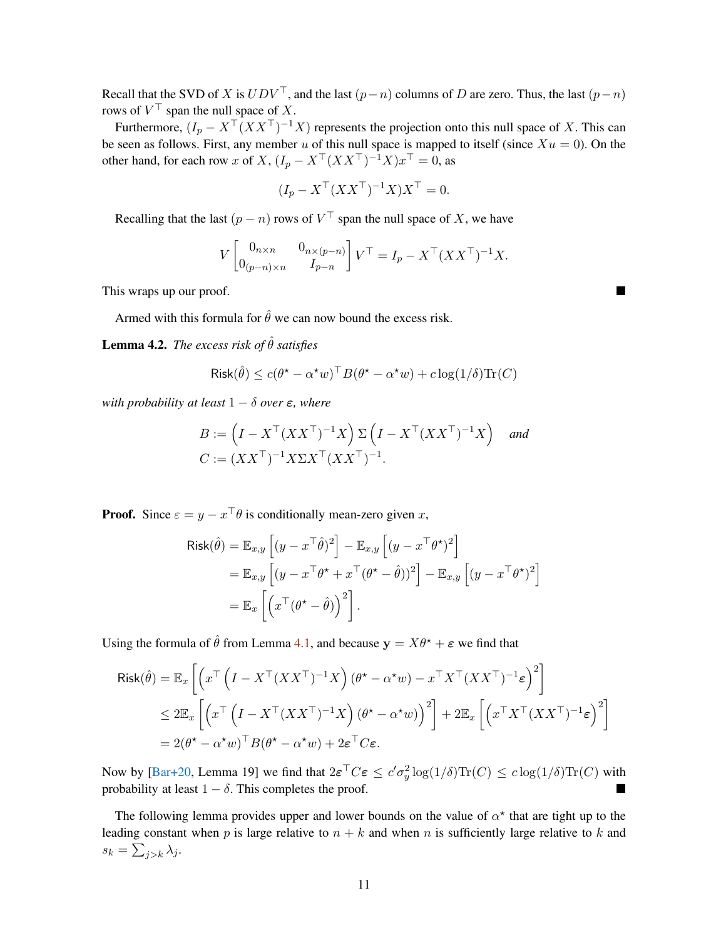<span id="page-10-1"></span>Recall that the SVD of X is  $UDV^{\top}$ , and the last  $(p-n)$  columns of D are zero. Thus, the last  $(p-n)$ rows of  $V^{\perp}$  span the null space of X.

Furthermore,  $(I_p - X^\top (XX^\top)^{-1}X)$  represents the projection onto this null space of X. This can be seen as follows. First, any member u of this null space is mapped to itself (since  $Xu = 0$ ). On the other hand, for each row x of X,  $(I_p - X^\top (XX^\top)^{-1}X)x^\top = 0$ , as

$$
(I_p - X^\top (XX^\top)^{-1}X)X^\top = 0.
$$

Recalling that the last  $(p - n)$  rows of  $V^{\perp}$  span the null space of X, we have

$$
V\begin{bmatrix} 0_{n \times n} & 0_{n \times (p-n)} \\ 0_{(p-n) \times n} & I_{p-n} \end{bmatrix} V^{\top} = I_p - X^{\top} (XX^{\top})^{-1} X.
$$

This wraps up our proof.

Armed with this formula for  $\hat{\theta}$  we can now bound the excess risk.

<span id="page-10-0"></span>**Lemma 4.2.** *The excess risk of*  $\hat{\theta}$  *satisfies* 

$$
\text{Risk}(\hat{\theta}) \le c(\theta^* - \alpha^* w)^\top B(\theta^* - \alpha^* w) + c \log(1/\delta) \text{Tr}(C)
$$

*with probability at least*  $1 - \delta$  *over*  $\epsilon$ *, where* 

$$
B := \left(I - X^\top (XX^\top)^{-1} X\right) \Sigma \left(I - X^\top (XX^\top)^{-1} X\right) \quad \text{and}
$$
  

$$
C := (XX^\top)^{-1} X \Sigma X^\top (XX^\top)^{-1}.
$$

**Proof.** Since  $\varepsilon = y - x^\top \theta$  is conditionally mean-zero given x,

$$
Risk(\hat{\theta}) = \mathbb{E}_{x,y} \left[ (y - x^{\top} \hat{\theta})^2 \right] - \mathbb{E}_{x,y} \left[ (y - x^{\top} \theta^{\star})^2 \right]
$$
  
=  $\mathbb{E}_{x,y} \left[ (y - x^{\top} \theta^{\star} + x^{\top} (\theta^{\star} - \hat{\theta}))^2 \right] - \mathbb{E}_{x,y} \left[ (y - x^{\top} \theta^{\star})^2 \right]$   
=  $\mathbb{E}_{x} \left[ \left( x^{\top} (\theta^{\star} - \hat{\theta}) \right)^2 \right].$ 

Using the formula of  $\hat{\theta}$  from Lemma [4.1,](#page-7-1) and because  $y = X\theta^* + \epsilon$  we find that

$$
\begin{split} \mathsf{Risk}(\hat{\theta}) &= \mathbb{E}_x \left[ \left( x^\top \left( I - X^\top (XX^\top)^{-1} X \right) (\theta^\star - \alpha^\star w) - x^\top X^\top (XX^\top)^{-1} \varepsilon \right)^2 \right] \\ &\leq 2 \mathbb{E}_x \left[ \left( x^\top \left( I - X^\top (XX^\top)^{-1} X \right) (\theta^\star - \alpha^\star w) \right)^2 \right] + 2 \mathbb{E}_x \left[ \left( x^\top X^\top (XX^\top)^{-1} \varepsilon \right)^2 \right] \\ &= 2 (\theta^\star - \alpha^\star w)^\top B (\theta^\star - \alpha^\star w) + 2 \varepsilon^\top C \varepsilon. \end{split}
$$

Now by [\[Bar+20](#page-40-0), Lemma 19] we find that  $2\varepsilon^{\top}C\varepsilon \leq c'\sigma_y^2 \log(1/\delta) \text{Tr}(C) \leq c \log(1/\delta) \text{Tr}(C)$  with probability at least  $1 - \delta$ . This completes the proof.

The following lemma provides upper and lower bounds on the value of  $\alpha^*$  that are tight up to the leading constant when p is large relative to  $n + k$  and when n is sufficiently large relative to k and  $s_k = \sum_{j>k} \lambda_j.$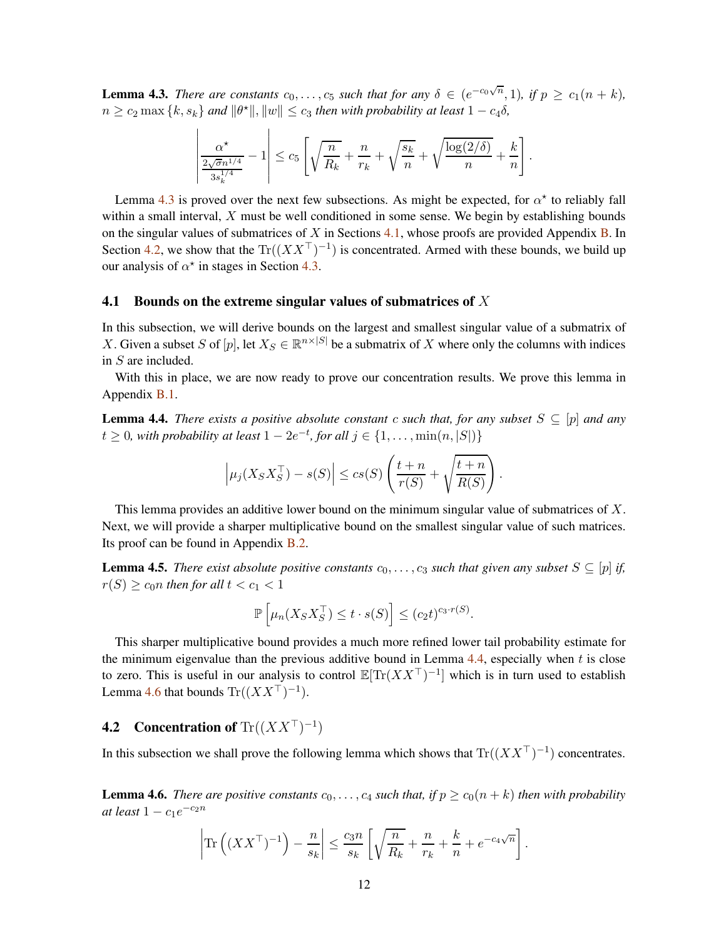<span id="page-11-3"></span>**Lemma 4.3.** *There are constants*  $c_0, \ldots, c_5$  *such that for any*  $\delta \in (e^{-c_0\sqrt{n}}, 1)$ *, if*  $p \ge c_1(n+k)$ *,*  $n \geq c_2 \max\{k, s_k\}$  and  $\|\theta^{\star}\|$ ,  $\|w\| \leq c_3$  then with probability at least  $1 - c_4 \delta$ ,

$$
\left|\frac{\alpha^{\star}}{\frac{2\sqrt{\sigma}n^{1/4}}{3s_k^{1/4}}}-1\right| \leq c_5 \left[\sqrt{\frac{n}{R_k}}+\frac{n}{r_k}+\sqrt{\frac{s_k}{n}}+\sqrt{\frac{\log(2/\delta)}{n}}+\frac{k}{n}\right].
$$

Lemma [4.3](#page-11-3) is proved over the next few subsections. As might be expected, for  $\alpha^*$  to reliably fall within a small interval,  $X$  must be well conditioned in some sense. We begin by establishing bounds on the singular values of submatrices of X in Sections  $4.1$ , whose proofs are provided Appendix [B.](#page-35-1) In Section [4.2,](#page-11-1) we show that the  $\text{Tr}((XX^{\top})^{-1})$  is concentrated. Armed with these bounds, we build up our analysis of  $\alpha^*$  in stages in Section [4.3.](#page-26-1)

#### <span id="page-11-0"></span>4.1 Bounds on the extreme singular values of submatrices of  $X$

In this subsection, we will derive bounds on the largest and smallest singular value of a submatrix of X. Given a subset S of  $[p]$ , let  $X_S \in \mathbb{R}^{n \times |S|}$  be a submatrix of X where only the columns with indices in S are included.

With this in place, we are now ready to prove our concentration results. We prove this lemma in Appendix [B.1.](#page-36-0)

<span id="page-11-4"></span>**Lemma 4.4.** *There exists a positive absolute constant* c *such that, for any subset*  $S \subseteq [p]$  *and any*  $t \geq 0$ , with probability at least  $1 - 2e^{-t}$ , for all  $j \in \{1, \ldots, \min(n, |S|)\}$ 

$$
\left|\mu_j(X_S X_S^\top) - s(S)\right| \leq c s(S) \left(\frac{t+n}{r(S)} + \sqrt{\frac{t+n}{R(S)}}\right).
$$

This lemma provides an additive lower bound on the minimum singular value of submatrices of X. Next, we will provide a sharper multiplicative bound on the smallest singular value of such matrices. Its proof can be found in Appendix [B.2.](#page-37-0)

<span id="page-11-5"></span>**Lemma 4.5.** *There exist absolute positive constants*  $c_0, \ldots, c_3$  *such that given any subset*  $S \subseteq [p]$  *if,*  $r(S) \geq c_0 n$  then for all  $t < c_1 < 1$ 

$$
\mathbb{P}\left[\mu_n(X_S X_S^\top) \le t \cdot s(S)\right] \le (c_2 t)^{c_3 \cdot r(S)}.
$$

This sharper multiplicative bound provides a much more refined lower tail probability estimate for the minimum eigenvalue than the previous additive bound in Lemma  $4.4$ , especially when t is close to zero. This is useful in our analysis to control  $\mathbb{E}[Tr(XX^{\top})^{-1}]$  which is in turn used to establish Lemma [4.6](#page-11-2) that bounds  $\text{Tr}((XX^\top)^{-1})$ .

# <span id="page-11-1"></span>**4.2** Concentration of  $\text{Tr}((XX^\top)^{-1})$

In this subsection we shall prove the following lemma which shows that  $\text{Tr}((XX^{\top})^{-1})$  concentrates.

<span id="page-11-2"></span>**Lemma 4.6.** *There are positive constants*  $c_0, \ldots, c_4$  *such that, if*  $p \ge c_0(n+k)$  *then with probability*  $at$  *least*  $1 - c_1e^{-c_2n}$ 

$$
\left|\text{Tr}\left((XX^\top)^{-1}\right) - \frac{n}{s_k}\right| \le \frac{c_3 n}{s_k} \left[\sqrt{\frac{n}{R_k}} + \frac{n}{r_k} + \frac{k}{n} + e^{-c_4\sqrt{n}}\right].
$$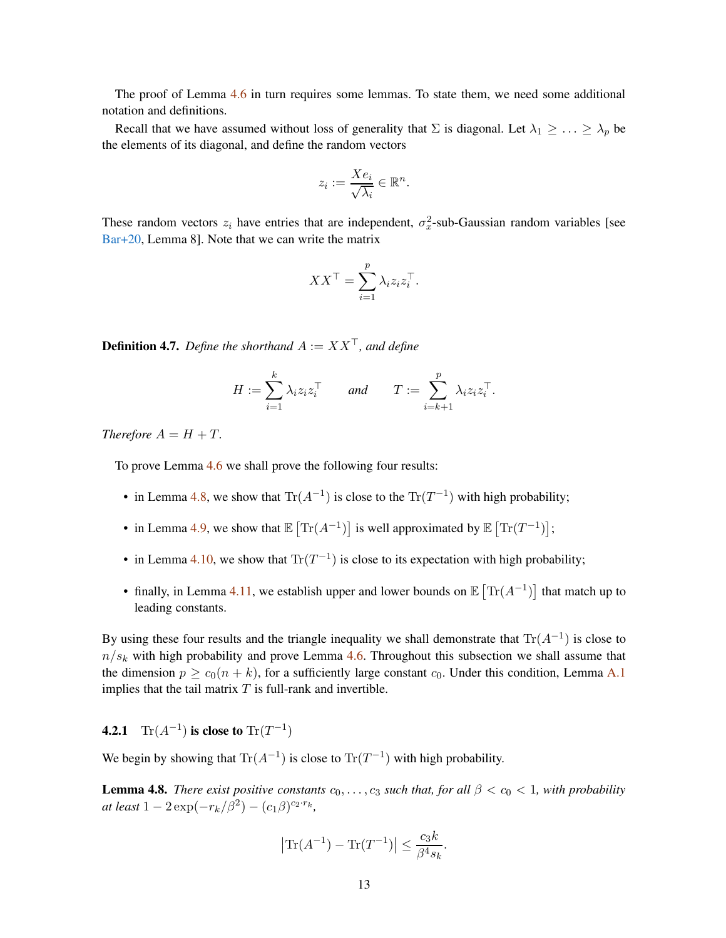<span id="page-12-3"></span>The proof of Lemma [4.6](#page-11-2) in turn requires some lemmas. To state them, we need some additional notation and definitions.

Recall that we have assumed without loss of generality that  $\Sigma$  is diagonal. Let  $\lambda_1 \geq \ldots \geq \lambda_p$  be the elements of its diagonal, and define the random vectors

$$
z_i := \frac{X e_i}{\sqrt{\lambda_i}} \in \mathbb{R}^n.
$$

These random vectors  $z_i$  have entries that are independent,  $\sigma_x^2$ -sub-Gaussian random variables [see [Bar+20](#page-40-0), Lemma 8]. Note that we can write the matrix

$$
XX^{\top} = \sum_{i=1}^{p} \lambda_i z_i z_i^{\top}.
$$

<span id="page-12-2"></span>**Definition 4.7.** *Define the shorthand*  $A := XX^{\top}$ *, and define* 

$$
H := \sum_{i=1}^k \lambda_i z_i z_i^\top \quad \text{and} \quad T := \sum_{i=k+1}^p \lambda_i z_i z_i^\top.
$$

*Therefore*  $A = H + T$ .

To prove Lemma [4.6](#page-11-2) we shall prove the following four results:

- in Lemma [4.8,](#page-12-1) we show that  $\text{Tr}(A^{-1})$  is close to the  $\text{Tr}(T^{-1})$  with high probability;
- in Lemma [4.9,](#page-15-1) we show that  $\mathbb{E} \left[ \text{Tr}(A^{-1}) \right]$  is well approximated by  $\mathbb{E} \left[ \text{Tr}(T^{-1}) \right]$ ;
- in Lemma [4.10,](#page-16-1) we show that  $\text{Tr}(T^{-1})$  is close to its expectation with high probability;
- finally, in Lemma [4.11,](#page-22-1) we establish upper and lower bounds on  $\mathbb{E} \left[ \text{Tr}(A^{-1}) \right]$  that match up to leading constants.

By using these four results and the triangle inequality we shall demonstrate that  $\text{Tr}(A^{-1})$  is close to  $n/s_k$  with high probability and prove Lemma [4.6.](#page-11-2) Throughout this subsection we shall assume that the dimension  $p \geq c_0(n+k)$ , for a sufficiently large constant  $c_0$ . Under this condition, Lemma [A.1](#page-35-2) implies that the tail matrix  $T$  is full-rank and invertible.

<span id="page-12-0"></span>**4.2.1**  $\text{Tr}(A^{-1})$  is close to  $\text{Tr}(T^{-1})$ 

We begin by showing that  $\text{Tr}(A^{-1})$  is close to  $\text{Tr}(T^{-1})$  with high probability.

<span id="page-12-1"></span>**Lemma 4.8.** *There exist positive constants*  $c_0, \ldots, c_3$  *such that, for all*  $\beta < c_0 < 1$ *, with probability*  $at least 1 - 2 \exp(-r_k/\beta^2) - (c_1\beta)^{c_2 \cdot r_k},$ 

$$
|\text{Tr}(A^{-1}) - \text{Tr}(T^{-1})| \le \frac{c_3 k}{\beta^4 s_k}.
$$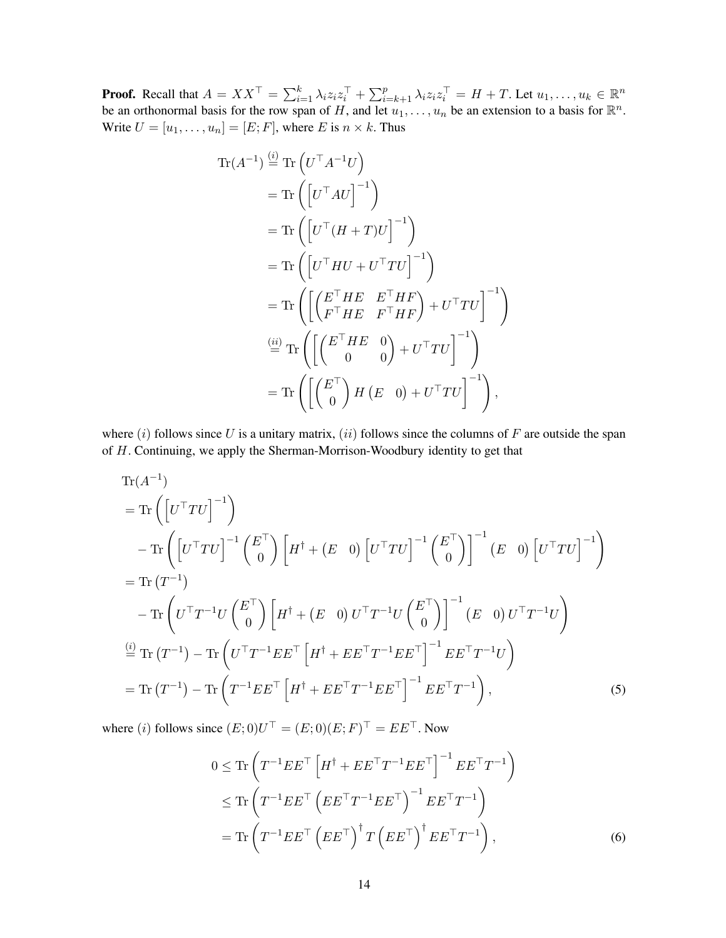**Proof.** Recall that  $A = XX^{\top} = \sum_{i=1}^{k} \lambda_i z_i z_i^{\top} + \sum_{i=k+1}^{p} \lambda_i z_i z_i^{\top} = H + T$ . Let  $u_1, \ldots, u_k \in \mathbb{R}^n$ be an orthonormal basis for the row span of H, and let  $u_1, \ldots, u_n$  be an extension to a basis for  $\mathbb{R}^n$ . Write  $U = [u_1, \dots, u_n] = [E; F]$ , where E is  $n \times k$ . Thus

$$
\operatorname{Tr}(A^{-1}) \stackrel{\text{(i)}}{=} \operatorname{Tr}\left(U^{\top}A^{-1}U\right)
$$
\n
$$
= \operatorname{Tr}\left(\left[U^{\top}AU\right]^{-1}\right)
$$
\n
$$
= \operatorname{Tr}\left(\left[U^{\top}(H+T)U\right]^{-1}\right)
$$
\n
$$
= \operatorname{Tr}\left(\left[U^{\top}HU + U^{\top}TU\right]^{-1}\right)
$$
\n
$$
= \operatorname{Tr}\left(\left[\left(\begin{matrix}E^{\top}HE & E^{\top}HF\\F^{\top}HE & F^{\top}HF\end{matrix}\right) + U^{\top}TU\right]^{-1}\right)
$$
\n
$$
\stackrel{\text{(ii)}}{=} \operatorname{Tr}\left(\left[\left(\begin{matrix}E^{\top}HE & 0\\0 & 0\end{matrix}\right) + U^{\top}TU\right]^{-1}\right)
$$
\n
$$
= \operatorname{Tr}\left(\left[\left(\begin{matrix}E^{\top} \\ 0\end{matrix}\right)H\left(E & 0\right) + U^{\top}TU\right]^{-1}\right),
$$

where  $(i)$  follows since U is a unitary matrix,  $(ii)$  follows since the columns of F are outside the span of H. Continuing, we apply the Sherman-Morrison-Woodbury identity to get that

$$
\begin{split}\n&\text{Tr}(A^{-1})\\&=\text{Tr}\left(\left[U^{\top}TU\right]^{-1}\right)\\&-\text{Tr}\left(\left[U^{\top}TU\right]^{-1}\left(\frac{E^{\top}}{0}\right)\left[H^{\dagger} + \left(E^{\top}0\right)\left[U^{\top}TU\right]^{-1}\left(\frac{E^{\top}}{0}\right)\right]^{-1}\left(E^{\top}0\right)\left[U^{\top}TU\right]^{-1}\right)\\&=\text{Tr}\left(T^{-1}\right)\\&-\text{Tr}\left(U^{\top}T^{-1}U\left(\frac{E^{\top}}{0}\right)\left[H^{\dagger} + \left(E^{\top}0\right)U^{\top}T^{-1}U\left(\frac{E^{\top}}{0}\right)\right]^{-1}\left(E^{\top}0\right)U^{\top}T^{-1}U\right)\\&\stackrel{\text{(i)}}{=} \text{Tr}\left(T^{-1}\right) - \text{Tr}\left(U^{\top}T^{-1}EE^{\top}\left[H^{\dagger} + EE^{\top}T^{-1}EE^{\top}\right]^{-1}EE^{\top}T^{-1}U\right)\\&=\text{Tr}\left(T^{-1}\right) - \text{Tr}\left(T^{-1}EE^{\top}\left[H^{\dagger} + EE^{\top}T^{-1}EE^{\top}\right]^{-1}EE^{\top}T^{-1}\right),\n\end{split} \tag{5}
$$

where (i) follows since  $(E; 0)U^+ = (E; 0)(E; F)^+ = E E^+$ . Now

<span id="page-13-1"></span><span id="page-13-0"></span>
$$
0 \leq \text{Tr}\left(T^{-1}EE^{\top}\left[H^{\dagger} + EE^{\top}T^{-1}EE^{\top}\right]^{-1}EE^{\top}T^{-1}\right) \leq \text{Tr}\left(T^{-1}EE^{\top}\left(EE^{\top}T^{-1}EE^{\top}\right)^{-1}EE^{\top}T^{-1}\right) \tag{6}
$$
\n
$$
= \text{Tr}\left(T^{-1}EE^{\top}\left(EE^{\top}\right)^{\dagger}T\left(EE^{\top}\right)^{\dagger}EE^{\top}T^{-1}\right),
$$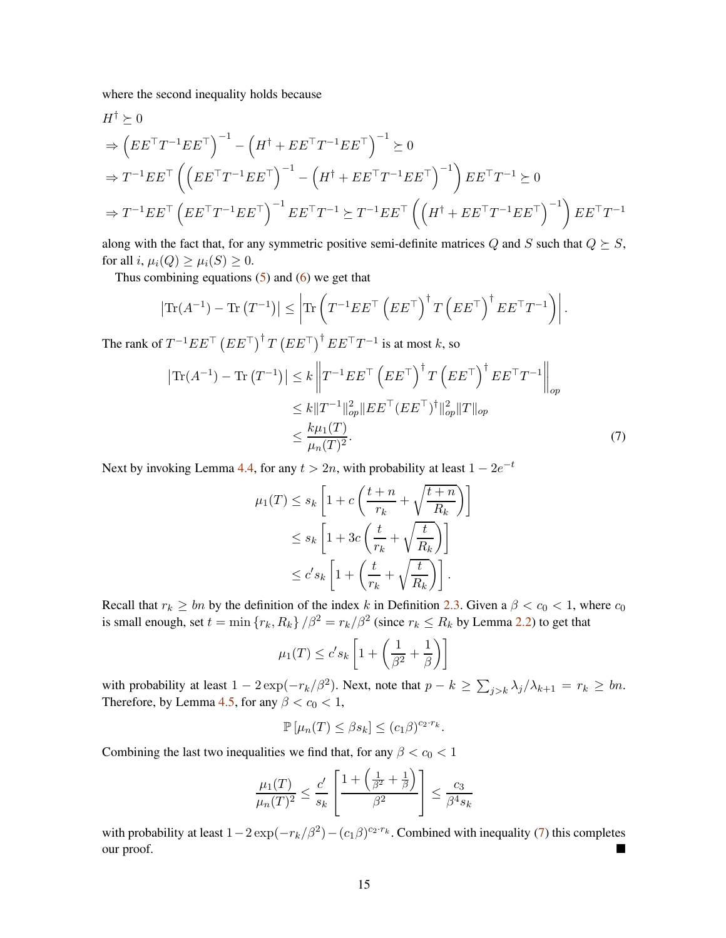where the second inequality holds because

$$
H^{\dagger} \succeq 0
$$
  
\n
$$
\Rightarrow \left( EE^{\top}T^{-1}EE^{\top}\right)^{-1} - \left(H^{\dagger} + EE^{\top}T^{-1}EE^{\top}\right)^{-1} \succeq 0
$$
  
\n
$$
\Rightarrow T^{-1}EE^{\top} \left(\left( EE^{\top}T^{-1}EE^{\top}\right)^{-1} - \left(H^{\dagger} + EE^{\top}T^{-1}EE^{\top}\right)^{-1}\right) EE^{\top}T^{-1} \succeq 0
$$
  
\n
$$
\Rightarrow T^{-1}EE^{\top} \left( EE^{\top}T^{-1}EE^{\top}\right)^{-1} EE^{\top}T^{-1} \succeq T^{-1}EE^{\top} \left(\left(H^{\dagger} + EE^{\top}T^{-1}EE^{\top}\right)^{-1}\right) EE^{\top}T^{-1}
$$

along with the fact that, for any symmetric positive semi-definite matrices Q and S such that  $Q \succeq S$ , for all i,  $\mu_i(Q) \geq \mu_i(S) \geq 0$ .

Thus combining equations  $(5)$  and  $(6)$  we get that

$$
\left|\operatorname{Tr}(A^{-1}) - \operatorname{Tr}\left(T^{-1}\right)\right| \leq \left|\operatorname{Tr}\left(T^{-1}EE^{\top}\left(EE^{\top}\right)^{\dagger}T\left(EE^{\top}\right)^{\dagger}EE^{\top}T^{-1}\right)\right|.
$$

The rank of  $T^{-1}EE^\top \left(EE^\top\right)^{\dagger} T \left(EE^\top\right)^{\dagger} EE^\top T^{-1}$  is at most k, so

$$
\left| \text{Tr}(A^{-1}) - \text{Tr} (T^{-1}) \right| \leq k \left\| T^{-1} E E^{\top} \left( E E^{\top} \right)^{\dagger} T \left( E E^{\top} \right)^{\dagger} E E^{\top} T^{-1} \right\|_{op}
$$
  

$$
\leq k \| T^{-1} \|_{op}^2 \| E E^{\top} (E E^{\top})^{\dagger} \|_{op}^2 \| T \|_{op}
$$
  

$$
\leq \frac{k \mu_1(T)}{\mu_n(T)^2}.
$$
 (7)

Next by invoking Lemma [4.4,](#page-11-4) for any  $t > 2n$ , with probability at least  $1 - 2e^{-t}$ 

<span id="page-14-0"></span>
$$
\mu_1(T) \le s_k \left[ 1 + c \left( \frac{t+n}{r_k} + \sqrt{\frac{t+n}{R_k}} \right) \right]
$$
  

$$
\le s_k \left[ 1 + 3c \left( \frac{t}{r_k} + \sqrt{\frac{t}{R_k}} \right) \right]
$$
  

$$
\le c' s_k \left[ 1 + \left( \frac{t}{r_k} + \sqrt{\frac{t}{R_k}} \right) \right].
$$

Recall that  $r_k \geq bn$  by the definition of the index k in Definition [2.3.](#page-4-2) Given a  $\beta < c_0 < 1$ , where  $c_0$ is small enough, set  $t = \min \{ r_k, R_k \} / \beta^2 = r_k / \beta^2$  (since  $r_k \le R_k$  by Lemma [2.2\)](#page-4-0) to get that

$$
\mu_1(T) \le c's_k \left[ 1 + \left( \frac{1}{\beta^2} + \frac{1}{\beta} \right) \right]
$$

with probability at least  $1 - 2 \exp(-r_k/\beta^2)$ . Next, note that  $p - k \ge \sum_{j > k} \lambda_j / \lambda_{k+1} = r_k \ge bn$ . Therefore, by Lemma [4.5,](#page-11-5) for any  $\beta < c_0 < 1$ ,

$$
\mathbb{P}\left[\mu_n(T)\leq\beta s_k\right]\leq (c_1\beta)^{c_2\cdot r_k}.
$$

Combining the last two inequalities we find that, for any  $\beta < c_0 < 1$ 

$$
\frac{\mu_1(T)}{\mu_n(T)^2} \le \frac{c'}{s_k} \left[ \frac{1 + \left(\frac{1}{\beta^2} + \frac{1}{\beta}\right)}{\beta^2} \right] \le \frac{c_3}{\beta^4 s_k}
$$

with probability at least  $1-2\exp(-r_k/\beta^2) - (c_1\beta)^{c_2 \cdot r_k}$ . Combined with inequality [\(7\)](#page-14-0) this completes our proof.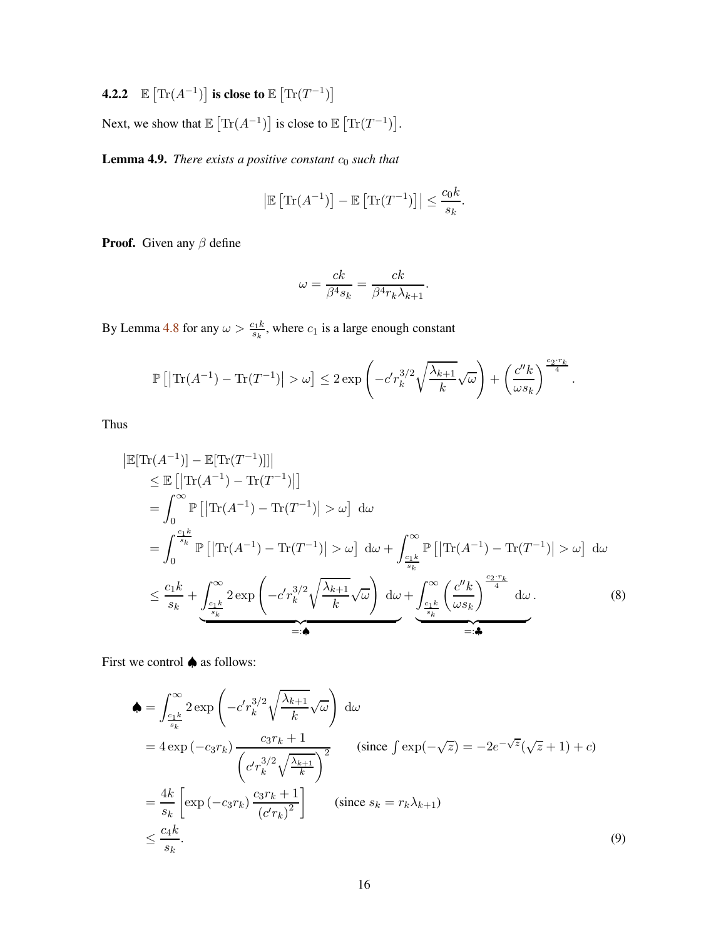<span id="page-15-0"></span>**4.2.2**  $\mathbb{E} \left[ \text{Tr}(A^{-1}) \right]$  is close to  $\mathbb{E} \left[ \text{Tr}(T^{-1}) \right]$ 

Next, we show that  $\mathbb{E} \left[ \text{Tr}(A^{-1}) \right]$  is close to  $\mathbb{E} \left[ \text{Tr}(T^{-1}) \right]$ .

<span id="page-15-1"></span>**Lemma 4.9.** *There exists a positive constant*  $c_0$  *such that* 

$$
\left|\mathbb{E}\left[\text{Tr}(A^{-1})\right] - \mathbb{E}\left[\text{Tr}(T^{-1})\right]\right| \le \frac{c_0 k}{s_k}.
$$

**Proof.** Given any  $\beta$  define

<span id="page-15-2"></span>
$$
\omega = \frac{ck}{\beta^4 s_k} = \frac{ck}{\beta^4 r_k \lambda_{k+1}}.
$$

By Lemma [4.8](#page-12-1) for any  $\omega > \frac{c_1 k}{s_k}$ , where  $c_1$  is a large enough constant

$$
\mathbb{P}\left[\left|\text{Tr}(A^{-1}) - \text{Tr}(T^{-1})\right| > \omega\right] \leq 2 \exp\left(-c'r_k^{3/2}\sqrt{\frac{\lambda_{k+1}}{k}}\sqrt{\omega}\right) + \left(\frac{c''k}{\omega s_k}\right)^{\frac{c_2\cdot r_k}{4}}.
$$

Thus

 $\Big\}$ 

$$
\begin{split}\n|\mathbb{E}[\text{Tr}(A^{-1})] - \mathbb{E}[\text{Tr}(T^{-1})]]| \\
&\leq \mathbb{E}\left[|\text{Tr}(A^{-1}) - \text{Tr}(T^{-1})|\right] \\
&= \int_{0}^{\infty} \mathbb{P}\left[|\text{Tr}(A^{-1}) - \text{Tr}(T^{-1})|\right] > \omega\right] d\omega \\
&= \int_{0}^{\frac{c_{1}k}{s_{k}}} \mathbb{P}\left[|\text{Tr}(A^{-1}) - \text{Tr}(T^{-1})|\right] > \omega\right] d\omega + \int_{\frac{c_{1}k}{s_{k}}}^{\infty} \mathbb{P}\left[|\text{Tr}(A^{-1}) - \text{Tr}(T^{-1})|\right] > \omega\right] d\omega \\
&\leq \frac{c_{1}k}{s_{k}} + \underbrace{\int_{\frac{c_{1}k}{s_{k}}}^{\infty} 2 \exp\left(-c'r_{k}^{3/2} \sqrt{\frac{\lambda_{k+1}}{k}} \sqrt{\omega}\right) d\omega}_{=: \bullet} + \underbrace{\int_{\frac{c_{1}k}{s_{k}}}^{\infty} \left(\frac{c''k}{\omega s_{k}}\right)^{\frac{c_{2} \cdot r_{k}}{4}} d\omega}_{=: \bullet} .\n\end{split} \tag{8}
$$

First we control ♠ as follows:

<span id="page-15-3"></span>
$$
\begin{split}\n\spadesuit &= \int_{\frac{c_1 k}{s_k}}^{\infty} 2 \exp\left(-c'r_k^{3/2} \sqrt{\frac{\lambda_{k+1}}{k}} \sqrt{\omega}\right) \, \mathrm{d}\omega \\
&= 4 \exp\left(-c_3 r_k\right) \frac{c_3 r_k + 1}{\left(c'r_k^{3/2} \sqrt{\frac{\lambda_{k+1}}{k}}\right)^2} \qquad \text{(since } \int \exp\left(-\sqrt{z}\right) = -2e^{-\sqrt{z}} \left(\sqrt{z} + 1\right) + c\text{)} \\
&= \frac{4k}{s_k} \left[ \exp\left(-c_3 r_k\right) \frac{c_3 r_k + 1}{\left(c'r_k\right)^2} \right] \qquad \text{(since } s_k = r_k \lambda_{k+1}) \\
&\le \frac{c_4 k}{s_k}.\n\end{split} \tag{9}
$$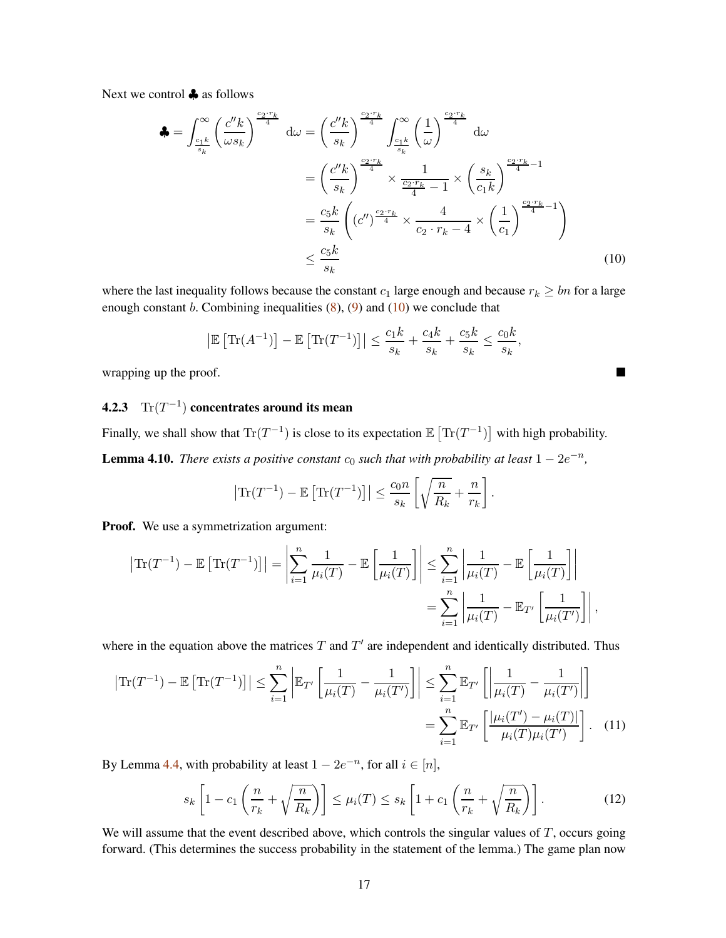Next we control ♣ as follows

$$
\begin{aligned}\n\clubsuit &= \int_{\frac{c_1 k}{s_k}}^{\infty} \left( \frac{c'' k}{\omega s_k} \right)^{\frac{c_2 \cdot r_k}{4}} d\omega = \left( \frac{c'' k}{s_k} \right)^{\frac{c_2 \cdot r_k}{4}} \int_{\frac{c_1 k}{s_k}}^{\infty} \left( \frac{1}{\omega} \right)^{\frac{c_2 \cdot r_k}{4}} d\omega \\
&= \left( \frac{c'' k}{s_k} \right)^{\frac{c_2 \cdot r_k}{4}} \times \frac{1}{\frac{c_2 \cdot r_k}{4} - 1} \times \left( \frac{s_k}{c_1 k} \right)^{\frac{c_2 \cdot r_k}{4} - 1} \\
&= \frac{c_5 k}{s_k} \left( (c'')^{\frac{c_2 \cdot r_k}{4}} \times \frac{4}{c_2 \cdot r_k - 4} \times \left( \frac{1}{c_1} \right)^{\frac{c_2 \cdot r_k}{4} - 1} \right) \\
&\leq \frac{c_5 k}{s_k}\n\end{aligned}
$$
\n(10)

where the last inequality follows because the constant  $c_1$  large enough and because  $r_k \geq bn$  for a large enough constant b. Combining inequalities  $(8)$ ,  $(9)$  and  $(10)$  we conclude that

<span id="page-16-2"></span>
$$
\left| \mathbb{E}\left[\text{Tr}(A^{-1})\right] - \mathbb{E}\left[\text{Tr}(T^{-1})\right] \right| \le \frac{c_1k}{s_k} + \frac{c_4k}{s_k} + \frac{c_5k}{s_k} \le \frac{c_0k}{s_k},
$$

wrapping up the proof.

### <span id="page-16-0"></span>**4.2.3**  $\text{Tr}(T^{-1})$  concentrates around its mean

<span id="page-16-1"></span>Finally, we shall show that  $\text{Tr}(T^{-1})$  is close to its expectation  $\mathbb{E} \left[ \text{Tr}(T^{-1}) \right]$  with high probability. **Lemma 4.10.** *There exists a positive constant*  $c_0$  *such that with probability at least*  $1 - 2e^{-n}$ *,* 

$$
\left|\text{Tr}(T^{-1}) - \mathbb{E}\left[\text{Tr}(T^{-1})\right]\right| \le \frac{c_0 n}{s_k} \left[\sqrt{\frac{n}{R_k}} + \frac{n}{r_k}\right].
$$

Proof. We use a symmetrization argument:

$$
\left|\text{Tr}(T^{-1}) - \mathbb{E}\left[\text{Tr}(T^{-1})\right]\right| = \left|\sum_{i=1}^{n} \frac{1}{\mu_i(T)} - \mathbb{E}\left[\frac{1}{\mu_i(T)}\right]\right| \le \sum_{i=1}^{n} \left|\frac{1}{\mu_i(T)} - \mathbb{E}\left[\frac{1}{\mu_i(T)}\right]\right|
$$

$$
= \sum_{i=1}^{n} \left|\frac{1}{\mu_i(T)} - \mathbb{E}_{T'}\left[\frac{1}{\mu_i(T')}\right]\right|,
$$

where in the equation above the matrices  $T$  and  $T'$  are independent and identically distributed. Thus

$$
\left|\operatorname{Tr}(T^{-1}) - \mathbb{E}\left[\operatorname{Tr}(T^{-1})\right]\right| \le \sum_{i=1}^{n} \left|\mathbb{E}_{T'}\left[\frac{1}{\mu_i(T)} - \frac{1}{\mu_i(T')}\right]\right| \le \sum_{i=1}^{n} \mathbb{E}_{T'}\left[\left|\frac{1}{\mu_i(T)} - \frac{1}{\mu_i(T')}\right|\right]
$$

$$
= \sum_{i=1}^{n} \mathbb{E}_{T'}\left[\frac{|\mu_i(T') - \mu_i(T)|}{\mu_i(T)\mu_i(T')}\right]. \quad (11)
$$

By Lemma [4.4,](#page-11-4) with probability at least  $1 - 2e^{-n}$ , for all  $i \in [n]$ ,

<span id="page-16-4"></span><span id="page-16-3"></span>
$$
s_k \left[ 1 - c_1 \left( \frac{n}{r_k} + \sqrt{\frac{n}{R_k}} \right) \right] \le \mu_i(T) \le s_k \left[ 1 + c_1 \left( \frac{n}{r_k} + \sqrt{\frac{n}{R_k}} \right) \right]. \tag{12}
$$

We will assume that the event described above, which controls the singular values of  $T$ , occurs going forward. (This determines the success probability in the statement of the lemma.) The game plan now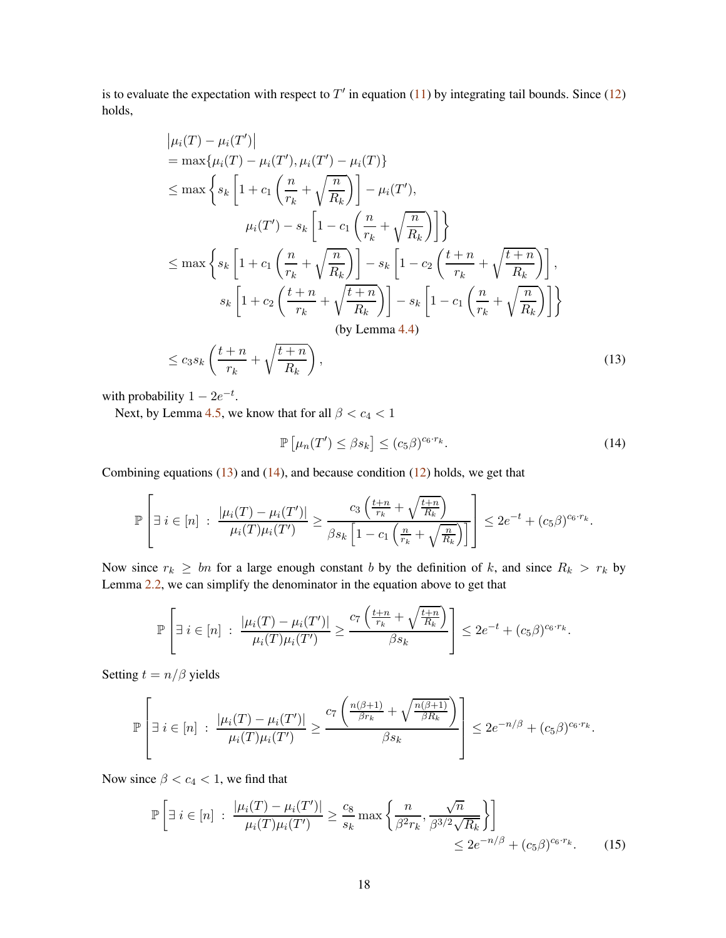is to evaluate the expectation with respect to  $T'$  in equation [\(11\)](#page-16-3) by integrating tail bounds. Since [\(12\)](#page-16-4) holds,

$$
|\mu_i(T) - \mu_i(T')|
$$
  
\n
$$
= \max{\mu_i(T) - \mu_i(T'), \mu_i(T') - \mu_i(T)}
$$
  
\n
$$
\leq \max\left\{ s_k \left[ 1 + c_1 \left( \frac{n}{r_k} + \sqrt{\frac{n}{R_k}} \right) \right] - \mu_i(T'),
$$
  
\n
$$
\mu_i(T') - s_k \left[ 1 - c_1 \left( \frac{n}{r_k} + \sqrt{\frac{n}{R_k}} \right) \right] \right\}
$$
  
\n
$$
\leq \max\left\{ s_k \left[ 1 + c_1 \left( \frac{n}{r_k} + \sqrt{\frac{n}{R_k}} \right) \right] - s_k \left[ 1 - c_2 \left( \frac{t+n}{r_k} + \sqrt{\frac{t+n}{R_k}} \right) \right],
$$
  
\n
$$
s_k \left[ 1 + c_2 \left( \frac{t+n}{r_k} + \sqrt{\frac{t+n}{R_k}} \right) \right] - s_k \left[ 1 - c_1 \left( \frac{n}{r_k} + \sqrt{\frac{n}{R_k}} \right) \right] \right\}
$$
  
\n(by Lemma 4.4)  
\n
$$
\leq c_3 s_k \left( \frac{t+n}{r_k} + \sqrt{\frac{t+n}{R_k}} \right),
$$
\n(13)

with probability  $1 - 2e^{-t}$ .

Next, by Lemma [4.5,](#page-11-5) we know that for all  $\beta < c_4 < 1$ 

<span id="page-17-1"></span><span id="page-17-0"></span>
$$
\mathbb{P}\left[\mu_n(T') \leq \beta s_k\right] \leq (c_5 \beta)^{c_6 \cdot r_k}.\tag{14}
$$

Combining equations  $(13)$  and  $(14)$ , and because condition  $(12)$  holds, we get that

$$
\mathbb{P}\left[\exists i \in [n] : \frac{|\mu_i(T) - \mu_i(T')|}{\mu_i(T)\mu_i(T')} \geq \frac{c_3\left(\frac{t+n}{r_k} + \sqrt{\frac{t+n}{R_k}}\right)}{\beta s_k \left[1 - c_1\left(\frac{n}{r_k} + \sqrt{\frac{n}{R_k}}\right)\right]}\right] \leq 2e^{-t} + (c_5\beta)^{c_6 \cdot r_k}.
$$

Now since  $r_k \geq bn$  for a large enough constant b by the definition of k, and since  $R_k > r_k$  by Lemma [2.2,](#page-4-0) we can simplify the denominator in the equation above to get that

$$
\mathbb{P}\left[\exists i \in [n] : \frac{|\mu_i(T) - \mu_i(T')|}{\mu_i(T)\mu_i(T')} \geq \frac{c_7\left(\frac{t+n}{r_k} + \sqrt{\frac{t+n}{R_k}}\right)}{\beta s_k}\right] \leq 2e^{-t} + (c_5\beta)^{c_6 \cdot r_k}.
$$

Setting  $t = n/\beta$  yields

$$
\mathbb{P}\left[\exists i\in[n] : \frac{|\mu_i(T) - \mu_i(T')|}{\mu_i(T)\mu_i(T')} \geq \frac{c_7\left(\frac{n(\beta+1)}{\beta r_k} + \sqrt{\frac{n(\beta+1)}{\beta R_k}}\right)}{\beta s_k}\right] \leq 2e^{-n/\beta} + (c_5\beta)^{c_6\cdot r_k}.
$$

Now since  $\beta < c_4 < 1$ , we find that

<span id="page-17-2"></span>
$$
\mathbb{P}\left[\exists i \in [n] : \frac{|\mu_i(T) - \mu_i(T')|}{\mu_i(T)\mu_i(T')} \ge \frac{c_8}{s_k} \max\left\{\frac{n}{\beta^2 r_k}, \frac{\sqrt{n}}{\beta^{3/2} \sqrt{R_k}}\right\}\right] \le 2e^{-n/\beta} + (c_5 \beta)^{c_6 \cdot r_k}.
$$
 (15)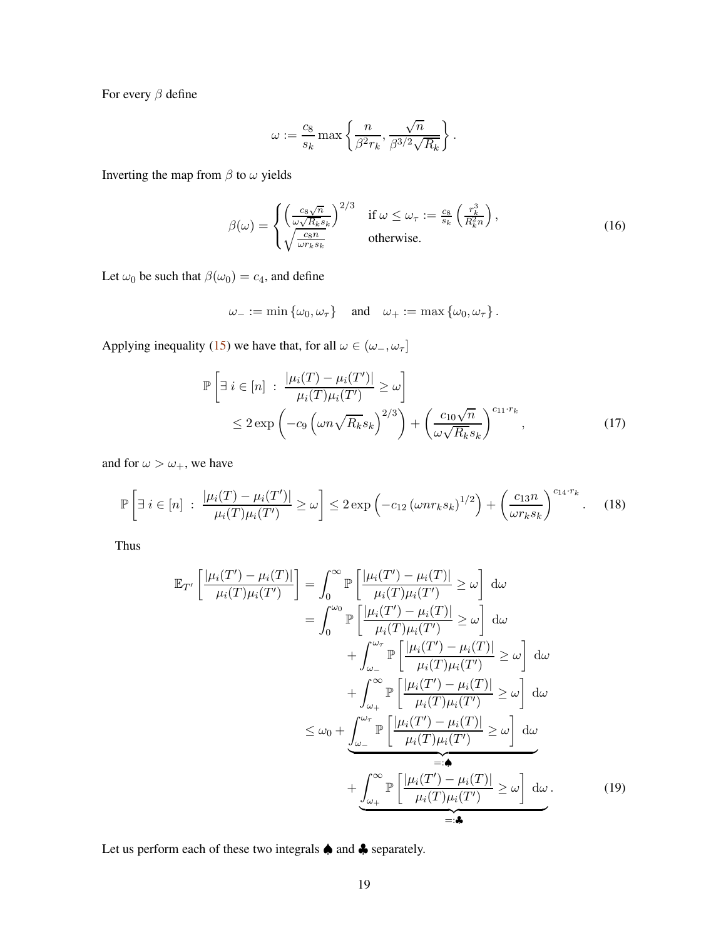For every  $\beta$  define

<span id="page-18-3"></span>
$$
\omega:=\frac{c_8}{s_k}\max\left\{\frac{n}{\beta^2 r_k},\frac{\sqrt{n}}{\beta^{3/2}\sqrt{R_k}}\right\}.
$$

Inverting the map from  $\beta$  to  $\omega$  yields

$$
\beta(\omega) = \begin{cases} \left(\frac{c_8\sqrt{n}}{\omega\sqrt{R_k}s_k}\right)^{2/3} & \text{if } \omega \leq \omega_\tau := \frac{c_8}{s_k} \left(\frac{r_k^3}{R_k^2n}\right),\\ \sqrt{\frac{c_8n}{\omega r_k s_k}} & \text{otherwise.} \end{cases}
$$
(16)

Let  $\omega_0$  be such that  $\beta(\omega_0) = c_4$ , and define

<span id="page-18-1"></span><span id="page-18-0"></span>
$$
\omega_- := \min \left\{ \omega_0, \omega_\tau \right\} \quad \text{and} \quad \omega_+ := \max \left\{ \omega_0, \omega_\tau \right\}.
$$

Applying inequality [\(15\)](#page-17-2) we have that, for all  $\omega \in (\omega_-, \omega_\tau]$ 

$$
\mathbb{P}\left[\exists i \in [n]: \frac{|\mu_i(T) - \mu_i(T')|}{\mu_i(T)\mu_i(T')} \ge \omega\right] \le 2 \exp\left(-c_9 \left(\omega n \sqrt{R_k} s_k\right)^{2/3}\right) + \left(\frac{c_{10}\sqrt{n}}{\omega \sqrt{R_k} s_k}\right)^{c_{11} \cdot r_k},\tag{17}
$$

and for  $\omega > \omega_+$ , we have

$$
\mathbb{P}\left[\exists i \in [n]: \frac{|\mu_i(T) - \mu_i(T')|}{\mu_i(T)\mu_i(T')} \ge \omega\right] \le 2 \exp\left(-c_{12} \left(\omega n r_k s_k\right)^{1/2}\right) + \left(\frac{c_{13}n}{\omega r_k s_k}\right)^{c_{14} \cdot r_k}.\tag{18}
$$

Thus

<span id="page-18-2"></span>
$$
\mathbb{E}_{T'}\left[\frac{|\mu_i(T') - \mu_i(T)|}{\mu_i(T)\mu_i(T')}\right] = \int_0^\infty \mathbb{P}\left[\frac{|\mu_i(T') - \mu_i(T)|}{\mu_i(T)\mu_i(T')}\right] \geq \omega\right] d\omega
$$

$$
= \int_0^{\omega_0} \mathbb{P}\left[\frac{|\mu_i(T') - \mu_i(T)|}{\mu_i(T)\mu_i(T')}\right] \geq \omega\right] d\omega
$$

$$
+ \int_{\omega_-}^{\omega_\tau} \mathbb{P}\left[\frac{|\mu_i(T') - \mu_i(T)|}{\mu_i(T)\mu_i(T')}\right] \geq \omega\right] d\omega
$$

$$
+ \int_{\omega_+}^{\omega_\tau} \mathbb{P}\left[\frac{|\mu_i(T') - \mu_i(T)|}{\mu_i(T)\mu_i(T')}\right] \geq \omega\right] d\omega
$$

$$
\leq \omega_0 + \underbrace{\int_{\omega_-}^{\omega_\tau} \mathbb{P}\left[\frac{|\mu_i(T') - \mu_i(T)|}{\mu_i(T)\mu_i(T')}\right]}_{=: \Phi} \geq \omega\right] d\omega
$$

$$
= \Phi
$$

$$
+ \underbrace{\int_{\omega_+}^{\infty} \mathbb{P}\left[\frac{|\mu_i(T') - \mu_i(T)|}{\mu_i(T)\mu_i(T')}\right] \geq \omega\right] d\omega}_{=: \Phi}.
$$
(19)

Let us perform each of these two integrals ♠ and ♣ separately.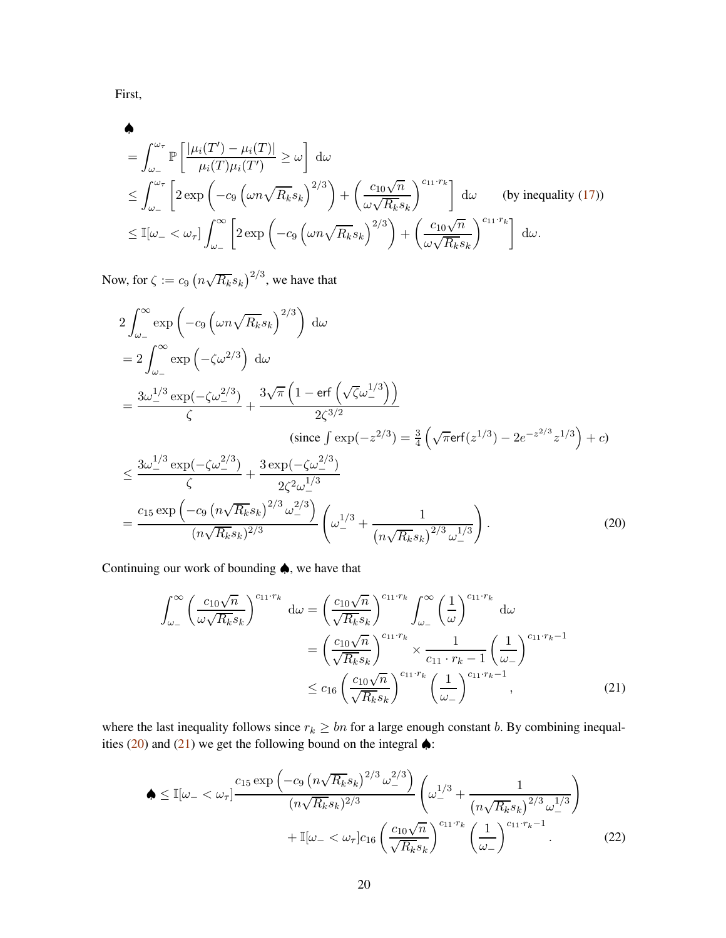First,

$$
\begin{split}\n&\bullet \\
&= \int_{\omega_{-}}^{\omega_{\tau}} \mathbb{P}\left[\frac{|\mu_{i}(T') - \mu_{i}(T)|}{\mu_{i}(T)\mu_{i}(T')} \geq \omega\right] d\omega \\
&\leq \int_{\omega_{-}}^{\omega_{\tau}} \left[2 \exp\left(-c_{9} \left(\omega n \sqrt{R_{k}} s_{k}\right)^{2/3}\right) + \left(\frac{c_{10} \sqrt{n}}{\omega \sqrt{R_{k}} s_{k}}\right)^{c_{11} \cdot r_{k}}\right] d\omega \qquad \text{(by inequality (17))} \\
&\leq \mathbb{I}[\omega_{-} < \omega_{\tau}] \int_{\omega_{-}}^{\infty} \left[2 \exp\left(-c_{9} \left(\omega n \sqrt{R_{k}} s_{k}\right)^{2/3}\right) + \left(\frac{c_{10} \sqrt{n}}{\omega \sqrt{R_{k}} s_{k}}\right)^{c_{11} \cdot r_{k}}\right] d\omega.\n\end{split}
$$

Now, for  $\zeta := c_9 \left( n \sqrt{R_k} s_k \right)^{2/3}$ , we have that

$$
2\int_{\omega_{-}}^{\infty} \exp\left(-c_{9}\left(\omega n\sqrt{R_{k}}s_{k}\right)^{2/3}\right) d\omega
$$
  
\n
$$
= 2\int_{\omega_{-}}^{\infty} \exp\left(-\zeta \omega^{2/3}\right) d\omega
$$
  
\n
$$
= \frac{3\omega_{-}^{1/3} \exp(-\zeta \omega_{-}^{2/3})}{\zeta} + \frac{3\sqrt{\pi}\left(1 - \text{erf}\left(\sqrt{\zeta}\omega_{-}^{1/3}\right)\right)}{2\zeta^{3/2}}
$$
  
\n(since  $\int \exp(-z^{2/3}) = \frac{3}{4}\left(\sqrt{\pi}\text{erf}(z^{1/3}) - 2e^{-z^{2/3}}z^{1/3}\right) + c$ )  
\n
$$
\leq \frac{3\omega_{-}^{1/3} \exp(-\zeta \omega_{-}^{2/3})}{\zeta} + \frac{3\exp(-\zeta \omega_{-}^{2/3})}{2\zeta^{2}\omega_{-}^{1/3}}
$$
  
\n
$$
= \frac{c_{15} \exp\left(-c_{9}\left(n\sqrt{R_{k}}s_{k}\right)^{2/3} \omega_{-}^{2/3}\right)}{(n\sqrt{R_{k}}s_{k})^{2/3}} \left(\omega_{-}^{1/3} + \frac{1}{\left(n\sqrt{R_{k}}s_{k}\right)^{2/3} \omega_{-}^{1/3}}\right).
$$
\n(20)

Continuing our work of bounding ♠, we have that

<span id="page-19-1"></span><span id="page-19-0"></span>
$$
\int_{\omega_{-}}^{\infty} \left(\frac{c_{10}\sqrt{n}}{\omega\sqrt{R_k}s_k}\right)^{c_{11}\cdot r_k} d\omega = \left(\frac{c_{10}\sqrt{n}}{\sqrt{R_k}s_k}\right)^{c_{11}\cdot r_k} \int_{\omega_{-}}^{\infty} \left(\frac{1}{\omega}\right)^{c_{11}\cdot r_k} d\omega
$$

$$
= \left(\frac{c_{10}\sqrt{n}}{\sqrt{R_k}s_k}\right)^{c_{11}\cdot r_k} \times \frac{1}{c_{11}\cdot r_k - 1} \left(\frac{1}{\omega_{-}}\right)^{c_{11}\cdot r_k - 1}
$$

$$
\leq c_{16} \left(\frac{c_{10}\sqrt{n}}{\sqrt{R_k}s_k}\right)^{c_{11}\cdot r_k} \left(\frac{1}{\omega_{-}}\right)^{c_{11}\cdot r_k - 1}, \tag{21}
$$

where the last inequality follows since  $r_k \geq bn$  for a large enough constant b. By combining inequal-ities [\(20\)](#page-19-0) and [\(21\)](#page-19-1) we get the following bound on the integral  $\triangle$ :

<span id="page-19-2"></span>
$$
\begin{split} \spadesuit &\leq \mathbb{I}[\omega_{-}<\omega_{\tau}] \frac{c_{15} \exp\left(-c_{9} \left(n\sqrt{R_{k}} s_{k}\right)^{2/3} \omega_{-}^{2/3}\right)}{(n\sqrt{R_{k}} s_{k})^{2/3}} \left(\omega_{-}^{1/3} + \frac{1}{\left(n\sqrt{R_{k}} s_{k}\right)^{2/3} \omega_{-}^{1/3}}\right) \\ &+ \mathbb{I}[\omega_{-}<\omega_{\tau}] c_{16} \left(\frac{c_{10}\sqrt{n}}{\sqrt{R_{k}} s_{k}}\right)^{c_{11} \cdot r_{k}} \left(\frac{1}{\omega_{-}}\right)^{c_{11} \cdot r_{k}-1} . \end{split} \tag{22}
$$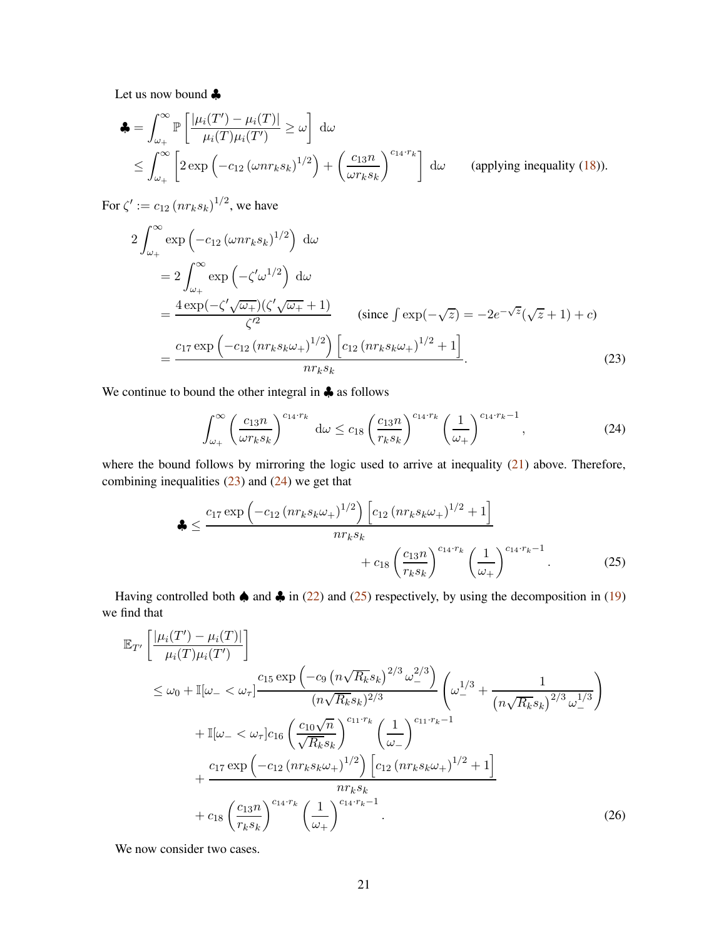Let us now bound ♣

$$
\begin{aligned}\n\clubsuit &= \int_{\omega_+}^{\infty} \mathbb{P}\left[\frac{|\mu_i(T') - \mu_i(T)|}{\mu_i(T)\mu_i(T')} \ge \omega\right] \, \mathrm{d}\omega \\
&\le \int_{\omega_+}^{\infty} \left[2 \exp\left(-c_{12} \left(\omega n r_k s_k\right)^{1/2}\right) + \left(\frac{c_{13}n}{\omega r_k s_k}\right)^{c_{14} \cdot r_k}\right] \, \mathrm{d}\omega\n\end{aligned}\n\tag{applying inequality (18)).
$$

For  $\zeta' := c_{12} (n r_k s_k)^{1/2}$ , we have

$$
2\int_{\omega_{+}}^{\infty} \exp\left(-c_{12}\left(\omega nr_{k}s_{k}\right)^{1/2}\right) d\omega
$$
  
\n
$$
= 2\int_{\omega_{+}}^{\infty} \exp\left(-\zeta'\omega^{1/2}\right) d\omega
$$
  
\n
$$
= \frac{4 \exp(-\zeta'\sqrt{\omega_{+}})(\zeta'\sqrt{\omega_{+}}+1)}{\zeta'^{2}} \qquad \text{(since } \int \exp(-\sqrt{z}) = -2e^{-\sqrt{z}}(\sqrt{z}+1) + c\text{)}
$$
  
\n
$$
= \frac{c_{17} \exp\left(-c_{12}\left(nr_{k}s_{k}\omega_{+}\right)^{1/2}\right)\left[c_{12}\left(nr_{k}s_{k}\omega_{+}\right)^{1/2}+1\right]}{nr_{k}s_{k}}.
$$
\n(23)

We continue to bound the other integral in ♣ as follows

<span id="page-20-2"></span><span id="page-20-1"></span><span id="page-20-0"></span>
$$
\int_{\omega_+}^{\infty} \left(\frac{c_{13}n}{\omega r_k s_k}\right)^{c_{14} \cdot r_k} d\omega \le c_{18} \left(\frac{c_{13}n}{r_k s_k}\right)^{c_{14} \cdot r_k} \left(\frac{1}{\omega_+}\right)^{c_{14} \cdot r_k - 1},\tag{24}
$$

where the bound follows by mirroring the logic used to arrive at inequality  $(21)$  above. Therefore, combining inequalities  $(23)$  and  $(24)$  we get that

$$
\clubsuit \leq \frac{c_{17} \exp\left(-c_{12} \left(nr_{k} s_{k} \omega_{+}\right)^{1/2}\right) \left[c_{12} \left(nr_{k} s_{k} \omega_{+}\right)^{1/2} + 1\right]}{nr_{k} s_{k}} + c_{18} \left(\frac{c_{13} n}{r_{k} s_{k}}\right)^{c_{14} \cdot r_{k}} \left(\frac{1}{\omega_{+}}\right)^{c_{14} \cdot r_{k} - 1}.
$$
 (25)

Having controlled both  $\spadesuit$  and  $\clubsuit$  in [\(22\)](#page-19-2) and [\(25\)](#page-20-2) respectively, by using the decomposition in [\(19\)](#page-18-2) we find that

$$
\mathbb{E}_{T'}\left[\frac{|\mu_i(T') - \mu_i(T)|}{\mu_i(T)\mu_i(T')}\right] \n\leq \omega_0 + \mathbb{I}[\omega_- < \omega_\tau] \frac{c_{15} \exp\left(-c_9 \left(n\sqrt{R_k} s_k\right)^{2/3} \omega_-^{2/3}\right)}{(n\sqrt{R_k} s_k)^{2/3}} \left(\omega_-^{1/3} + \frac{1}{\left(n\sqrt{R_k} s_k\right)^{2/3} \omega_-^{1/3}}\right) \n+ \mathbb{I}[\omega_- < \omega_\tau] c_{16} \left(\frac{c_{10}\sqrt{n}}{\sqrt{R_k} s_k}\right)^{c_{11} \cdot r_k} \left(\frac{1}{\omega_-}\right)^{c_{11} \cdot r_k - 1} \n+ \frac{c_{17} \exp\left(-c_{12} \left(n r_k s_k \omega_+\right)^{1/2}\right) \left[c_{12} \left(n r_k s_k \omega_+\right)^{1/2} + 1\right]}{n r_k s_k} \n+ c_{18} \left(\frac{c_{13} n}{r_k s_k}\right)^{c_{14} \cdot r_k} \left(\frac{1}{\omega_+}\right)^{c_{14} \cdot r_k - 1}.
$$
\n(26)

<span id="page-20-3"></span>We now consider two cases.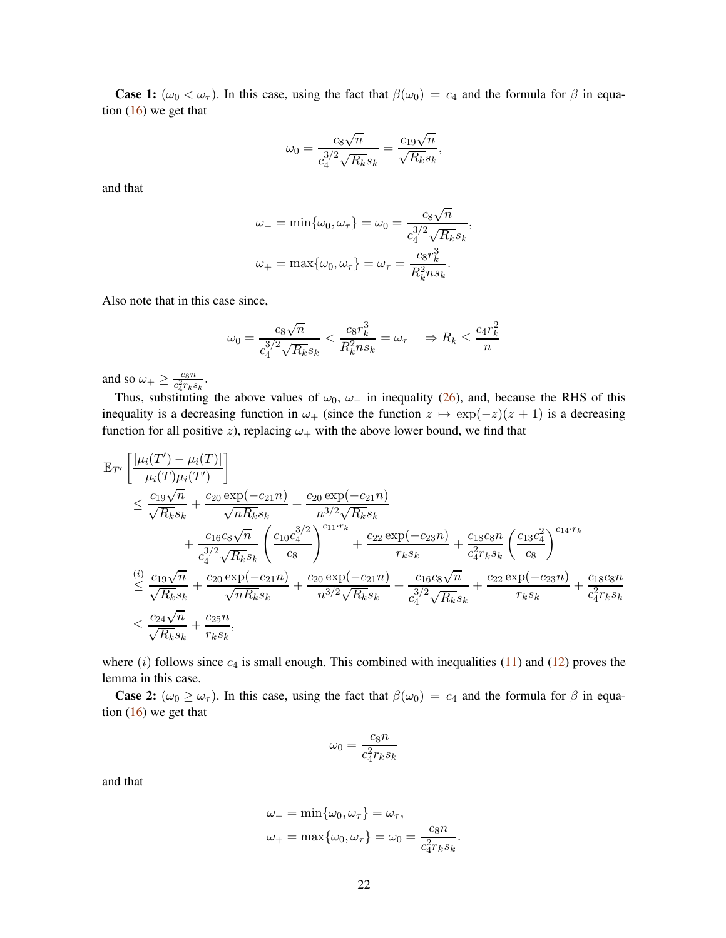**Case 1:** ( $\omega_0 < \omega_\tau$ ). In this case, using the fact that  $\beta(\omega_0) = c_4$  and the formula for  $\beta$  in equation [\(16\)](#page-18-3) we get that

$$
\omega_0 = \frac{c_8 \sqrt{n}}{c_4^{3/2} \sqrt{R_k} s_k} = \frac{c_{19} \sqrt{n}}{\sqrt{R_k} s_k},
$$

and that

$$
\omega_{-} = \min\{\omega_0, \omega_{\tau}\} = \omega_0 = \frac{c_8\sqrt{n}}{c_4^{3/2}\sqrt{R_k}s_k},
$$

$$
\omega_{+} = \max\{\omega_0, \omega_{\tau}\} = \omega_{\tau} = \frac{c_8r_k^3}{R_k^2ns_k}.
$$

Also note that in this case since,

$$
\omega_0 = \frac{c_8\sqrt{n}}{c_4^{3/2}\sqrt{R_k}s_k} < \frac{c_8r_k^3}{R_k^2ns_k} = \omega_\tau \quad \Rightarrow R_k \le \frac{c_4r_k^2}{n}
$$

and so  $\omega_{+} \geq \frac{c_8 n}{c_4^2 r_k s}$  $\frac{c_8 n}{c_4^2 r_k s_k}.$ 

Thus, substituting the above values of  $\omega_0$ ,  $\omega_-$  in inequality [\(26\)](#page-20-3), and, because the RHS of this inequality is a decreasing function in  $\omega_+$  (since the function  $z \mapsto \exp(-z)(z + 1)$  is a decreasing function for all positive z), replacing  $\omega_+$  with the above lower bound, we find that

$$
\mathbb{E}_{T'}\left[\frac{|\mu_i(T') - \mu_i(T)|}{\mu_i(T)\mu_i(T')} \right] \n\leq \frac{c_{19}\sqrt{n}}{\sqrt{R_k}s_k} + \frac{c_{20}\exp(-c_{21}n)}{\sqrt{nR_k}s_k} + \frac{c_{20}\exp(-c_{21}n)}{n^{3/2}\sqrt{R_k}s_k} \n+ \frac{c_{16}c_8\sqrt{n}}{c_4^{3/2}\sqrt{R_k}s_k} \left(\frac{c_{10}c_4^{3/2}}{c_8}\right)^{c_{11}\cdot r_k} + \frac{c_{22}\exp(-c_{23}n)}{r_ks_k} + \frac{c_{18}c_8n}{c_4^{2}r_ks_k} \left(\frac{c_{13}c_4^{2}}{c_8}\right)^{c_{14}\cdot r_k} \n\leq \frac{(i)}{\sqrt{R_k}s_k} + \frac{c_{20}\exp(-c_{21}n)}{\sqrt{nR_k}s_k} + \frac{c_{20}\exp(-c_{21}n)}{n^{3/2}\sqrt{R_k}s_k} + \frac{c_{16}c_8\sqrt{n}}{c_4^{3/2}\sqrt{R_k}s_k} + \frac{c_{22}\exp(-c_{23}n)}{r_ks_k} + \frac{c_{18}c_8n}{c_4^{3/2}\sqrt{R_k}s_k} \n\leq \frac{c_{24}\sqrt{n}}{\sqrt{R_k}s_k} + \frac{c_{25}n}{r_ks_k},
$$

where  $(i)$  follows since  $c_4$  is small enough. This combined with inequalities  $(11)$  and  $(12)$  proves the lemma in this case.

**Case 2:**  $(\omega_0 \ge \omega_\tau)$ . In this case, using the fact that  $\beta(\omega_0) = c_4$  and the formula for  $\beta$  in equation  $(16)$  we get that

$$
\omega_0=\frac{c_8n}{c_4^2r_ks_k}
$$

and that

$$
\omega_{-} = \min\{\omega_0, \omega_{\tau}\} = \omega_{\tau},
$$
  

$$
\omega_{+} = \max\{\omega_0, \omega_{\tau}\} = \omega_0 = \frac{c_8 n}{c_4^2 r_k s_k}.
$$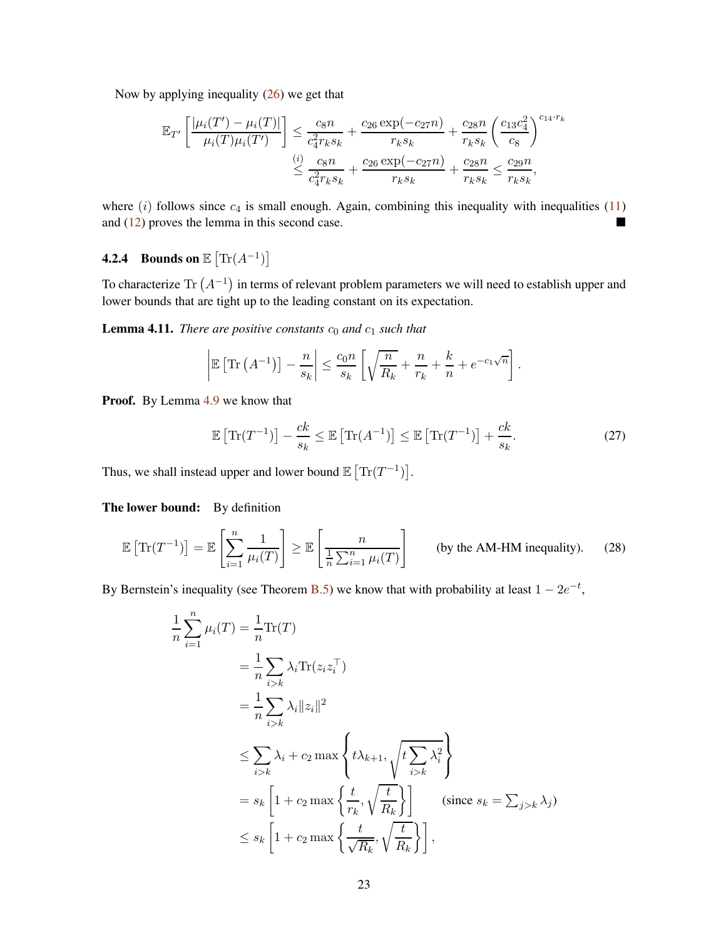Now by applying inequality  $(26)$  we get that

$$
\mathbb{E}_{T'}\left[\frac{|\mu_i(T') - \mu_i(T)|}{\mu_i(T)\mu_i(T')}\right] \le \frac{c_8 n}{c_4^2 r_k s_k} + \frac{c_{26} \exp(-c_{27} n)}{r_k s_k} + \frac{c_{28} n}{r_k s_k} \left(\frac{c_{13} c_4^2}{c_8}\right)^{c_{14} \cdot r_k}
$$

$$
\le \frac{c_8 n}{c_4^2 r_k s_k} + \frac{c_{26} \exp(-c_{27} n)}{r_k s_k} + \frac{c_{28} n}{r_k s_k} \le \frac{c_{29} n}{r_k s_k},
$$

where  $(i)$  follows since  $c_4$  is small enough. Again, combining this inequality with inequalities [\(11\)](#page-16-3) and  $(12)$  proves the lemma in this second case.

## <span id="page-22-0"></span>**4.2.4** Bounds on  $\mathbb{E} \left[ \text{Tr}(A^{-1}) \right]$

To characterize Tr  $(A^{-1})$  in terms of relevant problem parameters we will need to establish upper and lower bounds that are tight up to the leading constant on its expectation.

<span id="page-22-1"></span>**Lemma 4.11.** *There are positive constants*  $c_0$  *and*  $c_1$  *such that* 

$$
\left|\mathbb{E}\left[\text{Tr}\left(A^{-1}\right)\right]-\frac{n}{s_k}\right| \leq \frac{c_0 n}{s_k}\left[\sqrt{\frac{n}{R_k}}+\frac{n}{r_k}+\frac{k}{n}+e^{-c_1\sqrt{n}}\right].
$$

**Proof.** By Lemma [4.9](#page-15-1) we know that

<span id="page-22-3"></span><span id="page-22-2"></span>
$$
\mathbb{E}\left[\text{Tr}(T^{-1})\right] - \frac{ck}{s_k} \le \mathbb{E}\left[\text{Tr}(A^{-1})\right] \le \mathbb{E}\left[\text{Tr}(T^{-1})\right] + \frac{ck}{s_k}.\tag{27}
$$

Thus, we shall instead upper and lower bound  $\mathbb{E} \left[ \text{Tr}(T^{-1}) \right]$ .

The lower bound: By definition

1

$$
\mathbb{E}\left[\text{Tr}(T^{-1})\right] = \mathbb{E}\left[\sum_{i=1}^{n} \frac{1}{\mu_i(T)}\right] \ge \mathbb{E}\left[\frac{n}{\frac{1}{n} \sum_{i=1}^{n} \mu_i(T)}\right] \qquad \text{(by the AM-HM inequality)}.
$$
 (28)

By Bernstein's inequality (see Theorem [B.5\)](#page-36-1) we know that with probability at least  $1 - 2e^{-t}$ ,

$$
\frac{1}{n} \sum_{i=1}^{n} \mu_i(T) = \frac{1}{n} \text{Tr}(T)
$$
\n
$$
= \frac{1}{n} \sum_{i>k} \lambda_i \text{Tr}(z_i z_i^{\top})
$$
\n
$$
= \frac{1}{n} \sum_{i>k} \lambda_i ||z_i||^2
$$
\n
$$
\leq \sum_{i>k} \lambda_i + c_2 \max \left\{ t \lambda_{k+1}, \sqrt{t \sum_{i>k} \lambda_i^2} \right\}
$$
\n
$$
= s_k \left[ 1 + c_2 \max \left\{ \frac{t}{r_k}, \sqrt{\frac{t}{R_k}} \right\} \right] \quad \text{(since } s_k = \sum_{j>k} \lambda_j \text{)}
$$
\n
$$
\leq s_k \left[ 1 + c_2 \max \left\{ \frac{t}{\sqrt{R_k}}, \sqrt{\frac{t}{R_k}} \right\} \right],
$$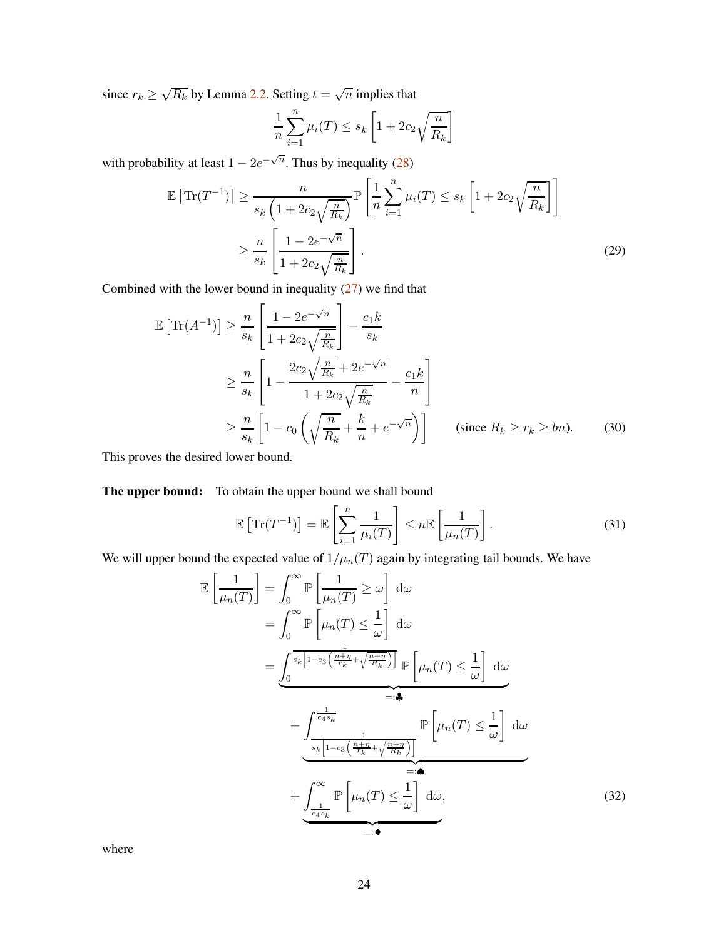since  $r_k \ge \sqrt{R_k}$  by Lemma [2.2.](#page-4-0) Setting  $t = \sqrt{n}$  implies that

$$
\frac{1}{n}\sum_{i=1}^{n}\mu_i(T) \le s_k \left[1 + 2c_2\sqrt{\frac{n}{R_k}}\right]
$$

with probability at least  $1 - 2e^{-\sqrt{n}}$ . Thus by inequality [\(28\)](#page-22-2)

$$
\mathbb{E}\left[\text{Tr}(T^{-1})\right] \ge \frac{n}{s_k \left(1 + 2c_2 \sqrt{\frac{n}{R_k}}\right)} \mathbb{P}\left[\frac{1}{n} \sum_{i=1}^n \mu_i(T) \le s_k \left[1 + 2c_2 \sqrt{\frac{n}{R_k}}\right]\right]
$$

$$
\ge \frac{n}{s_k} \left[\frac{1 - 2e^{-\sqrt{n}}}{1 + 2c_2 \sqrt{\frac{n}{R_k}}}\right].
$$
(29)

Combined with the lower bound in inequality [\(27\)](#page-22-3) we find that  $\overline{a}$ 

$$
\mathbb{E}\left[\text{Tr}(A^{-1})\right] \ge \frac{n}{s_k} \left[ \frac{1 - 2e^{-\sqrt{n}}}{1 + 2c_2\sqrt{\frac{n}{R_k}}} \right] - \frac{c_1k}{s_k}
$$
\n
$$
\ge \frac{n}{s_k} \left[ 1 - \frac{2c_2\sqrt{\frac{n}{R_k}} + 2e^{-\sqrt{n}}}{1 + 2c_2\sqrt{\frac{n}{R_k}}} - \frac{c_1k}{n} \right]
$$
\n
$$
\ge \frac{n}{s_k} \left[ 1 - c_0\left(\sqrt{\frac{n}{R_k}} + \frac{k}{n} + e^{-\sqrt{n}}\right) \right] \qquad \text{(since } R_k \ge r_k \ge bn). \tag{30}
$$

This proves the desired lower bound.

The upper bound: To obtain the upper bound we shall bound

<span id="page-23-1"></span>
$$
\mathbb{E}\left[\text{Tr}(T^{-1})\right] = \mathbb{E}\left[\sum_{i=1}^{n} \frac{1}{\mu_i(T)}\right] \le n \mathbb{E}\left[\frac{1}{\mu_n(T)}\right].\tag{31}
$$

We will upper bound the expected value of  $1/\mu_n(T)$  again by integrating tail bounds. We have

<span id="page-23-0"></span>
$$
\mathbb{E}\left[\frac{1}{\mu_n(T)}\right] = \int_0^\infty \mathbb{P}\left[\frac{1}{\mu_n(T)} \ge \omega\right] d\omega
$$
  
\n
$$
= \int_0^\infty \mathbb{P}\left[\mu_n(T) \le \frac{1}{\omega}\right] d\omega
$$
  
\n
$$
= \underbrace{\int_0^{s_k \left[1 - c_3\left(\frac{n + \eta}{r_k} + \sqrt{\frac{n + \eta}{R_k}}\right)\right]}_{=: \clubsuit} \mathbb{P}\left[\mu_n(T) \le \frac{1}{\omega}\right] d\omega}_{=: \clubsuit}
$$
  
\n
$$
+ \underbrace{\int_{s_k \left[1 - c_3\left(\frac{n + \eta}{r_k} + \sqrt{\frac{n + \eta}{R_k}}\right)\right]}_{=: \spadesuit} \mathbb{P}\left[\mu_n(T) \le \frac{1}{\omega}\right] d\omega}_{=: \spadesuit}
$$
  
\n
$$
+ \underbrace{\int_{\frac{1}{c_4 s_k}}^{\infty} \mathbb{P}\left[\mu_n(T) \le \frac{1}{\omega}\right] d\omega}_{=: \spadesuit}, \tag{32}
$$

where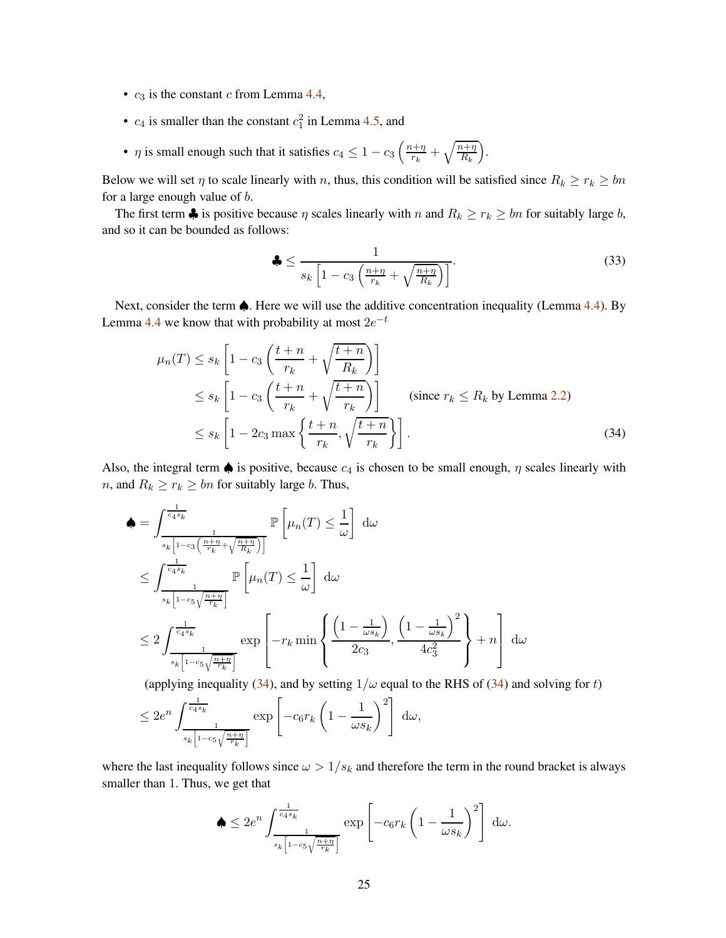- $c_3$  is the constant c from Lemma [4.4,](#page-11-4)
- $c_4$  is smaller than the constant  $c_1^2$  in Lemma [4.5,](#page-11-5) and
- $\eta$  is small enough such that it satisfies  $c_4 \leq 1 c_3 \left( \frac{n + \eta}{r_k} \right)$  $\frac{n+\eta}{r_k}+\sqrt{\frac{n+\eta}{R_k}}$  $R_k$ .

Below we will set  $\eta$  to scale linearly with n, thus, this condition will be satisfied since  $R_k \ge r_k \ge bn$ for a large enough value of b.

The first term  $\clubsuit$  is positive because  $\eta$  scales linearly with  $n$  and  $R_k \ge r_k \ge bn$  for suitably large  $b$ , and so it can be bounded as follows:

<span id="page-24-1"></span><span id="page-24-0"></span>
$$
\clubsuit \le \frac{1}{s_k \left[1 - c_3 \left(\frac{n + \eta}{r_k} + \sqrt{\frac{n + \eta}{R_k}}\right)\right]}.\tag{33}
$$

Next, consider the term ♠. Here we will use the additive concentration inequality (Lemma [4.4\)](#page-11-4). By Lemma [4.4](#page-11-4) we know that with probability at most  $2e^{-t}$ 

$$
\mu_n(T) \le s_k \left[ 1 - c_3 \left( \frac{t+n}{r_k} + \sqrt{\frac{t+n}{R_k}} \right) \right]
$$
  
\n
$$
\le s_k \left[ 1 - c_3 \left( \frac{t+n}{r_k} + \sqrt{\frac{t+n}{r_k}} \right) \right]
$$
 (since  $r_k \le R_k$  by Lemma 2.2)  
\n
$$
\le s_k \left[ 1 - 2c_3 \max \left\{ \frac{t+n}{r_k}, \sqrt{\frac{t+n}{r_k}} \right\} \right].
$$
 (34)

Also, the integral term  $\spadesuit$  is positive, because  $c_4$  is chosen to be small enough,  $\eta$  scales linearly with *n*, and  $R_k \ge r_k \ge bn$  for suitably large *b*. Thus,

$$
\begin{split}\n\spadesuit &= \int_{\frac{1}{s_k \left[1 - c_3 \left(\frac{n + \eta}{r_k} + \sqrt{\frac{n + \eta}{R_k}}\right)\right]}}^{\frac{1}{\left(\frac{1}{s_k} + \sqrt{\frac{n + \eta}{R_k}}\right)}} \mathbb{P}\left[\mu_n(T) \leq \frac{1}{\omega}\right] \, \mathrm{d}\omega \\
&\leq \int_{\frac{1}{s_k \left[1 - c_5 \sqrt{\frac{n + \eta}{r_k}}\right]}}^{\frac{1}{\left(\frac{1}{s_k} + \sqrt{\frac{n + \eta}{R_k}}\right)}} \mathbb{P}\left[\mu_n(T) \leq \frac{1}{\omega}\right] \, \mathrm{d}\omega \\
&\leq 2 \int_{\frac{1}{s_k \left[1 - c_5 \sqrt{\frac{n + \eta}{r_k}}\right]}}^{\frac{1}{\left(\frac{1}{s_k} + \sqrt{\frac{n + \eta}{R_k}}\right)}} \exp\left[-r_k \min\left\{\frac{\left(1 - \frac{1}{\omega s_k}\right)}{2c_3}, \frac{\left(1 - \frac{1}{\omega s_k}\right)^2}{4c_3^2}\right\} + n\right] \, \mathrm{d}\omega\n\end{split}
$$

(applying inequality [\(34\)](#page-24-0), and by setting  $1/\omega$  equal to the RHS of (34) and solving for t)

$$
\leq 2e^n \int_{\frac{1}{s_k \left[1 - c_5 \sqrt{\frac{n + \eta}{r_k}}\right]}}^{\frac{1}{c_4 s_k}} \exp \left[-c_6 r_k \left(1 - \frac{1}{\omega s_k}\right)^2\right] d\omega,
$$

where the last inequality follows since  $\omega > 1/s_k$  and therefore the term in the round bracket is always smaller than 1. Thus, we get that

$$
\clubsuit \leq 2e^n \int_{\frac{1}{s_k \left[1 - c_5 \sqrt{\frac{n + \eta}{r_k}}\right]}}^{\frac{1}{c_4 s_k}} \exp \left[-c_6 r_k \left(1 - \frac{1}{\omega s_k}\right)^2\right] d\omega.
$$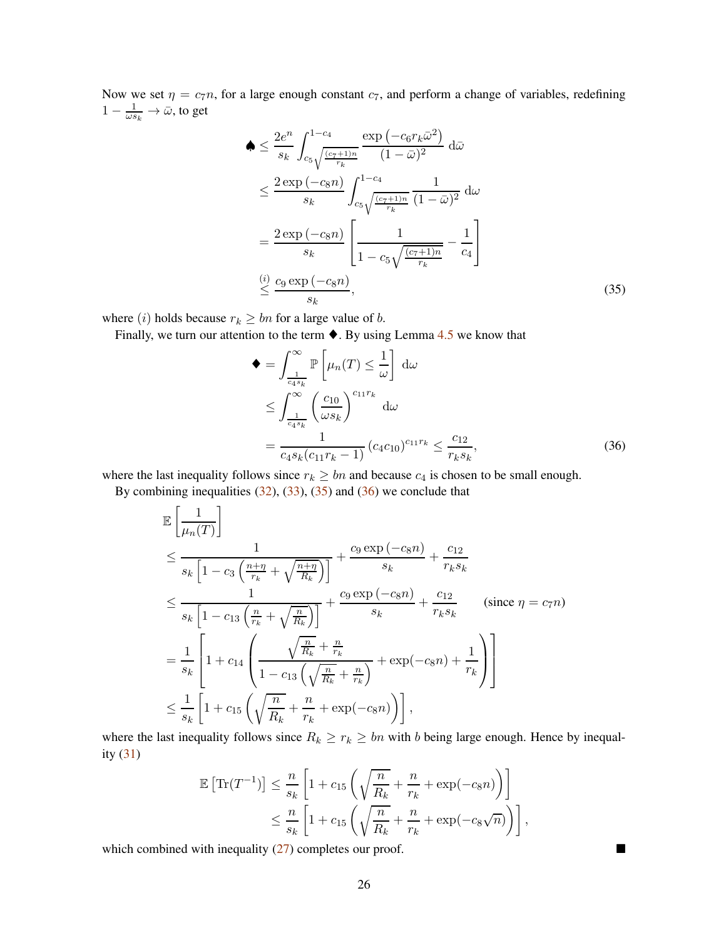Now we set  $\eta = c_7n$ , for a large enough constant  $c_7$ , and perform a change of variables, redefining  $1 - \frac{1}{\omega s_k} \to \bar{\omega}$ , to get

$$
\begin{split}\n\spadesuit &\leq \frac{2e^n}{s_k} \int_{c_5}^{1-c_4} \frac{\exp\left(-c_6 r_k \bar{\omega}^2\right)}{(1-\bar{\omega})^2} \, \mathrm{d}\bar{\omega} \\
&\leq \frac{2\exp\left(-c_8 n\right)}{s_k} \int_{c_5}^{1-c_4} \frac{1}{(1-\bar{\omega})^2} \, \mathrm{d}\omega \\
&= \frac{2\exp\left(-c_8 n\right)}{s_k} \left[ \frac{1}{1-c_5 \sqrt{\frac{(c_7+1)n}{r_k}}} - \frac{1}{c_4} \right] \\
&\stackrel{(i)}{\leq} \frac{c_9 \exp\left(-c_8 n\right)}{s_k},\n\end{split}
$$
\n(35)

where (i) holds because  $r_k \geq bn$  for a large value of b.

Finally, we turn our attention to the term  $\blacklozenge$ . By using Lemma [4.5](#page-11-5) we know that

<span id="page-25-1"></span><span id="page-25-0"></span>
$$
\begin{aligned}\n\blacklozenge &= \int_{\frac{1}{c_4 s_k}}^{\infty} \mathbb{P}\left[\mu_n(T) \leq \frac{1}{\omega}\right] \, \mathrm{d}\omega \\
&\leq \int_{\frac{1}{c_4 s_k}}^{\infty} \left(\frac{c_{10}}{\omega s_k}\right)^{c_{11} r_k} \, \mathrm{d}\omega \\
&= \frac{1}{c_4 s_k (c_{11} r_k - 1)} \left(c_4 c_{10}\right)^{c_{11} r_k} \leq \frac{c_{12}}{r_k s_k},\n\end{aligned} \tag{36}
$$

where the last inequality follows since  $r_k \geq bn$  and because  $c_4$  is chosen to be small enough.

By combining inequalities  $(32)$ ,  $(33)$ ,  $(35)$  and  $(36)$  we conclude that

$$
\mathbb{E}\left[\frac{1}{\mu_n(T)}\right]
$$
\n
$$
\leq \frac{1}{s_k\left[1-c_3\left(\frac{n+\eta}{r_k}+\sqrt{\frac{n+\eta}{R_k}}\right)\right]} + \frac{c_9\exp\left(-c_8n\right)}{s_k} + \frac{c_{12}}{r_ks_k}
$$
\n
$$
\leq \frac{1}{s_k\left[1-c_{13}\left(\frac{n}{r_k}+\sqrt{\frac{n}{R_k}}\right)\right]} + \frac{c_9\exp\left(-c_8n\right)}{s_k} + \frac{c_{12}}{r_ks_k} \qquad \text{(since } \eta = c_7n\text{)}
$$
\n
$$
= \frac{1}{s_k}\left[1+c_{14}\left(\frac{\sqrt{\frac{n}{R_k}}+\frac{n}{r_k}}{1-c_{13}\left(\sqrt{\frac{n}{R_k}}+\frac{n}{r_k}\right)} + \exp\left(-c_8n\right) + \frac{1}{r_k}\right)\right]
$$
\n
$$
\leq \frac{1}{s_k}\left[1+c_{15}\left(\sqrt{\frac{n}{R_k}}+\frac{n}{r_k}+\exp\left(-c_8n\right)\right)\right],
$$

where the last inequality follows since  $R_k \ge r_k \ge bn$  with b being large enough. Hence by inequality [\(31\)](#page-23-1)

$$
\mathbb{E}\left[\text{Tr}(T^{-1})\right] \leq \frac{n}{s_k} \left[1 + c_{15}\left(\sqrt{\frac{n}{R_k}} + \frac{n}{r_k} + \exp(-c_8 n)\right)\right]
$$
  

$$
\leq \frac{n}{s_k} \left[1 + c_{15}\left(\sqrt{\frac{n}{R_k}} + \frac{n}{r_k} + \exp(-c_8 \sqrt{n})\right)\right],
$$

which combined with inequality  $(27)$  completes our proof.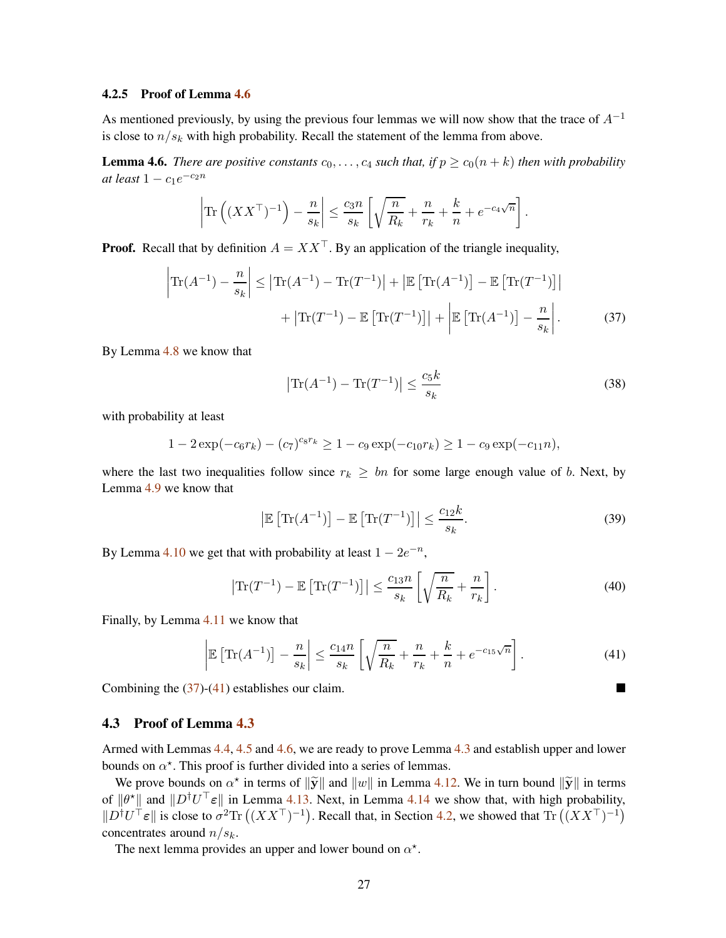#### <span id="page-26-0"></span>4.2.5 Proof of Lemma [4.6](#page-11-2)

As mentioned previously, by using the previous four lemmas we will now show that the trace of  $A^{-1}$ is close to  $n/s_k$  with high probability. Recall the statement of the lemma from above.

**Lemma 4.6.** *There are positive constants*  $c_0, \ldots, c_4$  *such that, if*  $p \ge c_0(n+k)$  *then with probability at least*  $1 - c_1 e^{-c_2 n}$ 

$$
\left|\text{Tr}\left((XX^\top)^{-1}\right) - \frac{n}{s_k}\right| \le \frac{c_3 n}{s_k} \left[\sqrt{\frac{n}{R_k}} + \frac{n}{r_k} + \frac{k}{n} + e^{-c_4\sqrt{n}}\right].
$$

**Proof.** Recall that by definition  $A = XX^{\top}$ . By an application of the triangle inequality,

$$
\left| \operatorname{Tr}(A^{-1}) - \frac{n}{s_k} \right| \le \left| \operatorname{Tr}(A^{-1}) - \operatorname{Tr}(T^{-1}) \right| + \left| \operatorname{\mathbb{E}} \left[ \operatorname{Tr}(A^{-1}) \right] - \operatorname{\mathbb{E}} \left[ \operatorname{Tr}(T^{-1}) \right] \right|
$$

$$
+ \left| \operatorname{Tr}(T^{-1}) - \operatorname{\mathbb{E}} \left[ \operatorname{Tr}(T^{-1}) \right] \right| + \left| \operatorname{\mathbb{E}} \left[ \operatorname{Tr}(A^{-1}) \right] - \frac{n}{s_k} \right|.
$$
(37)

By Lemma [4.8](#page-12-1) we know that

<span id="page-26-2"></span>
$$
\left| \text{Tr}(A^{-1}) - \text{Tr}(T^{-1}) \right| \le \frac{c_5 k}{s_k} \tag{38}
$$

with probability at least

$$
1 - 2\exp(-c_6r_k) - (c_7)^{c_8r_k} \ge 1 - c_9\exp(-c_{10}r_k) \ge 1 - c_9\exp(-c_{11}n),
$$

where the last two inequalities follow since  $r_k \geq bn$  for some large enough value of b. Next, by Lemma [4.9](#page-15-1) we know that

<span id="page-26-3"></span>
$$
\left|\mathbb{E}\left[\text{Tr}(A^{-1})\right] - \mathbb{E}\left[\text{Tr}(T^{-1})\right]\right| \le \frac{c_{12}k}{s_k}.\tag{39}
$$

By Lemma [4.10](#page-16-1) we get that with probability at least  $1 - 2e^{-n}$ ,

$$
\left|\text{Tr}(T^{-1}) - \mathbb{E}\left[\text{Tr}(T^{-1})\right]\right| \le \frac{c_{13}n}{s_k} \left[\sqrt{\frac{n}{R_k}} + \frac{n}{r_k}\right].\tag{40}
$$

Finally, by Lemma [4.11](#page-22-1) we know that

$$
\left|\mathbb{E}\left[\text{Tr}(A^{-1})\right] - \frac{n}{s_k}\right| \le \frac{c_{14}n}{s_k} \left[\sqrt{\frac{n}{R_k}} + \frac{n}{r_k} + \frac{k}{n} + e^{-c_{15}\sqrt{n}}\right].\tag{41}
$$

Combining the  $(37)-(41)$  $(37)-(41)$  $(37)-(41)$  establishes our claim.

#### <span id="page-26-1"></span>4.3 Proof of Lemma [4.3](#page-11-3)

Armed with Lemmas [4.4,](#page-11-4) [4.5](#page-11-5) and [4.6,](#page-11-2) we are ready to prove Lemma [4.3](#page-11-3) and establish upper and lower bounds on  $\alpha^*$ . This proof is further divided into a series of lemmas.

We prove bounds on  $\alpha^*$  in terms of  $\|\tilde{\mathbf{y}}\|$  and  $\|w\|$  in Lemma [4.12.](#page-27-0) We in turn bound  $\|\tilde{\mathbf{y}}\|$  in terms of  $\|\theta^*\|$  and  $\|D^{\dagger}U^{\top}\epsilon\|$  in Lemma [4.13.](#page-27-1) Next, in Lemma [4.14](#page-27-2) we show that, with high probability,  $||D^{\dagger}U^{\top} \varepsilon||$  is close to  $\sigma^2 \text{Tr}((XX^{\top})^{-1})$ . Recall that, in Section [4.2,](#page-11-1) we showed that Tr  $((XX^{\top})^{-1})$ concentrates around  $n/s_k$ .

The next lemma provides an upper and lower bound on  $\alpha^*$ .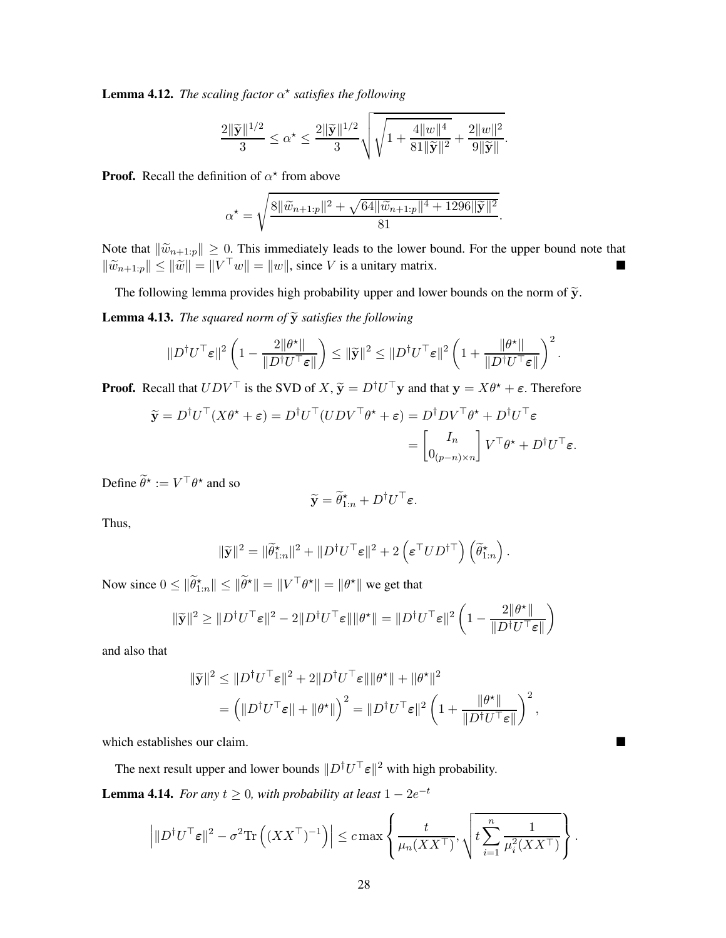<span id="page-27-0"></span>**Lemma 4.12.** *The scaling factor*  $\alpha^*$  *satisfies the following* 

$$
\frac{2\|\widetilde{\mathbf{y}}\|^{1/2}}{3} \leq \alpha^\star \leq \frac{2\|\widetilde{\mathbf{y}}\|^{1/2}}{3} \sqrt{ \sqrt{1 + \frac{4\|w\|^4}{81\|\widetilde{\mathbf{y}}\|^2}} + \frac{2\|w\|^2}{9\|\widetilde{\mathbf{y}}\|} }.
$$

**Proof.** Recall the definition of  $\alpha^*$  from above

$$
\alpha^* = \sqrt{\frac{8\|\widetilde{w}_{n+1:p}\|^2 + \sqrt{64\|\widetilde{w}_{n+1:p}\|^4 + 1296\|\widetilde{\mathbf{y}}\|^2}}{81}}.
$$

Note that  $\|\widetilde{w}_{n+1:p}\| \geq 0$ . This immediately leads to the lower bound. For the upper bound note that  $\|\widetilde{w}_{n+1:p}\| \le \|\widetilde{w}\| = \|V^\top w\| = \|w\|$ , since V is a unitary matrix.

The following lemma provides high probability upper and lower bounds on the norm of  $\widetilde{y}$ .

<span id="page-27-1"></span>**Lemma 4.13.** *The squared norm of*  $\widetilde{y}$  *satisfies the following* 

$$
||D^{\dagger}U^{\top}\varepsilon||^2\left(1-\frac{2||\theta^{\star}||}{||D^{\dagger}U^{\top}\varepsilon||}\right)\leq ||\widetilde{\mathbf{y}}||^2\leq ||D^{\dagger}U^{\top}\varepsilon||^2\left(1+\frac{||\theta^{\star}||}{||D^{\dagger}U^{\top}\varepsilon||}\right)^2.
$$

**Proof.** Recall that  $UDV^{\top}$  is the SVD of  $X$ ,  $\tilde{y} = D^{\dagger}U^{\top}y$  and that  $y = X\theta^* + \varepsilon$ . Therefore

$$
\widetilde{\mathbf{y}} = D^{\dagger}U^{\top}(X\theta^{\star} + \varepsilon) = D^{\dagger}U^{\top}(UDV^{\top}\theta^{\star} + \varepsilon) = D^{\dagger}DV^{\top}\theta^{\star} + D^{\dagger}U^{\top}\varepsilon
$$

$$
= \begin{bmatrix} I_n \\ 0_{(p-n)\times n} \end{bmatrix} V^{\top}\theta^{\star} + D^{\dagger}U^{\top}\varepsilon.
$$

Define  $\ddot{\theta}^* := V^\top \theta^*$  and so

$$
\widetilde{\mathbf{y}} = \widetilde{\theta}_{1:n}^{\star} + D^{\dagger}U^{\top}\varepsilon.
$$

Thus,

$$
\|\widetilde{\mathbf{y}}\|^2 = \|\widetilde{\theta}_{1:n}^\star\|^2 + \|D^\dagger U^\top \boldsymbol{\varepsilon}\|^2 + 2 \left(\boldsymbol{\varepsilon}^\top U D^{\dagger\top}\right) \left(\widetilde{\theta}_{1:n}^\star\right).
$$

Now since  $0 \leq \|\tilde{\theta}_{1:n}^*\| \leq \|\tilde{\theta}^*\| = \|V^\top \theta^*\| = \|\theta^*\|$  we get that

$$
\|\widetilde{\mathbf{y}}\|^2 \geq \|D^{\dagger}U^{\top}\varepsilon\|^2 - 2\|D^{\dagger}U^{\top}\varepsilon\|\|\theta^{\star}\| = \|D^{\dagger}U^{\top}\varepsilon\|^2 \left(1 - \frac{2\|\theta^{\star}\|}{\|D^{\dagger}U^{\top}\varepsilon\|}\right)
$$

and also that

$$
\begin{aligned} \|\widetilde{\mathbf{y}}\|^2 &\leq \|D^\dagger U^\top \varepsilon\|^2 + 2\|D^\dagger U^\top \varepsilon\| \|\theta^\star\| + \|\theta^\star\|^2 \\ &= \left(\|D^\dagger U^\top \varepsilon\| + \|\theta^\star\|\right)^2 = \|D^\dagger U^\top \varepsilon\|^2 \left(1 + \frac{\|\theta^\star\|}{\|D^\dagger U^\top \varepsilon\|}\right)^2, \end{aligned}
$$

which establishes our claim.

The next result upper and lower bounds  $||D^{\dagger}U^{\top} \varepsilon||^2$  with high probability.

<span id="page-27-2"></span>**Lemma 4.14.** *For any*  $t \geq 0$ *, with probability at least*  $1 - 2e^{-t}$ 

$$
\left| \| D^\dagger U^\top \varepsilon \|^2 - \sigma^2 \text{Tr}\left( (XX^\top)^{-1} \right) \right| \leq c \max\left\{ \frac{t}{\mu_n(XX^\top)}, \sqrt{t \sum_{i=1}^n \frac{1}{\mu_i^2(XX^\top)}} \right\}
$$

.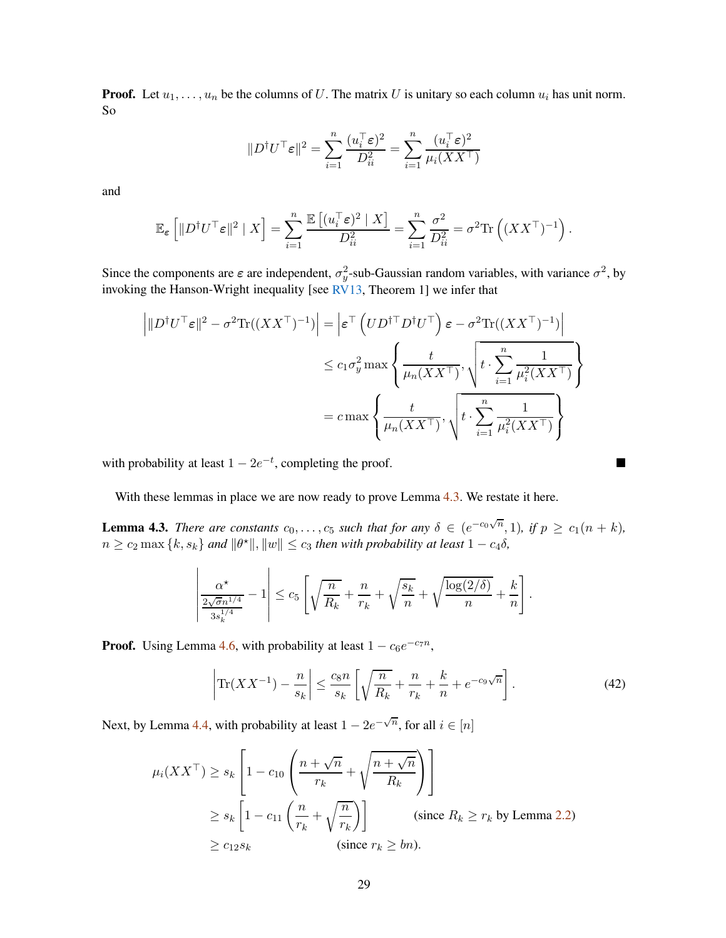<span id="page-28-1"></span>**Proof.** Let  $u_1, \ldots, u_n$  be the columns of U. The matrix U is unitary so each column  $u_i$  has unit norm. So

$$
||D^{\dagger}U^{\top}\varepsilon||^{2} = \sum_{i=1}^{n} \frac{(u_{i}^{\top}\varepsilon)^{2}}{D_{ii}^{2}} = \sum_{i=1}^{n} \frac{(u_{i}^{\top}\varepsilon)^{2}}{\mu_{i}(XX^{\top})}
$$

and

$$
\mathbb{E}_{\varepsilon}\left[\|D^{\dagger}U^{\top}\varepsilon\|^2\mid X\right] = \sum_{i=1}^n \frac{\mathbb{E}\left[(u_i^{\top}\varepsilon)^2\mid X\right]}{D_{ii}^2} = \sum_{i=1}^n \frac{\sigma^2}{D_{ii}^2} = \sigma^2 \text{Tr}\left((XX^{\top})^{-1}\right).
$$

Since the components are  $\varepsilon$  are independent,  $\sigma_y^2$ -sub-Gaussian random variables, with variance  $\sigma^2$ , by invoking the Hanson-Wright inequality [see  $\frac{RV13}{RV}$ , Theorem 1] we infer that

$$
\left| \|D^{\dagger}U^{\top}\varepsilon\|^2 - \sigma^2 \text{Tr}((XX^{\top})^{-1}) \right| = \left| \varepsilon^{\top} \left( U D^{\dagger \top} D^{\dagger} U^{\top} \right) \varepsilon - \sigma^2 \text{Tr}((XX^{\top})^{-1}) \right|
$$
  

$$
\leq c_1 \sigma_y^2 \max \left\{ \frac{t}{\mu_n (XX^{\top})}, \sqrt{t \cdot \sum_{i=1}^n \frac{1}{\mu_i^2 (XX^{\top})}} \right\}
$$
  

$$
= c \max \left\{ \frac{t}{\mu_n (XX^{\top})}, \sqrt{t \cdot \sum_{i=1}^n \frac{1}{\mu_i^2 (XX^{\top})}} \right\}
$$

with probability at least  $1 - 2e^{-t}$ , completing the proof.

With these lemmas in place we are now ready to prove Lemma [4.3.](#page-11-3) We restate it here.

**Lemma 4.3.** *There are constants*  $c_0, \ldots, c_5$  *such that for any*  $\delta \in (e^{-c_0\sqrt{n}}, 1)$ *, if*  $p \ge c_1(n+k)$ *,*  $n \geq c_2 \max\{k, s_k\}$  and  $\|\theta^{\star}\|$ ,  $\|w\| \leq c_3$  then with probability at least  $1 - c_4 \delta$ ,

$$
\left|\frac{\alpha^\star}{\frac{2\sqrt{\sigma}n^{1/4}}{3s_k^{1/4}}}-1\right|\leq c_5\left[\sqrt{\frac{n}{R_k}}+\frac{n}{r_k}+\sqrt{\frac{s_k}{n}}+\sqrt{\frac{\log(2/\delta)}{n}}+\frac{k}{n}\right].
$$

**Proof.** Using Lemma [4.6,](#page-11-2) with probability at least  $1 - c_6 e^{-c_7 n}$ ,

<span id="page-28-0"></span>
$$
\left| \text{Tr}(XX^{-1}) - \frac{n}{s_k} \right| \le \frac{c_8 n}{s_k} \left[ \sqrt{\frac{n}{R_k}} + \frac{n}{r_k} + \frac{k}{n} + e^{-c_9 \sqrt{n}} \right]. \tag{42}
$$

Next, by Lemma [4.4,](#page-11-4) with probability at least  $1 - 2e^{-\sqrt{n}}$ , for all  $i \in [n]$ 

$$
\mu_i(XX^\top) \ge s_k \left[ 1 - c_{10} \left( \frac{n + \sqrt{n}}{r_k} + \sqrt{\frac{n + \sqrt{n}}{R_k}} \right) \right]
$$
  
\n
$$
\ge s_k \left[ 1 - c_{11} \left( \frac{n}{r_k} + \sqrt{\frac{n}{r_k}} \right) \right]
$$
 (since  $R_k \ge r_k$  by Lemma 2.2)  
\n
$$
\ge c_{12} s_k
$$
 (since  $r_k \ge bn$ ).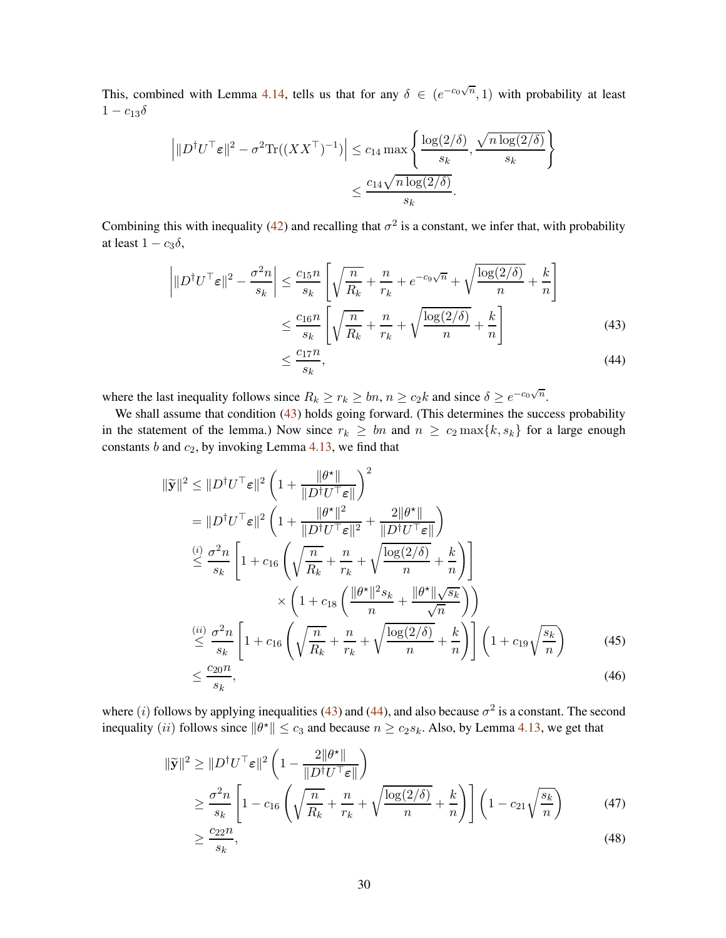This, combined with Lemma [4.14,](#page-27-2) tells us that for any  $\delta \in (e^{-c_0\sqrt{n}}, 1)$  with probability at least  $1 - c_{13}\delta$ 

$$
\left| \|D^{\dagger}U^{\top}\varepsilon\|^2 - \sigma^2 \text{Tr}((XX^{\top})^{-1}) \right| \leq c_{14} \max \left\{ \frac{\log(2/\delta)}{s_k}, \frac{\sqrt{n \log(2/\delta)}}{s_k} \right\}
$$

$$
\leq \frac{c_{14} \sqrt{n \log(2/\delta)}}{s_k}.
$$

Combining this with inequality [\(42\)](#page-28-0) and recalling that  $\sigma^2$  is a constant, we infer that, with probability at least  $1 - c_3\delta$ ,

$$
\left| \|D^{\dagger}U^{\top}\varepsilon\|^2 - \frac{\sigma^2 n}{s_k} \right| \le \frac{c_{15}n}{s_k} \left[ \sqrt{\frac{n}{R_k}} + \frac{n}{r_k} + e^{-c_9\sqrt{n}} + \sqrt{\frac{\log(2/\delta)}{n}} + \frac{k}{n} \right]
$$
  

$$
\le \frac{c_{16}n}{s_k} \left[ \sqrt{\frac{n}{R_k}} + \frac{n}{r_k} + \sqrt{\frac{\log(2/\delta)}{n}} + \frac{k}{n} \right]
$$
(43)  

$$
\le \frac{c_{17}n}{s_1},
$$

where the last inequality follows since  $R_k \ge r_k \ge bn$ ,  $n \ge c_2 k$  and since  $\delta \ge e^{-c_0\sqrt{n}}$ .

<span id="page-29-1"></span><span id="page-29-0"></span>sk

We shall assume that condition [\(43\)](#page-29-0) holds going forward. (This determines the success probability in the statement of the lemma.) Now since  $r_k \geq bn$  and  $n \geq c_2 \max\{k, s_k\}$  for a large enough constants  $b$  and  $c_2$ , by invoking Lemma [4.13,](#page-27-1) we find that

$$
\|\tilde{\mathbf{y}}\|^2 \leq \|\boldsymbol{D}^\dagger \boldsymbol{U}^\top \boldsymbol{\varepsilon}\|^2 \left(1 + \frac{\|\boldsymbol{\theta}^\star\|}{\|\boldsymbol{D}^\dagger \boldsymbol{U}^\top \boldsymbol{\varepsilon}\|}\right)^2
$$
  
\n
$$
= \|\boldsymbol{D}^\dagger \boldsymbol{U}^\top \boldsymbol{\varepsilon}\|^2 \left(1 + \frac{\|\boldsymbol{\theta}^\star\|^2}{\|\boldsymbol{D}^\dagger \boldsymbol{U}^\top \boldsymbol{\varepsilon}\|^2} + \frac{2\|\boldsymbol{\theta}^\star\|}{\|\boldsymbol{D}^\dagger \boldsymbol{U}^\top \boldsymbol{\varepsilon}\|}\right)
$$
  
\n
$$
\stackrel{(i)}{\leq} \frac{\sigma^2 n}{s_k} \left[1 + c_{16} \left(\sqrt{\frac{n}{R_k}} + \frac{n}{r_k} + \sqrt{\frac{\log(2/\delta)}{n}} + \frac{k}{n}\right)\right]
$$
  
\n
$$
\times \left(1 + c_{18} \left(\frac{\|\boldsymbol{\theta}^\star\|^2 s_k}{n} + \frac{\|\boldsymbol{\theta}^\star\| \sqrt{s_k}}{\sqrt{n}}\right)\right)
$$
  
\n
$$
\stackrel{(ii)}{\leq} \frac{\sigma^2 n}{s_k} \left[1 + c_{16} \left(\sqrt{\frac{n}{R_k}} + \frac{n}{r_k} + \sqrt{\frac{\log(2/\delta)}{n}} + \frac{k}{n}\right)\right] \left(1 + c_{19} \sqrt{\frac{s_k}{n}}\right)
$$
  
\n
$$
\leq \frac{c_{20}n}{s_k}, \tag{45}
$$

where (i) follows by applying inequalities [\(43\)](#page-29-0) and [\(44\)](#page-29-1), and also because  $\sigma^2$  is a constant. The second inequality (*ii*) follows since  $\|\theta^*\| \le c_3$  and because  $n \ge c_2 s_k$ . Also, by Lemma [4.13,](#page-27-1) we get that

$$
\|\widetilde{\mathbf{y}}\|^2 \ge \|D^{\dagger}U^{\top}\varepsilon\|^2 \left(1 - \frac{2\|\theta^{\star}\|}{\|D^{\dagger}U^{\top}\varepsilon\|}\right)
$$
  
\n
$$
\ge \frac{\sigma^2 n}{s_k} \left[1 - c_{16} \left(\sqrt{\frac{n}{R_k}} + \frac{n}{r_k} + \sqrt{\frac{\log(2/\delta)}{n}} + \frac{k}{n}\right)\right] \left(1 - c_{21}\sqrt{\frac{s_k}{n}}\right) \tag{47}
$$
  
\n
$$
> \frac{c_{22}n}{\sqrt{\frac{(1 - r_{21})^2}{n}}}
$$

<span id="page-29-3"></span><span id="page-29-2"></span>
$$
\geq \frac{c_{22}n}{s_k},\tag{48}
$$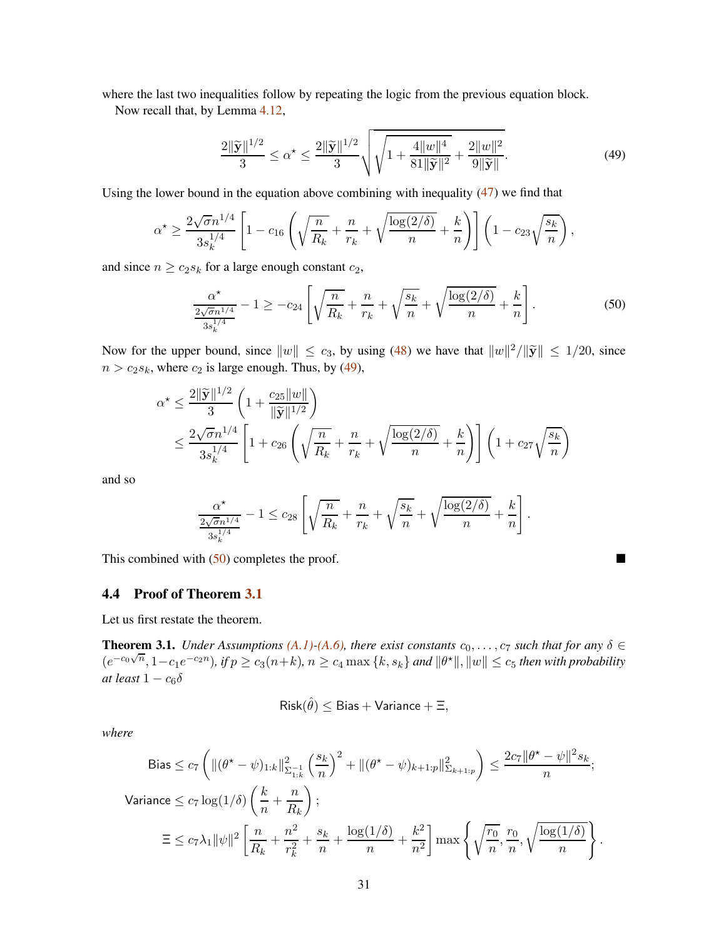where the last two inequalities follow by repeating the logic from the previous equation block.

Now recall that, by Lemma [4.12,](#page-27-0)

<span id="page-30-1"></span>
$$
\frac{2\|\widetilde{\mathbf{y}}\|^{1/2}}{3} \le \alpha^{\star} \le \frac{2\|\widetilde{\mathbf{y}}\|^{1/2}}{3} \sqrt{\sqrt{1 + \frac{4\|w\|^4}{81\|\widetilde{\mathbf{y}}\|^2} + \frac{2\|w\|^2}{9\|\widetilde{\mathbf{y}}\|}}.
$$
(49)

Using the lower bound in the equation above combining with inequality  $(47)$  we find that

$$
\alpha^{\star} \ge \frac{2\sqrt{\sigma}n^{1/4}}{3s_k^{1/4}} \left[1 - c_{16}\left(\sqrt{\frac{n}{R_k}} + \frac{n}{r_k} + \sqrt{\frac{\log(2/\delta)}{n}} + \frac{k}{n}\right)\right] \left(1 - c_{23}\sqrt{\frac{s_k}{n}}\right),
$$

and since  $n \ge c_2 s_k$  for a large enough constant  $c_2$ ,

<span id="page-30-2"></span>
$$
\frac{\alpha^*}{\frac{2\sqrt{\sigma}n^{1/4}}{3s_k^{1/4}}} - 1 \ge -c_{24} \left[ \sqrt{\frac{n}{R_k}} + \frac{n}{r_k} + \sqrt{\frac{s_k}{n}} + \sqrt{\frac{\log(2/\delta)}{n}} + \frac{k}{n} \right].
$$
 (50)

Now for the upper bound, since  $||w|| \le c_3$ , by using [\(48\)](#page-29-3) we have that  $||w||^2/||\tilde{y}|| \le 1/20$ , since  $n > c_2s_k$ , where  $c_2$  is large enough. Thus, by [\(49\)](#page-30-1),

$$
\alpha^* \le \frac{2\|\widetilde{\mathbf{y}}\|^{1/2}}{3} \left(1 + \frac{c_{25} \|w\|}{\|\widetilde{\mathbf{y}}\|^{1/2}}\right)
$$
  

$$
\le \frac{2\sqrt{\sigma} n^{1/4}}{3s_k^{1/4}} \left[1 + c_{26} \left(\sqrt{\frac{n}{R_k}} + \frac{n}{r_k} + \sqrt{\frac{\log(2/\delta)}{n}} + \frac{k}{n}\right)\right] \left(1 + c_{27} \sqrt{\frac{s_k}{n}}\right)
$$

and so

$$
\frac{\alpha^{\star}}{\frac{2\sqrt{\sigma}n^{1/4}}{3s_k^{1/4}}} - 1 \leq c_{28} \left[ \sqrt{\frac{n}{R_k}} + \frac{n}{r_k} + \sqrt{\frac{s_k}{n}} + \sqrt{\frac{\log(2/\delta)}{n}} + \frac{k}{n} \right].
$$

This combined with  $(50)$  completes the proof.

### <span id="page-30-0"></span>4.4 Proof of Theorem [3.1](#page-5-1)

Let us first restate the theorem.

**Theorem 3.1.** *Under Assumptions*  $(A,1)$ *-* $(A,6)$ *,* there exist constants  $c_0, \ldots, c_7$  such that for any  $\delta \in$  $(e^{-c_0\sqrt{n}}, 1-c_1e^{-c_2n}),$  if  $p \ge c_3(n+k)$ ,  $n \ge c_4 \max\{k, s_k\}$  and  $\|\theta^*\|$ ,  $\|w\| \le c_5$  then with probability *at least*  $1 - c_6 \delta$ 

$$
\mathsf{Risk}(\hat{\theta}) \leq \mathsf{Bias} + \mathsf{Variance} + \Xi,
$$

*where*

$$
\begin{split} \text{Bias} &\leq c_7 \left( \| (\theta^\star - \psi)_{1:k} \|_{\Sigma_{1:k}^{-1}}^2 \left( \frac{s_k}{n} \right)^2 + \| (\theta^\star - \psi)_{k+1:p} \|_{\Sigma_{k+1:p}}^2 \right) \leq \frac{2c_7 \| \theta^\star - \psi \|^2 s_k}{n}; \\ \text{Variance} &\leq c_7 \log(1/\delta) \left( \frac{k}{n} + \frac{n}{R_k} \right); \\ &\equiv \leq c_7 \lambda_1 \| \psi \|^2 \left[ \frac{n}{R_k} + \frac{n^2}{r_k^2} + \frac{s_k}{n} + \frac{\log(1/\delta)}{n} + \frac{k^2}{n^2} \right] \max \left\{ \sqrt{\frac{r_0}{n}}, \frac{r_0}{n}, \sqrt{\frac{\log(1/\delta)}{n}} \right\}. \end{split}
$$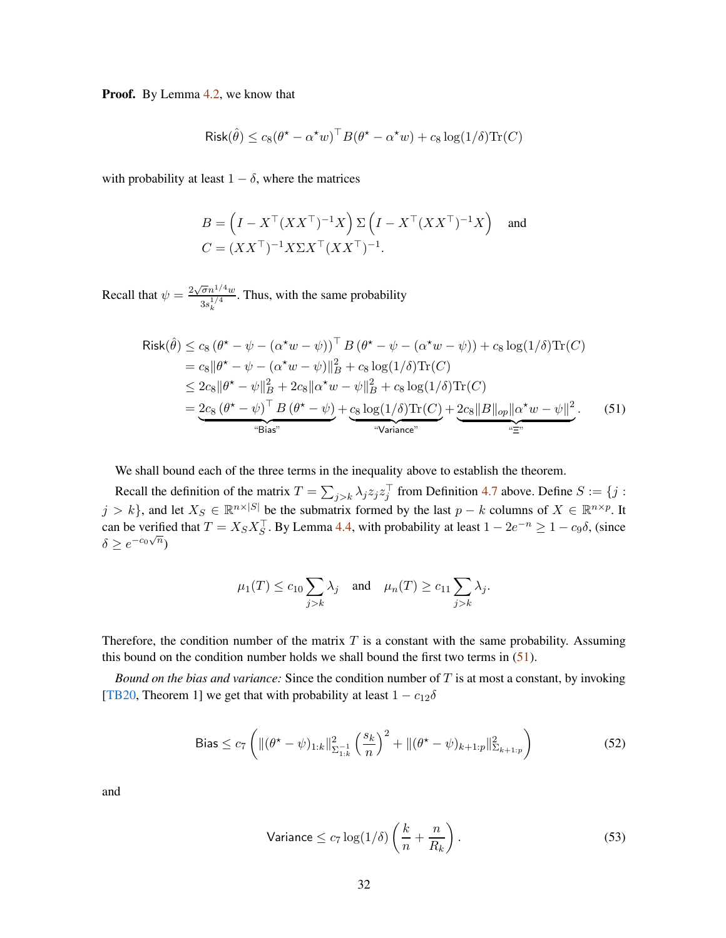<span id="page-31-3"></span>**Proof.** By Lemma [4.2,](#page-10-0) we know that

$$
\text{Risk}(\hat{\theta}) \le c_8(\theta^* - \alpha^* w)^\top B(\theta^* - \alpha^* w) + c_8 \log(1/\delta) \text{Tr}(C)
$$

with probability at least  $1 - \delta$ , where the matrices

$$
B = \left(I - X^\top (XX^\top)^{-1} X\right) \Sigma \left(I - X^\top (XX^\top)^{-1} X\right) \text{ and}
$$
  

$$
C = (XX^\top)^{-1} X \Sigma X^\top (XX^\top)^{-1}.
$$

Recall that  $\psi = \frac{2\sqrt{\sigma}n^{1/4}w}{n^{1/4}}$  $3s_k^{1/4}$ . Thus, with the same probability

$$
\text{Risk}(\hat{\theta}) \le c_8 (\theta^* - \psi - (\alpha^* w - \psi))^{\top} B (\theta^* - \psi - (\alpha^* w - \psi)) + c_8 \log(1/\delta) \text{Tr}(C)
$$
\n
$$
= c_8 \|\theta^* - \psi - (\alpha^* w - \psi)\|_B^2 + c_8 \log(1/\delta) \text{Tr}(C)
$$
\n
$$
\le 2c_8 \|\theta^* - \psi\|_B^2 + 2c_8 \|\alpha^* w - \psi\|_B^2 + c_8 \log(1/\delta) \text{Tr}(C)
$$
\n
$$
= \underbrace{2c_8 (\theta^* - \psi)^{\top} B (\theta^* - \psi)}_{\text{``Bias''}} + \underbrace{c_8 \log(1/\delta) \text{Tr}(C)}_{\text{``Variance''}} + \underbrace{2c_8 \|\theta\|_{op} \|\alpha^* w - \psi\|_2^2}_{\text{``Time''}}.
$$
\n(51)

We shall bound each of the three terms in the inequality above to establish the theorem.

Recall the definition of the matrix  $T = \sum_{j>k} \lambda_j z_j z_j^{\top}$  from Definition [4.7](#page-12-2) above. Define  $S := \{j :$  $j > k$ , and let  $X_S \in \mathbb{R}^{n \times |S|}$  be the submatrix formed by the last  $p - k$  columns of  $X \in \mathbb{R}^{n \times p}$ . It can be verified that  $T = X_S X_S^{\top}$ . By Lemma [4.4,](#page-11-4) with probability at least  $1 - 2e^{-n} \ge 1 - c_9 \delta$ , (since  $\delta \geq e^{-c_0\sqrt{n}}$ 

<span id="page-31-0"></span>
$$
\mu_1(T) \le c_{10} \sum_{j>k} \lambda_j
$$
 and  $\mu_n(T) \ge c_{11} \sum_{j>k} \lambda_j$ .

Therefore, the condition number of the matrix  $T$  is a constant with the same probability. Assuming this bound on the condition number holds we shall bound the first two terms in  $(51)$ .

*Bound on the bias and variance:* Since the condition number of T is at most a constant, by invoking [\[TB20,](#page-43-2) Theorem 1] we get that with probability at least  $1 - c_{12}\delta$ 

Bias 
$$
\leq c_7 \left( \| (\theta^* - \psi)_{1:k} \|_{\Sigma_{1:k}}^2 \left( \frac{s_k}{n} \right)^2 + \| (\theta^* - \psi)_{k+1:p} \|_{\Sigma_{k+1:p}}^2 \right)
$$
 (52)

and

<span id="page-31-2"></span><span id="page-31-1"></span>
$$
\text{Variance} \le c_7 \log(1/\delta) \left(\frac{k}{n} + \frac{n}{R_k}\right). \tag{53}
$$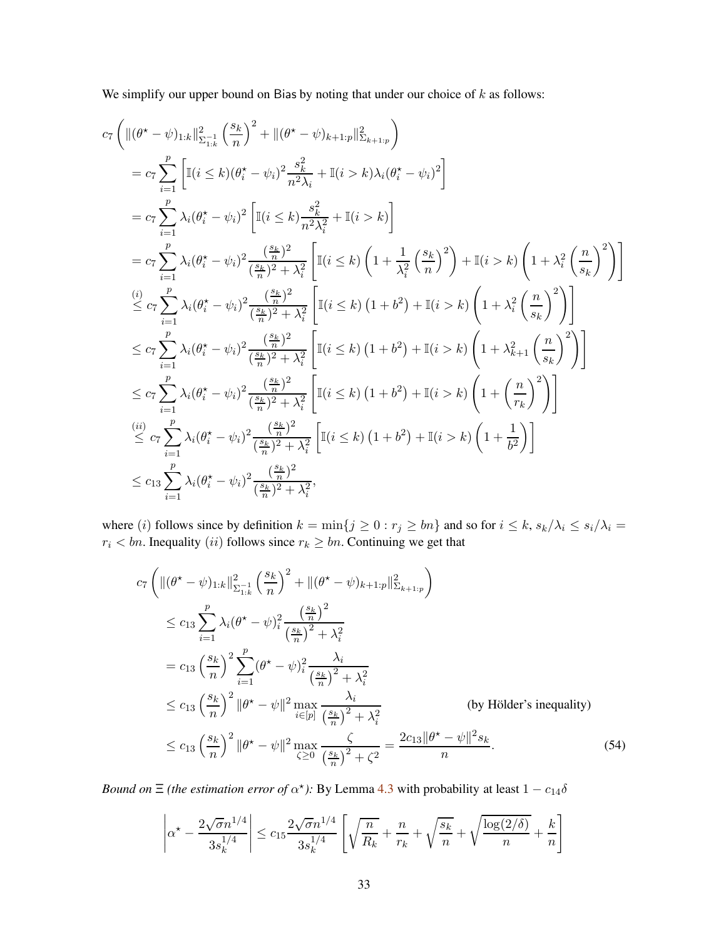We simplify our upper bound on Bias by noting that under our choice of  $k$  as follows:

$$
c_{7}\left(\|(\theta^{*} - \psi)_{1:k}\|_{\Sigma_{1:k}}^{2} \left(\frac{s_{k}}{n}\right)^{2} + \|(\theta^{*} - \psi)_{k+1:p}\|_{\Sigma_{k+1:p}}^{2}\right)
$$
\n
$$
= c_{7} \sum_{i=1}^{p} \left[\mathbb{I}(i \leq k)(\theta_{i}^{*} - \psi_{i})^{2} \frac{s_{k}^{2}}{n^{2} \lambda_{i}} + \mathbb{I}(i > k)\lambda_{i}(\theta_{i}^{*} - \psi_{i})^{2}\right]
$$
\n
$$
= c_{7} \sum_{i=1}^{p} \lambda_{i}(\theta_{i}^{*} - \psi_{i})^{2} \left[\mathbb{I}(i \leq k) \frac{s_{k}^{2}}{n^{2} \lambda_{i}^{2}} + \mathbb{I}(i > k)\right]
$$
\n
$$
= c_{7} \sum_{i=1}^{p} \lambda_{i}(\theta_{i}^{*} - \psi_{i})^{2} \frac{\left(\frac{s_{k}}{n}\right)^{2}}{\left(\frac{s_{k}}{n}\right)^{2} + \lambda_{i}^{2}} \left[\mathbb{I}(i \leq k)\left(1 + \frac{1}{\lambda_{i}^{2}}\left(\frac{s_{k}}{n}\right)^{2}\right) + \mathbb{I}(i > k)\left(1 + \lambda_{i}^{2}\left(\frac{n}{s_{k}}\right)^{2}\right)\right]
$$
\n
$$
\leq c_{7} \sum_{i=1}^{p} \lambda_{i}(\theta_{i}^{*} - \psi_{i})^{2} \frac{\left(\frac{s_{k}}{n}\right)^{2}}{\left(\frac{s_{k}}{n}\right)^{2} + \lambda_{i}^{2}} \left[\mathbb{I}(i \leq k)(1 + b^{2}) + \mathbb{I}(i > k)\left(1 + \lambda_{i}^{2}\left(\frac{n}{s_{k}}\right)^{2}\right)\right]
$$
\n
$$
\leq c_{7} \sum_{i=1}^{p} \lambda_{i}(\theta_{i}^{*} - \psi_{i})^{2} \frac{\left(\frac{s_{k}}{n}\right)^{2}}{\left(\frac{s_{k}}{n}\right)^{2} + \lambda_{i}^{2}} \left[\mathbb{I}(i \leq k)(1 + b^{2}) + \mathbb{I}(i > k)\left(1 + \lambda_{k+1}^{2}\left(\frac{n}{s_{k}}\
$$

where (i) follows since by definition  $k = \min\{j \ge 0 : r_j \ge bn\}$  and so for  $i \le k$ ,  $s_k/\lambda_i \le s_i/\lambda_i =$  $r_i < bn$ . Inequality (*ii*) follows since  $r_k \ge bn$ . Continuing we get that

$$
c_{7}\left(\|(\theta^{*}-\psi)_{1:k}\|_{\Sigma_{1:k}}^{2} \left(\frac{s_{k}}{n}\right)^{2} + \|(\theta^{*}-\psi)_{k+1:p}\|_{\Sigma_{k+1:p}}^{2}\right)
$$
\n
$$
\leq c_{13} \sum_{i=1}^{p} \lambda_{i} (\theta^{*}-\psi)_{i}^{2} \frac{\left(\frac{s_{k}}{n}\right)^{2}}{\left(\frac{s_{k}}{n}\right)^{2} + \lambda_{i}^{2}}
$$
\n
$$
= c_{13} \left(\frac{s_{k}}{n}\right)^{2} \sum_{i=1}^{p} (\theta^{*}-\psi)_{i}^{2} \frac{\lambda_{i}}{\left(\frac{s_{k}}{n}\right)^{2} + \lambda_{i}^{2}}
$$
\n
$$
\leq c_{13} \left(\frac{s_{k}}{n}\right)^{2} \|\theta^{*}-\psi\|^{2} \max_{i \in [p]} \frac{\lambda_{i}}{\left(\frac{s_{k}}{n}\right)^{2} + \lambda_{i}^{2}}
$$
\n
$$
\leq c_{13} \left(\frac{s_{k}}{n}\right)^{2} \|\theta^{*}-\psi\|^{2} \max_{\zeta \geq 0} \frac{\zeta}{\left(\frac{s_{k}}{n}\right)^{2} + \zeta^{2}}
$$
\n
$$
\leq c_{13} \left(\frac{s_{k}}{n}\right)^{2} \|\theta^{*}-\psi\|^{2} \max_{\zeta \geq 0} \frac{\zeta}{\left(\frac{s_{k}}{n}\right)^{2} + \zeta^{2}} = \frac{2c_{13} \|\theta^{*}-\psi\|^{2} s_{k}}{n}.
$$
\n(54)

*Bound on*  $\Xi$  *(the estimation error of*  $\alpha^*$ *):* By Lemma [4.3](#page-11-3) with probability at least  $1 - c_{14}\delta$ 

<span id="page-32-0"></span>
$$
\left| \alpha^{\star} - \frac{2\sqrt{\sigma}n^{1/4}}{3s_k^{1/4}} \right| \leq c_{15} \frac{2\sqrt{\sigma}n^{1/4}}{3s_k^{1/4}} \left[ \sqrt{\frac{n}{R_k}} + \frac{n}{r_k} + \sqrt{\frac{s_k}{n}} + \sqrt{\frac{\log(2/\delta)}{n}} + \frac{k}{n} \right]
$$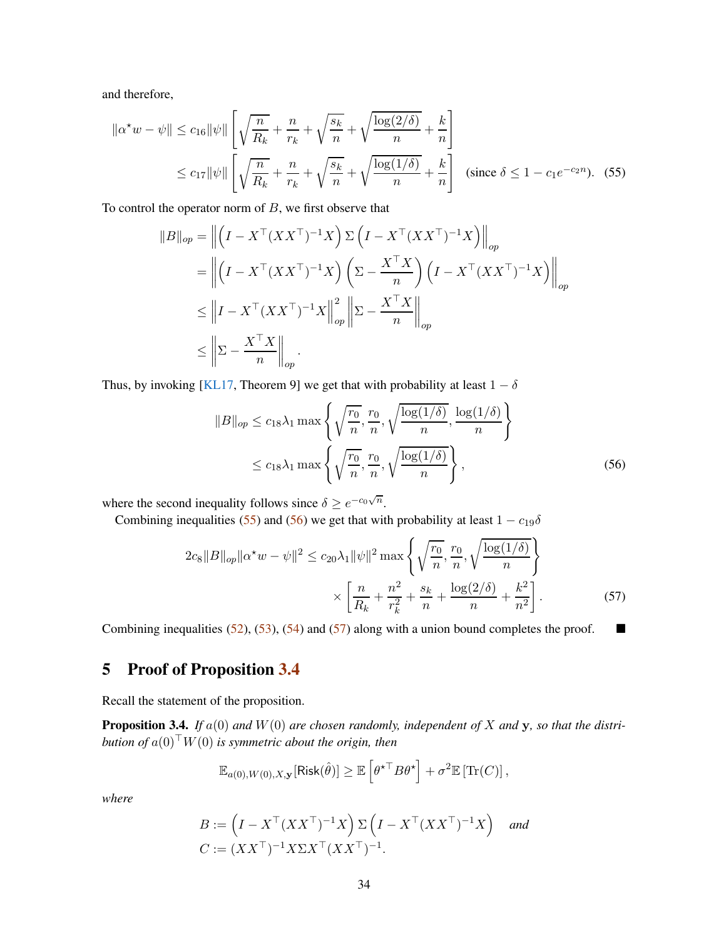<span id="page-33-4"></span>and therefore,

$$
\|\alpha^* w - \psi\| \le c_{16} \|\psi\| \left[ \sqrt{\frac{n}{R_k}} + \frac{n}{r_k} + \sqrt{\frac{s_k}{n}} + \sqrt{\frac{\log(2/\delta)}{n}} + \frac{k}{n} \right]
$$
  

$$
\le c_{17} \|\psi\| \left[ \sqrt{\frac{n}{R_k}} + \frac{n}{r_k} + \sqrt{\frac{s_k}{n}} + \sqrt{\frac{\log(1/\delta)}{n}} + \frac{k}{n} \right] \text{ (since } \delta \le 1 - c_1 e^{-c_2 n}). \quad (55)
$$

To control the operator norm of  $B$ , we first observe that

<span id="page-33-1"></span>
$$
||B||_{op} = \left\| \left(I - X^{\top} (XX^{\top})^{-1} X\right) \Sigma \left(I - X^{\top} (XX^{\top})^{-1} X\right) \right\|_{op}
$$
  
\n
$$
= \left\| \left(I - X^{\top} (XX^{\top})^{-1} X\right) \left(\Sigma - \frac{X^{\top} X}{n}\right) \left(I - X^{\top} (XX^{\top})^{-1} X\right) \right\|_{op}
$$
  
\n
$$
\leq \left\| I - X^{\top} (XX^{\top})^{-1} X \right\|_{op}^{2} \left\| \Sigma - \frac{X^{\top} X}{n} \right\|_{op}
$$
  
\n
$$
\leq \left\| \Sigma - \frac{X^{\top} X}{n} \right\|_{op}.
$$

Thus, by invoking [\[KL17](#page-42-12), Theorem 9] we get that with probability at least  $1 - \delta$ 

<span id="page-33-2"></span>
$$
||B||_{op} \leq c_{18}\lambda_1 \max\left\{\sqrt{\frac{r_0}{n}}, \frac{r_0}{n}, \sqrt{\frac{\log(1/\delta)}{n}}, \frac{\log(1/\delta)}{n}\right\}
$$

$$
\leq c_{18}\lambda_1 \max\left\{\sqrt{\frac{r_0}{n}}, \frac{r_0}{n}, \sqrt{\frac{\log(1/\delta)}{n}}\right\},\tag{56}
$$

where the second inequality follows since  $\delta \ge e^{-c_0\sqrt{n}}$ .

Combining inequalities [\(55\)](#page-33-1) and [\(56\)](#page-33-2) we get that with probability at least  $1 - c_{19}\delta$ 

$$
2c_8||B||_{op}||\alpha^*w - \psi||^2 \le c_{20}\lambda_1 ||\psi||^2 \max\left\{\sqrt{\frac{r_0}{n}}, \frac{r_0}{n}, \sqrt{\frac{\log(1/\delta)}{n}}\right\}
$$

$$
\times \left[\frac{n}{R_k} + \frac{n^2}{r_k^2} + \frac{s_k}{n} + \frac{\log(2/\delta)}{n} + \frac{k^2}{n^2}\right].
$$
 (57)

Combining inequalities [\(52\)](#page-31-1), [\(53\)](#page-31-2), [\(54\)](#page-32-0) and [\(57\)](#page-33-3) along with a union bound completes the proof.  $\blacksquare$ 

# <span id="page-33-0"></span>5 Proof of Proposition [3.4](#page-6-0)

Recall the statement of the proposition.

Proposition 3.4. *If* a(0) *and* W(0) *are chosen randomly, independent of* X *and* y*, so that the distribution of* a(0)⊤W(0) *is symmetric about the origin, then*

<span id="page-33-3"></span>
$$
\mathbb{E}_{a(0),W(0),X,\mathbf{y}}[\text{Risk}(\hat{\theta})] \geq \mathbb{E}\left[\theta^{\star \top} B \theta^{\star}\right] + \sigma^2 \mathbb{E}\left[\text{Tr}(C)\right],
$$

*where*

$$
B := \left(I - X^\top (XX^\top)^{-1} X\right) \Sigma \left(I - X^\top (XX^\top)^{-1} X\right) \quad \text{and}
$$
  

$$
C := (XX^\top)^{-1} X \Sigma X^\top (XX^\top)^{-1}.
$$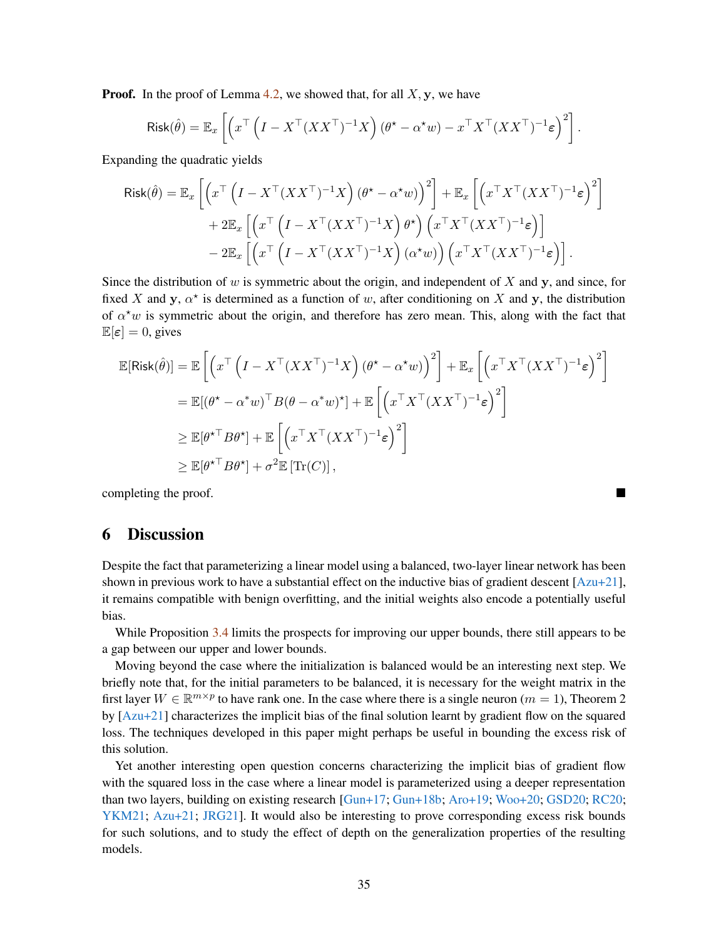<span id="page-34-1"></span>**Proof.** In the proof of Lemma [4.2,](#page-10-0) we showed that, for all  $X$ ,  $y$ , we have

$$
\text{Risk}(\hat{\theta}) = \mathbb{E}_x \left[ \left( x^\top \left( I - X^\top (XX^\top)^{-1} X \right) (\theta^\star - \alpha^\star w) - x^\top X^\top (XX^\top)^{-1} \varepsilon \right)^2 \right].
$$

Expanding the quadratic yields

$$
\begin{split} \mathsf{Risk}(\hat{\theta}) &= \mathbb{E}_x \left[ \left( x^\top \left( I - X^\top (XX^\top)^{-1} X \right) (\theta^\star - \alpha^\star w) \right)^2 \right] + \mathbb{E}_x \left[ \left( x^\top X^\top (XX^\top)^{-1} \varepsilon \right)^2 \right] \\ &+ 2 \mathbb{E}_x \left[ \left( x^\top \left( I - X^\top (XX^\top)^{-1} X \right) \theta^\star \right) \left( x^\top X^\top (XX^\top)^{-1} \varepsilon \right) \right] \\ &- 2 \mathbb{E}_x \left[ \left( x^\top \left( I - X^\top (XX^\top)^{-1} X \right) (\alpha^\star w) \right) \left( x^\top X^\top (XX^\top)^{-1} \varepsilon \right) \right]. \end{split}
$$

Since the distribution of w is symmetric about the origin, and independent of X and  $\bf{v}$ , and since, for fixed X and y,  $\alpha^*$  is determined as a function of w, after conditioning on X and y, the distribution of  $\alpha^{\star}w$  is symmetric about the origin, and therefore has zero mean. This, along with the fact that  $\mathbb{E}[\varepsilon] = 0$ , gives

$$
\mathbb{E}[\text{Risk}(\hat{\theta})] = \mathbb{E}\left[\left(x^{\top}\left(I - X^{\top}(XX^{\top})^{-1}X\right)(\theta^* - \alpha^*w)\right)^2\right] + \mathbb{E}_x\left[\left(x^{\top}X^{\top}(XX^{\top})^{-1}\varepsilon\right)^2\right]
$$

$$
= \mathbb{E}[(\theta^* - \alpha^*w)^{\top}B(\theta - \alpha^*w)^*] + \mathbb{E}\left[\left(x^{\top}X^{\top}(XX^{\top})^{-1}\varepsilon\right)^2\right]
$$

$$
\geq \mathbb{E}[\theta^*^{\top}B\theta^*] + \mathbb{E}\left[\left(x^{\top}X^{\top}(XX^{\top})^{-1}\varepsilon\right)^2\right]
$$

$$
\geq \mathbb{E}[\theta^*^{\top}B\theta^*] + \sigma^2\mathbb{E}[\text{Tr}(C)],
$$

completing the proof.

### <span id="page-34-0"></span>6 Discussion

Despite the fact that parameterizing a linear model using a balanced, two-layer linear network has been shown in previous work to have a substantial effect on the inductive bias of gradient descent  $[Azu+21]$ , it remains compatible with benign overfitting, and the initial weights also encode a potentially useful bias.

While Proposition [3.4](#page-6-0) limits the prospects for improving our upper bounds, there still appears to be a gap between our upper and lower bounds.

Moving beyond the case where the initialization is balanced would be an interesting next step. We briefly note that, for the initial parameters to be balanced, it is necessary for the weight matrix in the first layer  $W \in \mathbb{R}^{m \times p}$  to have rank one. In the case where there is a single neuron  $(m = 1)$ , Theorem 2 by  $[Azu+21]$  characterizes the implicit bias of the final solution learnt by gradient flow on the squared loss. The techniques developed in this paper might perhaps be useful in bounding the excess risk of this solution.

Yet another interesting open question concerns characterizing the implicit bias of gradient flow with the squared loss in the case where a linear model is parameterized using a deeper representation than two layers, building on existing research [\[Gun+17;](#page-41-10) [Gun+18b](#page-41-11); [Aro+19](#page-40-2); [Woo+20](#page-43-9); GSD20; [RC20](#page-43-10); YKM21; [Azu+21](#page-40-1); [JRG21](#page-42-13)]. It would also be interesting to prove corresponding excess risk bounds for such solutions, and to study the effect of depth on the generalization properties of the resulting models.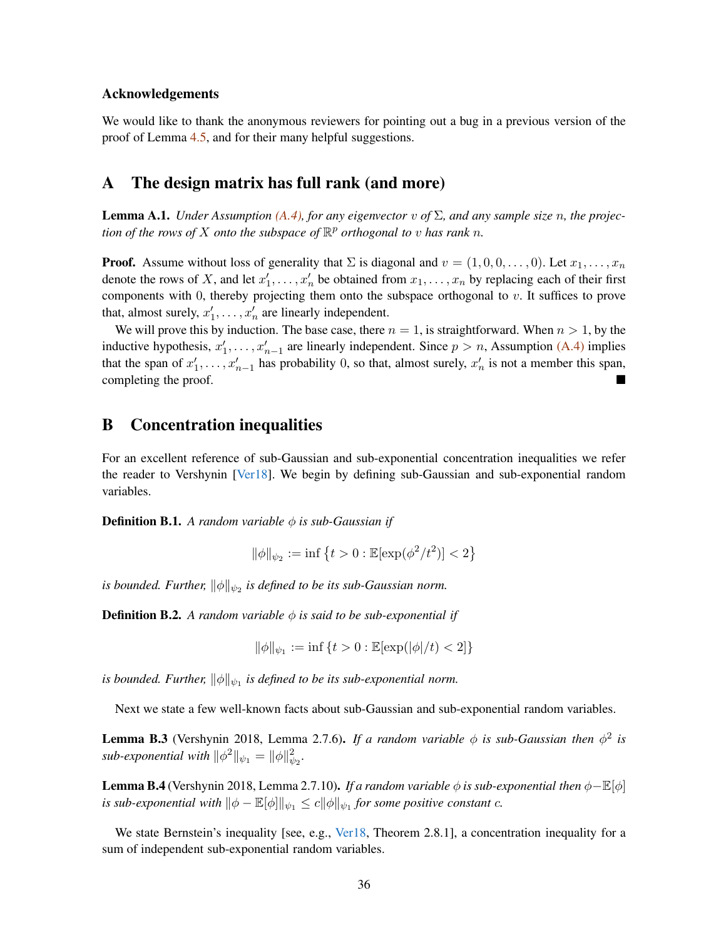#### <span id="page-35-5"></span>Acknowledgements

We would like to thank the anonymous reviewers for pointing out a bug in a previous version of the proof of Lemma [4.5,](#page-11-5) and for their many helpful suggestions.

### <span id="page-35-0"></span>A The design matrix has full rank (and more)

<span id="page-35-2"></span>**Lemma A.1.** *Under Assumption [\(A.4\),](#page-3-4) for any eigenvector v of*  $\Sigma$ *, and any sample size n, the projection of the rows of*  $X$  *onto the subspace of*  $\mathbb{R}^p$  *orthogonal to*  $v$  *has rank*  $n$ *.* 

**Proof.** Assume without loss of generality that  $\Sigma$  is diagonal and  $v = (1, 0, 0, \dots, 0)$ . Let  $x_1, \dots, x_n$ denote the rows of X, and let  $x'_1, \ldots, x'_n$  be obtained from  $x_1, \ldots, x_n$  by replacing each of their first components with 0, thereby projecting them onto the subspace orthogonal to v. It suffices to prove that, almost surely,  $x'_1, \ldots, x'_n$  are linearly independent.

We will prove this by induction. The base case, there  $n = 1$ , is straightforward. When  $n > 1$ , by the inductive hypothesis,  $x'_1, \ldots, x'_{n-1}$  are linearly independent. Since  $p > n$ , Assumption [\(A.4\)](#page-3-4) implies that the span of  $x'_1, \ldots, x'_{n-1}$  has probability 0, so that, almost surely,  $x'_n$  is not a member this span, completing the proof.

### <span id="page-35-1"></span>B Concentration inequalities

For an excellent reference of sub-Gaussian and sub-exponential concentration inequalities we refer the reader to Vershynin [\[Ver18\]](#page-43-11). We begin by defining sub-Gaussian and sub-exponential random variables.

**Definition B.1.** A random variable  $\phi$  is sub-Gaussian if

$$
\|\phi\|_{\psi_2}:=\inf\left\{t>0:\mathbb E[\exp(\phi^2/t^2)]<2\right\}
$$

is bounded. Further,  $\|\phi\|_{\psi_2}$  is defined to be its sub-Gaussian norm.

**Definition B.2.** A random variable  $\phi$  is said to be sub-exponential if

$$
\|\phi\|_{\psi_1}:=\inf\,\{t>0: \mathbb{E}[\exp(|\phi|/t)<2]\}
$$

*is bounded. Further,*  $\|\phi\|_{\psi_1}$  *is defined to be its sub-exponential norm.* 

Next we state a few well-known facts about sub-Gaussian and sub-exponential random variables.

<span id="page-35-3"></span>**Lemma B.3** (Vershynin 2018, Lemma 2.7.6). If a random variable  $\phi$  is sub-Gaussian then  $\phi^2$  is *sub-exponential with*  $\|\phi^2\|_{\psi_1} = \|\phi\|_{\psi_2}^2$ .

<span id="page-35-4"></span>Lemma B.4 (Vershynin 2018, Lemma 2.7.10). *If a random variable* <sup>φ</sup> *is sub-exponential then* <sup>φ</sup>−E[φ] *is sub-exponential with*  $\|\phi - \mathbb{E}[\phi]\|_{\psi_1} \le c \|\phi\|_{\psi_1}$  for some positive constant c.

We state Bernstein's inequality [see, e.g., [Ver18,](#page-43-11) Theorem 2.8.1], a concentration inequality for a sum of independent sub-exponential random variables.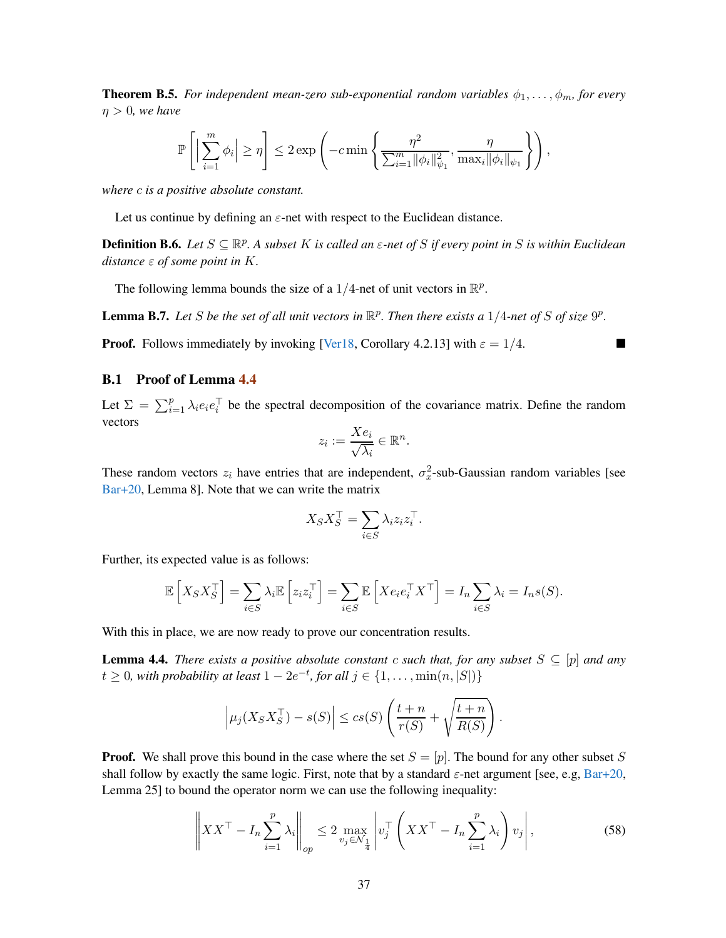<span id="page-36-4"></span><span id="page-36-1"></span>**Theorem B.5.** *For independent mean-zero sub-exponential random variables*  $\phi_1, \ldots, \phi_m$ *, for every*  $\eta > 0$ *, we have* 

$$
\mathbb{P}\left[\Big|\sum_{i=1}^m \phi_i\Big|\geq \eta\right]\leq 2\exp\left(-c\min\left\{\frac{\eta^2}{\sum_{i=1}^m \|\phi_i\|_{\psi_1}^2},\frac{\eta}{\max_i\|\phi_i\|_{\psi_1}}\right\}\right),
$$

*where* c *is a positive absolute constant.*

Let us continue by defining an  $\varepsilon$ -net with respect to the Euclidean distance.

**Definition B.6.** Let  $S \subseteq \mathbb{R}^p$ . A subset K is called an  $\varepsilon$ -net of S if every point in S is within Euclidean *distance* ε *of some point in* K*.*

The following lemma bounds the size of a 1/4-net of unit vectors in  $\mathbb{R}^p$ .

<span id="page-36-2"></span>**Lemma B.7.** Let S be the set of all unit vectors in  $\mathbb{R}^p$ . Then there exists a  $1/4$ -net of S of size  $9^p$ .

**Proof.** Follows immediately by invoking [\[Ver18,](#page-43-11) Corollary 4.2.13] with  $\varepsilon = 1/4$ .

#### <span id="page-36-0"></span>B.1 Proof of Lemma [4.4](#page-11-4)

Let  $\Sigma = \sum_{i=1}^{p} \lambda_i e_i e_i^{\top}$  be the spectral decomposition of the covariance matrix. Define the random vectors

$$
z_i := \frac{X e_i}{\sqrt{\lambda_i}} \in \mathbb{R}^n.
$$

These random vectors  $z_i$  have entries that are independent,  $\sigma_x^2$ -sub-Gaussian random variables [see [Bar+20](#page-40-0), Lemma 8]. Note that we can write the matrix

$$
X_S X_S^\top = \sum_{i \in S} \lambda_i z_i z_i^\top.
$$

Further, its expected value is as follows:

$$
\mathbb{E}\left[X_S X_S^\top\right] = \sum_{i \in S} \lambda_i \mathbb{E}\left[z_i z_i^\top\right] = \sum_{i \in S} \mathbb{E}\left[X e_i e_i^\top X^\top\right] = I_n \sum_{i \in S} \lambda_i = I_n s(S).
$$

With this in place, we are now ready to prove our concentration results.

**Lemma 4.4.** *There exists a positive absolute constant* c *such that, for any subset*  $S \subseteq [p]$  *and any*  $t \geq 0$ , with probability at least  $1 - 2e^{-t}$ , for all  $j \in \{1, \ldots, \min(n, |S|)\}$ 

<span id="page-36-3"></span>
$$
\left|\mu_j(X_S X_S^\top) - s(S)\right| \leq c s(S) \left(\frac{t+n}{r(S)} + \sqrt{\frac{t+n}{R(S)}}\right).
$$

**Proof.** We shall prove this bound in the case where the set  $S = [p]$ . The bound for any other subset S shall follow by exactly the same logic. First, note that by a standard  $\varepsilon$ -net argument [see, e.g, [Bar+20](#page-40-0), Lemma 25] to bound the operator norm we can use the following inequality:

$$
\left\|XX^{\top} - I_n \sum_{i=1}^p \lambda_i \right\|_{op} \le 2 \max_{v_j \in \mathcal{N}_{\frac{1}{4}}} \left| v_j^{\top} \left( XX^{\top} - I_n \sum_{i=1}^p \lambda_i \right) v_j \right|,
$$
\n(58)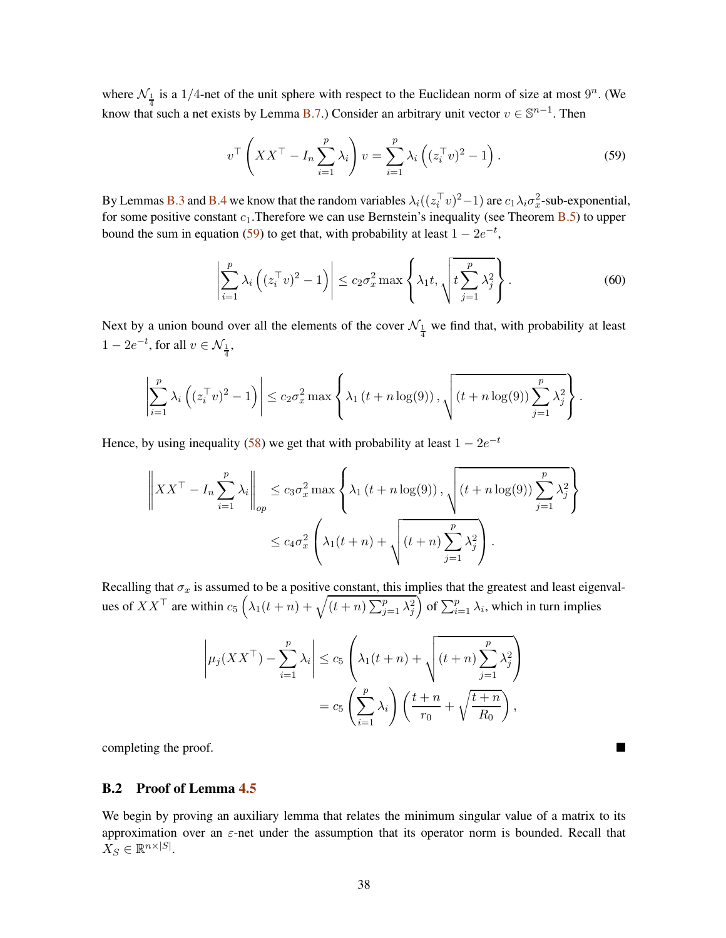where  $\mathcal{N}_{\frac{1}{4}}$  is a 1/4-net of the unit sphere with respect to the Euclidean norm of size at most  $9^n$ . (We know that such a net exists by Lemma [B.7.](#page-36-2)) Consider an arbitrary unit vector  $v \in \mathbb{S}^{n-1}$ . Then

<span id="page-37-1"></span>
$$
v^{\top}\left(XX^{\top} - I_n \sum_{i=1}^{p} \lambda_i\right) v = \sum_{i=1}^{p} \lambda_i \left( (z_i^{\top} v)^2 - 1 \right). \tag{59}
$$

By Lemmas [B.3](#page-35-3) and [B.4](#page-35-4) we know that the random variables  $\lambda_i((z_i^T v)^2 - 1)$  are  $c_1 \lambda_i \sigma_x^2$ -sub-exponential, for some positive constant  $c_1$ . Therefore we can use Bernstein's inequality (see Theorem [B.5\)](#page-36-1) to upper bound the sum in equation [\(59\)](#page-37-1) to get that, with probability at least  $1 - 2e^{-t}$ ,

$$
\left| \sum_{i=1}^{p} \lambda_i \left( (z_i^\top v)^2 - 1 \right) \right| \le c_2 \sigma_x^2 \max \left\{ \lambda_1 t, \sqrt{t \sum_{j=1}^{p} \lambda_j^2} \right\}.
$$
 (60)

Next by a union bound over all the elements of the cover  $\mathcal{N}_{\frac{1}{4}}$  we find that, with probability at least  $1 - 2e^{-t}$ , for all  $v \in \mathcal{N}_{\frac{1}{4}}$ ,

$$
\left|\sum_{i=1}^p \lambda_i \left( (z_i^\top v)^2 - 1 \right) \right| \le c_2 \sigma_x^2 \max \left\{ \lambda_1 \left( t + n \log(9) \right), \sqrt{\left( t + n \log(9) \right) \sum_{j=1}^p \lambda_j^2} \right\}.
$$

Hence, by using inequality [\(58\)](#page-36-3) we get that with probability at least  $1 - 2e^{-t}$ 

$$
\left\|XX^{\top} - I_n \sum_{i=1}^p \lambda_i \right\|_{op} \le c_3 \sigma_x^2 \max \left\{ \lambda_1 \left( t + n \log(9) \right), \sqrt{\left( t + n \log(9) \right) \sum_{j=1}^p \lambda_j^2} \right\}
$$

$$
\le c_4 \sigma_x^2 \left( \lambda_1 (t + n) + \sqrt{\left( t + n \right) \sum_{j=1}^p \lambda_j^2} \right).
$$

Recalling that  $\sigma_x$  is assumed to be a positive constant, this implies that the greatest and least eigenvalues of  $XX^{\top}$  are within  $c_5 \left( \lambda_1(t+n) + \sqrt{(t+n) \sum_{j=1}^p \lambda_j^2} \right)$  $\int$  of  $\sum_{i=1}^{p} \lambda_i$ , which in turn implies

$$
\left| \mu_j(XX^\top) - \sum_{i=1}^p \lambda_i \right| \le c_5 \left( \lambda_1(t+n) + \sqrt{(t+n) \sum_{j=1}^p \lambda_j^2} \right)
$$

$$
= c_5 \left( \sum_{i=1}^p \lambda_i \right) \left( \frac{t+n}{r_0} + \sqrt{\frac{t+n}{R_0}} \right),
$$

completing the proof.

#### <span id="page-37-0"></span>B.2 Proof of Lemma [4.5](#page-11-5)

We begin by proving an auxiliary lemma that relates the minimum singular value of a matrix to its approximation over an  $\varepsilon$ -net under the assumption that its operator norm is bounded. Recall that  $X_S \in \mathbb{R}^{n \times |S|}$ .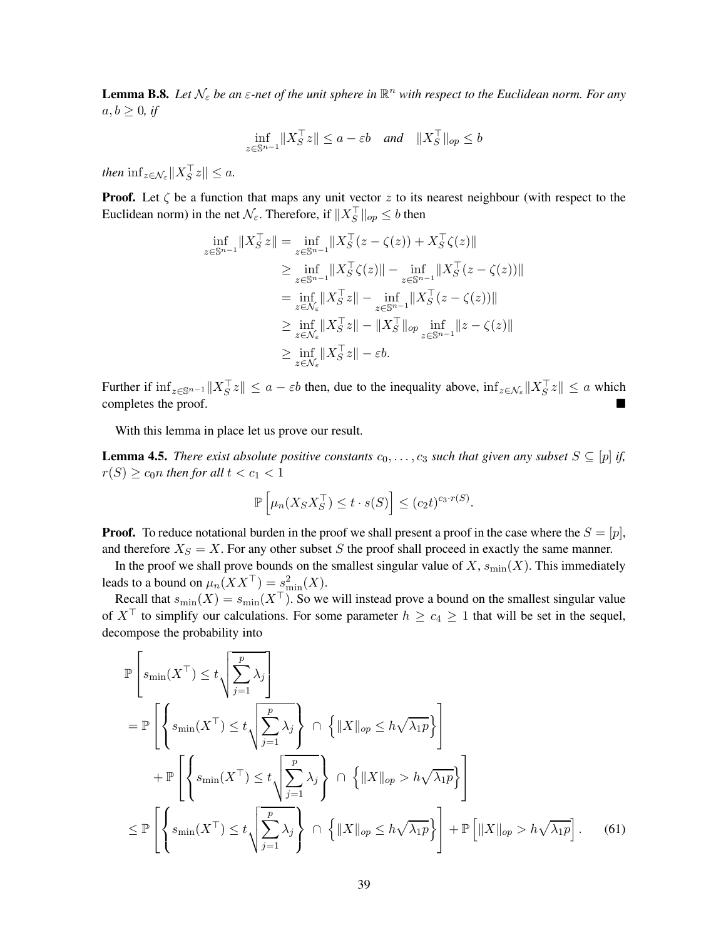<span id="page-38-1"></span>**Lemma B.8.** Let  $\mathcal{N}_{\varepsilon}$  be an  $\varepsilon$ -net of the unit sphere in  $\mathbb{R}^n$  with respect to the Euclidean norm. For any  $a, b \geq 0$ , if

$$
\inf_{z \in \mathbb{S}^{n-1}} \|X_S^\top z\| \le a - \varepsilon b \quad \text{and} \quad \|X_S^\top\|_{op} \le b
$$

*then*  $\inf_{z \in \mathcal{N}_{\varepsilon}} \|X_S^{\perp} z\| \leq a$ .

**Proof.** Let  $\zeta$  be a function that maps any unit vector z to its nearest neighbour (with respect to the Euclidean norm) in the net  $\mathcal{N}_{\varepsilon}$ . Therefore, if  $||X_{S}^{+}||_{op} \le b$  then

$$
\inf_{z \in \mathbb{S}^{n-1}} \|X_S^\top z\| = \inf_{z \in \mathbb{S}^{n-1}} \|X_S^\top (z - \zeta(z)) + X_S^\top \zeta(z)\|
$$
  
\n
$$
\geq \inf_{z \in \mathbb{S}^{n-1}} \|X_S^\top \zeta(z)\| - \inf_{z \in \mathbb{S}^{n-1}} \|X_S^\top (z - \zeta(z))\|
$$
  
\n
$$
= \inf_{z \in \mathcal{N}_{\varepsilon}} \|X_S^\top z\| - \inf_{z \in \mathbb{S}^{n-1}} \|X_S^\top (z - \zeta(z))\|
$$
  
\n
$$
\geq \inf_{z \in \mathcal{N}_{\varepsilon}} \|X_S^\top z\| - \|X_S^\top\|_{op} \inf_{z \in \mathbb{S}^{n-1}} \|z - \zeta(z)\|
$$
  
\n
$$
\geq \inf_{z \in \mathcal{N}_{\varepsilon}} \|X_S^\top z\| - \varepsilon b.
$$

Further if  $\inf_{z \in \mathbb{S}^{n-1}} ||X_S^{\perp}z|| \le a - \varepsilon b$  then, due to the inequality above,  $\inf_{z \in \mathcal{N}_{\varepsilon}} ||X_S^{\perp}z|| \le a$  which completes the proof.

With this lemma in place let us prove our result.

**Lemma 4.5.** *There exist absolute positive constants*  $c_0, \ldots, c_3$  *such that given any subset*  $S \subseteq [p]$  *if,*  $r(S) \geq c_0 n$  then for all  $t < c_1 < 1$ 

<span id="page-38-0"></span>
$$
\mathbb{P}\left[\mu_n(X_S X_S^\top) \le t \cdot s(S)\right] \le (c_2 t)^{c_3 \cdot r(S)}.
$$

**Proof.** To reduce notational burden in the proof we shall present a proof in the case where the  $S = [p]$ , and therefore  $X_S = X$ . For any other subset S the proof shall proceed in exactly the same manner.

In the proof we shall prove bounds on the smallest singular value of  $X$ ,  $s_{\min}(X)$ . This immediately leads to a bound on  $\mu_n(XX^\top) = s_{\min}^2(X)$ .

Recall that  $s_{\min}(X) = s_{\min}(X^{\top})$ . So we will instead prove a bound on the smallest singular value of  $X^{\top}$  to simplify our calculations. For some parameter  $h \ge c_4 \ge 1$  that will be set in the sequel, decompose the probability into

$$
\mathbb{P}\left[s_{\min}(X^{\top}) \leq t\sqrt{\sum_{j=1}^{p} \lambda_{j}}\right]
$$
\n
$$
= \mathbb{P}\left[\left\{s_{\min}(X^{\top}) \leq t\sqrt{\sum_{j=1}^{p} \lambda_{j}}\right\} \cap \left\{\|X\|_{op} \leq h\sqrt{\lambda_{1}p}\right\}\right]
$$
\n
$$
+ \mathbb{P}\left[\left\{s_{\min}(X^{\top}) \leq t\sqrt{\sum_{j=1}^{p} \lambda_{j}}\right\} \cap \left\{\|X\|_{op} > h\sqrt{\lambda_{1}p}\right\}\right]
$$
\n
$$
\leq \mathbb{P}\left[\left\{s_{\min}(X^{\top}) \leq t\sqrt{\sum_{j=1}^{p} \lambda_{j}}\right\} \cap \left\{\|X\|_{op} \leq h\sqrt{\lambda_{1}p}\right\}\right] + \mathbb{P}\left[\|X\|_{op} > h\sqrt{\lambda_{1}p}\right].
$$
\n(61)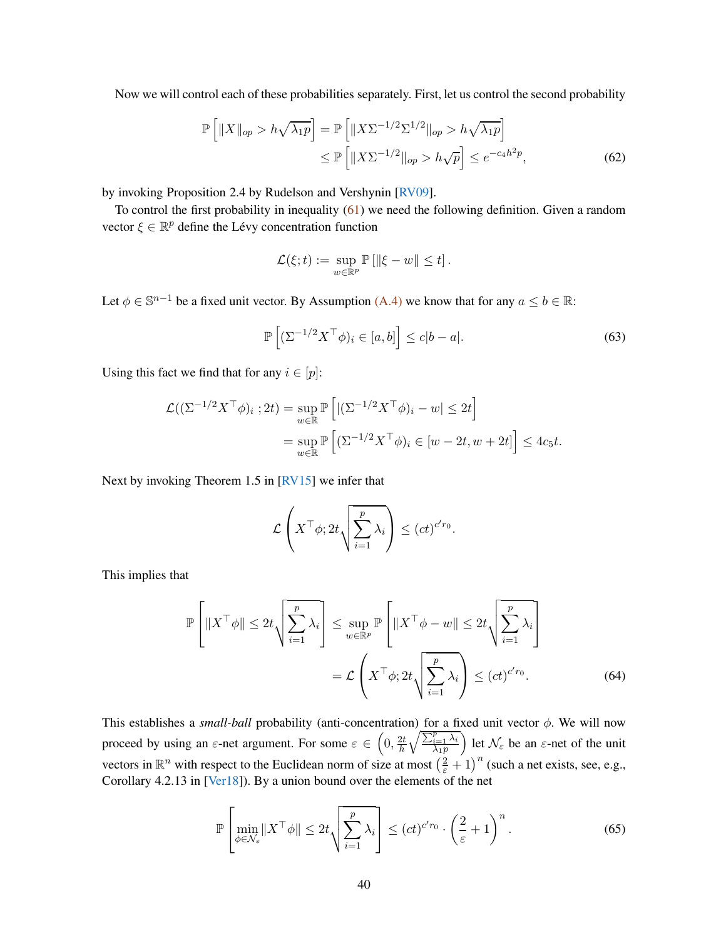<span id="page-39-1"></span>Now we will control each of these probabilities separately. First, let us control the second probability

$$
\mathbb{P}\left[\|X\|_{op} > h\sqrt{\lambda_1 p}\right] = \mathbb{P}\left[\|X\Sigma^{-1/2}\Sigma^{1/2}\|_{op} > h\sqrt{\lambda_1 p}\right]
$$
  

$$
\leq \mathbb{P}\left[\|X\Sigma^{-1/2}\|_{op} > h\sqrt{p}\right] \leq e^{-c_4 h^2 p},\tag{62}
$$

by invoking Proposition 2.4 by Rudelson and Vershynin [\[RV09\]](#page-43-12).

To control the first probability in inequality [\(61\)](#page-38-0) we need the following definition. Given a random vector  $\xi \in \mathbb{R}^p$  define the Lévy concentration function

<span id="page-39-0"></span>
$$
\mathcal{L}(\xi; t) := \sup_{w \in \mathbb{R}^p} \mathbb{P} \left[ \|\xi - w\| \leq t \right].
$$

Let  $\phi \in \mathbb{S}^{n-1}$  be a fixed unit vector. By Assumption [\(A.4\)](#page-3-4) we know that for any  $a \le b \in \mathbb{R}$ :

$$
\mathbb{P}\left[ (\Sigma^{-1/2} X^\top \phi)_i \in [a, b] \right] \le c|b - a|.
$$
\n(63)

Using this fact we find that for any  $i \in [p]$ :

$$
\mathcal{L}((\Sigma^{-1/2}X^{\top}\phi)_i ; 2t) = \sup_{w \in \mathbb{R}} \mathbb{P}\left[ |(\Sigma^{-1/2}X^{\top}\phi)_i - w| \le 2t \right]
$$
  
= 
$$
\sup_{w \in \mathbb{R}} \mathbb{P}\left[ (\Sigma^{-1/2}X^{\top}\phi)_i \in [w - 2t, w + 2t] \right] \le 4c_5t.
$$

Next by invoking Theorem 1.5 in [\[RV15\]](#page-43-13) we infer that

$$
\mathcal{L}\left(X^{\top}\phi; 2t\sqrt{\sum_{i=1}^p \lambda_i}\right) \leq (ct)^{c'r_0}.
$$

This implies that

$$
\mathbb{P}\left[\|X^{\top}\phi\| \le 2t\sqrt{\sum_{i=1}^{p}\lambda_i}\right] \le \sup_{w \in \mathbb{R}^p} \mathbb{P}\left[\|X^{\top}\phi - w\| \le 2t\sqrt{\sum_{i=1}^{p}\lambda_i}\right]
$$

$$
= \mathcal{L}\left(X^{\top}\phi; 2t\sqrt{\sum_{i=1}^{p}\lambda_i}\right) \le (ct)^{c'r_0}.
$$
 (64)

This establishes a *small-ball* probability (anti-concentration) for a fixed unit vector φ. We will now proceed by using an  $\varepsilon$ -net argument. For some  $\varepsilon \in \left(0, \frac{2t}{h}\right)$ h  $\sqrt{\sum_{i=1}^p \lambda_i}$  $\lambda_1p$ ) let  $\mathcal{N}_{\varepsilon}$  be an  $\varepsilon$ -net of the unit vectors in  $\mathbb{R}^n$  with respect to the Euclidean norm of size at most  $\left(\frac{2}{\epsilon}+1\right)^n$  (such a net exists, see, e.g., Corollary 4.2.13 in [\[Ver18](#page-43-11)]). By a union bound over the elements of the net

$$
\mathbb{P}\left[\min_{\phi \in \mathcal{N}_{\varepsilon}} \|X^{\top}\phi\| \le 2t\sqrt{\sum_{i=1}^{p} \lambda_i}\right] \le (ct)^{c'r_0} \cdot \left(\frac{2}{\varepsilon} + 1\right)^n. \tag{65}
$$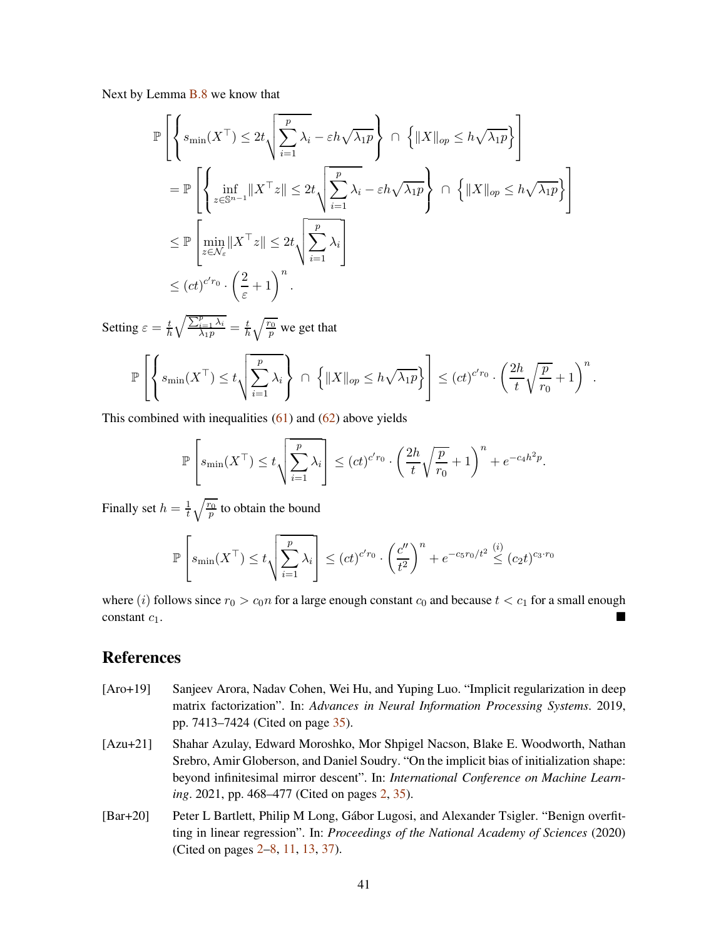Next by Lemma **B**.8 we know that

$$
\mathbb{P}\left[\left\{s_{\min}(X^{\top}) \leq 2t\sqrt{\sum_{i=1}^{p}\lambda_{i}} - \varepsilon h\sqrt{\lambda_{1}p}\right\} \cap \left\{\|X\|_{op} \leq h\sqrt{\lambda_{1}p}\right\}\right]
$$
\n
$$
= \mathbb{P}\left[\left\{\inf_{z\in\mathbb{S}^{n-1}}\|X^{\top}z\| \leq 2t\sqrt{\sum_{i=1}^{p}\lambda_{i}} - \varepsilon h\sqrt{\lambda_{1}p}\right\} \cap \left\{\|X\|_{op} \leq h\sqrt{\lambda_{1}p}\right\}\right]
$$
\n
$$
\leq \mathbb{P}\left[\min_{z\in\mathcal{N}_{\varepsilon}}\|X^{\top}z\| \leq 2t\sqrt{\sum_{i=1}^{p}\lambda_{i}}\right]
$$
\n
$$
\leq (ct)^{c'r_{0}} \cdot \left(\frac{2}{\varepsilon} + 1\right)^{n}.
$$

Setting  $\varepsilon = \frac{t}{h}$ h  $\sqrt{\frac{\sum_{i=1}^p\lambda_i}{\lambda_1p}}=\frac{t}{h}$  $\frac{t}{h}\sqrt{\frac{r_0}{p}}$  we get that

$$
\mathbb{P}\left[\left\{s_{\min}(X^{\top}) \leq t\sqrt{\sum_{i=1}^p \lambda_i}\right\} \cap \left\{\|X\|_{op} \leq h\sqrt{\lambda_1 p}\right\}\right] \leq (ct)^{c'r_0} \cdot \left(\frac{2h}{t}\sqrt{\frac{p}{r_0}} + 1\right)^n.
$$

This combined with inequalities  $(61)$  and  $(62)$  above yields

$$
\mathbb{P}\left[s_{\min}(X^{\top}) \leq t \sqrt{\sum_{i=1}^{p} \lambda_i}\right] \leq (ct)^{c'r_0} \cdot \left(\frac{2h}{t} \sqrt{\frac{p}{r_0}} + 1\right)^n + e^{-c_4h^2p}.
$$

Finally set  $h = \frac{1}{t}$  $\frac{1}{t}\sqrt{\frac{r_0}{p}}$  to obtain the bound

$$
\mathbb{P}\left[s_{\min}(X^{\top}) \le t \sqrt{\sum_{i=1}^{p} \lambda_i}\right] \le (ct)^{c'r_0} \cdot \left(\frac{c''}{t^2}\right)^n + e^{-c_5r_0/t^2} \stackrel{(i)}{\le} (c_2t)^{c_3 \cdot r_0}
$$

where (i) follows since  $r_0 > c_0 n$  for a large enough constant  $c_0$  and because  $t < c_1$  for a small enough constant  $c_1$ .

## <span id="page-40-2"></span>References

- [Aro+19] Sanjeev Arora, Nadav Cohen, Wei Hu, and Yuping Luo. "Implicit regularization in deep matrix factorization". In: *Advances in Neural Information Processing Systems*. 2019, pp. 7413–7424 (Cited on page [35\)](#page-34-1).
- <span id="page-40-1"></span>[Azu+21] Shahar Azulay, Edward Moroshko, Mor Shpigel Nacson, Blake E. Woodworth, Nathan Srebro, Amir Globerson, and Daniel Soudry. "On the implicit bias of initialization shape: beyond infinitesimal mirror descent". In: *International Conference on Machine Learning*. 2021, pp. 468–477 (Cited on pages [2,](#page-1-2) [35\)](#page-34-1).
- <span id="page-40-0"></span>[Bar+20] Peter L Bartlett, Philip M Long, Gábor Lugosi, and Alexander Tsigler. "Benign overfitting in linear regression". In: *Proceedings of the National Academy of Sciences* (2020) (Cited on pages [2](#page-1-2)[–8,](#page-7-2) [11,](#page-10-1) [13,](#page-12-3) [37\)](#page-36-4).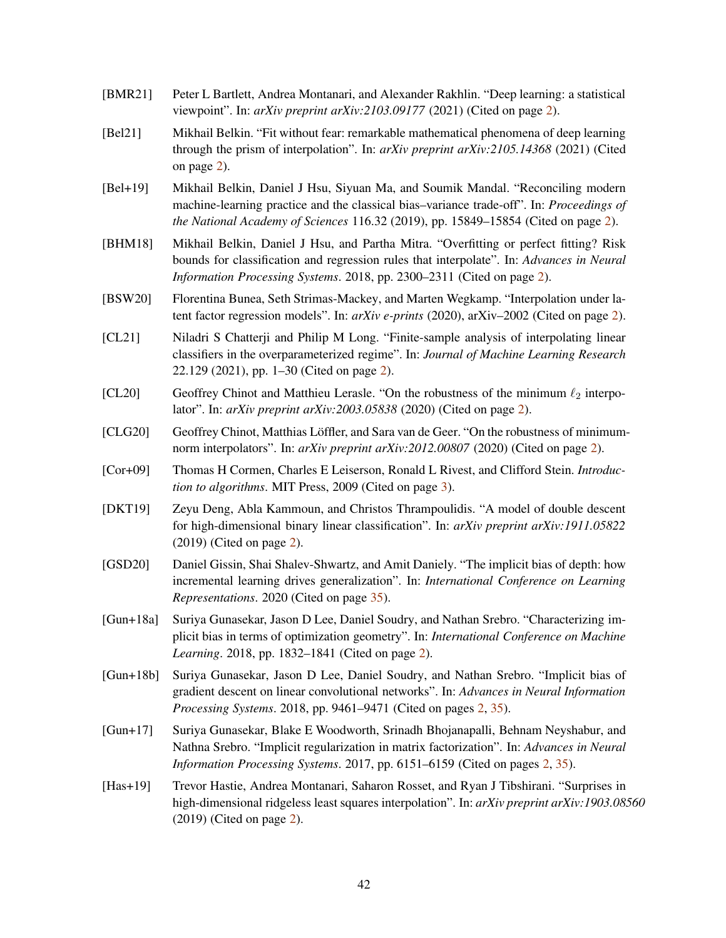- <span id="page-41-1"></span>[BMR21] Peter L Bartlett, Andrea Montanari, and Alexander Rakhlin. "Deep learning: a statistical viewpoint". In: *arXiv preprint arXiv:2103.09177* (2021) (Cited on page [2\)](#page-1-2).
- <span id="page-41-2"></span>[Bel21] Mikhail Belkin. "Fit without fear: remarkable mathematical phenomena of deep learning through the prism of interpolation". In: *arXiv preprint arXiv:2105.14368* (2021) (Cited on page [2\)](#page-1-2).
- <span id="page-41-0"></span>[Bel+19] Mikhail Belkin, Daniel J Hsu, Siyuan Ma, and Soumik Mandal. "Reconciling modern machine-learning practice and the classical bias–variance trade-off". In: *Proceedings of the National Academy of Sciences* 116.32 (2019), pp. 15849–15854 (Cited on page [2\)](#page-1-2).
- <span id="page-41-9"></span>[BHM18] Mikhail Belkin, Daniel J Hsu, and Partha Mitra. "Overfitting or perfect fitting? Risk bounds for classification and regression rules that interpolate". In: *Advances in Neural Information Processing Systems*. 2018, pp. 2300–2311 (Cited on page [2\)](#page-1-2).
- <span id="page-41-5"></span>[BSW20] Florentina Bunea, Seth Strimas-Mackey, and Marten Wegkamp. "Interpolation under latent factor regression models". In: *arXiv e-prints* (2020), arXiv–2002 (Cited on page [2\)](#page-1-2).
- <span id="page-41-7"></span>[CL21] Niladri S Chatterji and Philip M Long. "Finite-sample analysis of interpolating linear classifiers in the overparameterized regime". In: *Journal of Machine Learning Research* 22.129 (2021), pp. 1–30 (Cited on page [2\)](#page-1-2).
- <span id="page-41-4"></span>[CL20] Geoffrey Chinot and Matthieu Lerasle. "On the robustness of the minimum  $\ell_2$  interpolator". In: *arXiv preprint arXiv:2003.05838* (2020) (Cited on page [2\)](#page-1-2).
- <span id="page-41-6"></span>[CLG20] Geoffrey Chinot, Matthias Löffler, and Sara van de Geer. "On the robustness of minimumnorm interpolators". In: *arXiv preprint arXiv:2012.00807* (2020) (Cited on page [2\)](#page-1-2).
- <span id="page-41-13"></span>[Cor+09] Thomas H Cormen, Charles E Leiserson, Ronald L Rivest, and Clifford Stein. *Introduction to algorithms*. MIT Press, 2009 (Cited on page [3\)](#page-2-3).
- <span id="page-41-8"></span>[DKT19] Zeyu Deng, Abla Kammoun, and Christos Thrampoulidis. "A model of double descent for high-dimensional binary linear classification". In: *arXiv preprint arXiv:1911.05822* (2019) (Cited on page [2\)](#page-1-2).
- [GSD20] Daniel Gissin, Shai Shalev-Shwartz, and Amit Daniely. "The implicit bias of depth: how incremental learning drives generalization". In: *International Conference on Learning Representations*. 2020 (Cited on page [35\)](#page-34-1).
- <span id="page-41-12"></span>[Gun+18a] Suriya Gunasekar, Jason D Lee, Daniel Soudry, and Nathan Srebro. "Characterizing implicit bias in terms of optimization geometry". In: *International Conference on Machine Learning*. 2018, pp. 1832–1841 (Cited on page [2\)](#page-1-2).
- <span id="page-41-11"></span>[Gun+18b] Suriya Gunasekar, Jason D Lee, Daniel Soudry, and Nathan Srebro. "Implicit bias of gradient descent on linear convolutional networks". In: *Advances in Neural Information Processing Systems*. 2018, pp. 9461–9471 (Cited on pages [2,](#page-1-2) [35\)](#page-34-1).
- <span id="page-41-10"></span>[Gun+17] Suriya Gunasekar, Blake E Woodworth, Srinadh Bhojanapalli, Behnam Neyshabur, and Nathna Srebro. "Implicit regularization in matrix factorization". In: *Advances in Neural Information Processing Systems*. 2017, pp. 6151–6159 (Cited on pages [2,](#page-1-2) [35\)](#page-34-1).
- <span id="page-41-3"></span>[Has+19] Trevor Hastie, Andrea Montanari, Saharon Rosset, and Ryan J Tibshirani. "Surprises in high-dimensional ridgeless least squares interpolation". In: *arXiv preprint arXiv:1903.08560* (2019) (Cited on page [2\)](#page-1-2).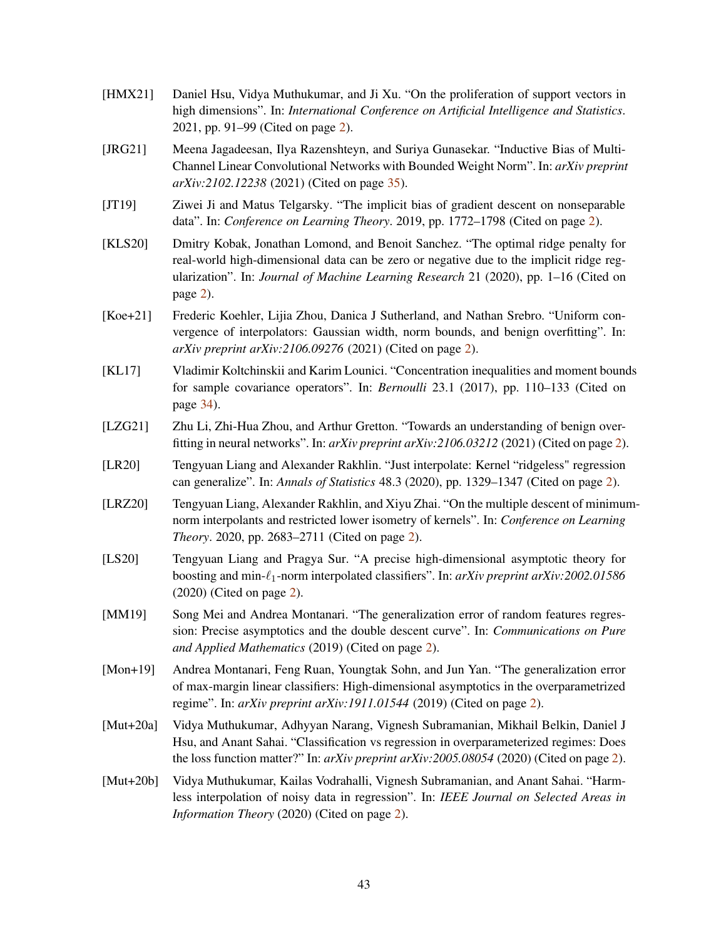- <span id="page-42-7"></span>[HMX21] Daniel Hsu, Vidya Muthukumar, and Ji Xu. "On the proliferation of support vectors in high dimensions". In: *International Conference on Artificial Intelligence and Statistics*. 2021, pp. 91–99 (Cited on page [2\)](#page-1-2).
- <span id="page-42-13"></span>[JRG21] Meena Jagadeesan, Ilya Razenshteyn, and Suriya Gunasekar. "Inductive Bias of Multi-Channel Linear Convolutional Networks with Bounded Weight Norm". In: *arXiv preprint arXiv:2102.12238* (2021) (Cited on page [35\)](#page-34-1).
- <span id="page-42-11"></span>[JT19] Ziwei Ji and Matus Telgarsky. "The implicit bias of gradient descent on nonseparable data". In: *Conference on Learning Theory*. 2019, pp. 1772–1798 (Cited on page [2\)](#page-1-2).
- <span id="page-42-0"></span>[KLS20] Dmitry Kobak, Jonathan Lomond, and Benoit Sanchez. "The optimal ridge penalty for real-world high-dimensional data can be zero or negative due to the implicit ridge regularization". In: *Journal of Machine Learning Research* 21 (2020), pp. 1–16 (Cited on page [2\)](#page-1-2).
- <span id="page-42-2"></span>[Koe+21] Frederic Koehler, Lijia Zhou, Danica J Sutherland, and Nathan Srebro. "Uniform convergence of interpolators: Gaussian width, norm bounds, and benign overfitting". In: *arXiv preprint arXiv:2106.09276* (2021) (Cited on page [2\)](#page-1-2).
- <span id="page-42-12"></span>[KL17] Vladimir Koltchinskii and Karim Lounici. "Concentration inequalities and moment bounds for sample covariance operators". In: *Bernoulli* 23.1 (2017), pp. 110–133 (Cited on page [34\)](#page-33-4).
- <span id="page-42-3"></span>[LZG21] Zhu Li, Zhi-Hua Zhou, and Arthur Gretton. "Towards an understanding of benign overfitting in neural networks". In: *arXiv preprint arXiv:2106.03212* (2021) (Cited on page [2\)](#page-1-2).
- <span id="page-42-8"></span>[LR20] Tengyuan Liang and Alexander Rakhlin. "Just interpolate: Kernel "ridgeless" regression can generalize". In: *Annals of Statistics* 48.3 (2020), pp. 1329–1347 (Cited on page [2\)](#page-1-2).
- <span id="page-42-10"></span>[LRZ20] Tengyuan Liang, Alexander Rakhlin, and Xiyu Zhai. "On the multiple descent of minimumnorm interpolants and restricted lower isometry of kernels". In: *Conference on Learning Theory*. 2020, pp. 2683–2711 (Cited on page [2\)](#page-1-2).
- <span id="page-42-5"></span>[LS20] Tengyuan Liang and Pragya Sur. "A precise high-dimensional asymptotic theory for boosting and min-ℓ1-norm interpolated classifiers". In: *arXiv preprint arXiv:2002.01586* (2020) (Cited on page [2\)](#page-1-2).
- <span id="page-42-9"></span>[MM19] Song Mei and Andrea Montanari. "The generalization error of random features regression: Precise asymptotics and the double descent curve". In: *Communications on Pure and Applied Mathematics* (2019) (Cited on page [2\)](#page-1-2).
- <span id="page-42-4"></span>[Mon+19] Andrea Montanari, Feng Ruan, Youngtak Sohn, and Jun Yan. "The generalization error of max-margin linear classifiers: High-dimensional asymptotics in the overparametrized regime". In: *arXiv preprint arXiv:1911.01544* (2019) (Cited on page [2\)](#page-1-2).
- <span id="page-42-6"></span>[Mut+20a] Vidya Muthukumar, Adhyyan Narang, Vignesh Subramanian, Mikhail Belkin, Daniel J Hsu, and Anant Sahai. "Classification vs regression in overparameterized regimes: Does the loss function matter?" In: *arXiv preprint arXiv:2005.08054* (2020) (Cited on page [2\)](#page-1-2).
- <span id="page-42-1"></span>[Mut+20b] Vidya Muthukumar, Kailas Vodrahalli, Vignesh Subramanian, and Anant Sahai. "Harmless interpolation of noisy data in regression". In: *IEEE Journal on Selected Areas in Information Theory* (2020) (Cited on page [2\)](#page-1-2).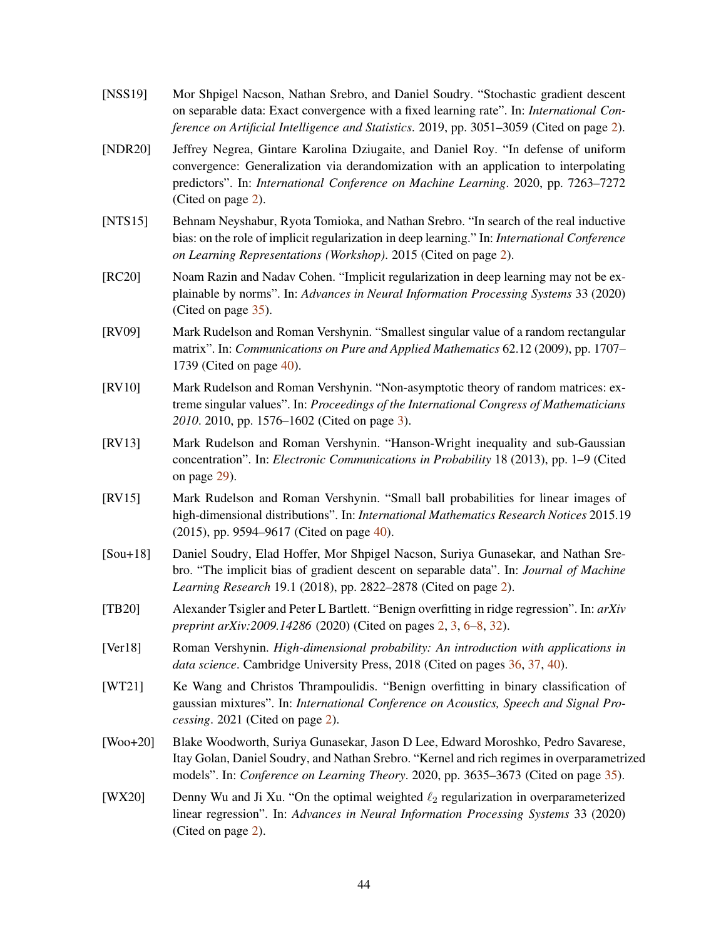- <span id="page-43-5"></span>[NSS19] Mor Shpigel Nacson, Nathan Srebro, and Daniel Soudry. "Stochastic gradient descent on separable data: Exact convergence with a fixed learning rate". In: *International Conference on Artificial Intelligence and Statistics*. 2019, pp. 3051–3059 (Cited on page [2\)](#page-1-2).
- <span id="page-43-0"></span>[NDR20] Jeffrey Negrea, Gintare Karolina Dziugaite, and Daniel Roy. "In defense of uniform convergence: Generalization via derandomization with an application to interpolating predictors". In: *International Conference on Machine Learning*. 2020, pp. 7263–7272 (Cited on page [2\)](#page-1-2).
- <span id="page-43-6"></span>[NTS15] Behnam Neyshabur, Ryota Tomioka, and Nathan Srebro. "In search of the real inductive bias: on the role of implicit regularization in deep learning." In: *International Conference on Learning Representations (Workshop)*. 2015 (Cited on page [2\)](#page-1-2).
- <span id="page-43-10"></span>[RC20] Noam Razin and Nadav Cohen. "Implicit regularization in deep learning may not be explainable by norms". In: *Advances in Neural Information Processing Systems* 33 (2020) (Cited on page [35\)](#page-34-1).
- <span id="page-43-12"></span>[RV09] Mark Rudelson and Roman Vershynin. "Smallest singular value of a random rectangular matrix". In: *Communications on Pure and Applied Mathematics* 62.12 (2009), pp. 1707– 1739 (Cited on page [40\)](#page-39-1).
- <span id="page-43-7"></span>[RV10] Mark Rudelson and Roman Vershynin. "Non-asymptotic theory of random matrices: extreme singular values". In: *Proceedings of the International Congress of Mathematicians 2010*. 2010, pp. 1576–1602 (Cited on page [3\)](#page-2-3).
- <span id="page-43-8"></span>[RV13] Mark Rudelson and Roman Vershynin. "Hanson-Wright inequality and sub-Gaussian concentration". In: *Electronic Communications in Probability* 18 (2013), pp. 1–9 (Cited on page [29\)](#page-28-1).
- <span id="page-43-13"></span>[RV15] Mark Rudelson and Roman Vershynin. "Small ball probabilities for linear images of high-dimensional distributions". In: *International Mathematics Research Notices* 2015.19 (2015), pp. 9594–9617 (Cited on page [40\)](#page-39-1).
- <span id="page-43-4"></span>[Sou+18] Daniel Soudry, Elad Hoffer, Mor Shpigel Nacson, Suriya Gunasekar, and Nathan Srebro. "The implicit bias of gradient descent on separable data". In: *Journal of Machine Learning Research* 19.1 (2018), pp. 2822–2878 (Cited on page [2\)](#page-1-2).
- <span id="page-43-2"></span>[TB20] Alexander Tsigler and Peter L Bartlett. "Benign overfitting in ridge regression". In: *arXiv preprint arXiv:2009.14286* (2020) (Cited on pages [2,](#page-1-2) [3,](#page-2-3) [6–](#page-5-2)[8,](#page-7-2) [32\)](#page-31-3).
- <span id="page-43-11"></span>[Ver18] Roman Vershynin. *High-dimensional probability: An introduction with applications in data science*. Cambridge University Press, 2018 (Cited on pages [36,](#page-35-5) [37,](#page-36-4) [40\)](#page-39-1).
- <span id="page-43-3"></span>[WT21] Ke Wang and Christos Thrampoulidis. "Benign overfitting in binary classification of gaussian mixtures". In: *International Conference on Acoustics, Speech and Signal Processing*. 2021 (Cited on page [2\)](#page-1-2).
- <span id="page-43-9"></span>[Woo+20] Blake Woodworth, Suriya Gunasekar, Jason D Lee, Edward Moroshko, Pedro Savarese, Itay Golan, Daniel Soudry, and Nathan Srebro. "Kernel and rich regimes in overparametrized models". In: *Conference on Learning Theory*. 2020, pp. 3635–3673 (Cited on page [35\)](#page-34-1).
- <span id="page-43-1"></span>[WX20] Denny Wu and Ji Xu. "On the optimal weighted  $\ell_2$  regularization in overparameterized linear regression". In: *Advances in Neural Information Processing Systems* 33 (2020) (Cited on page [2\)](#page-1-2).